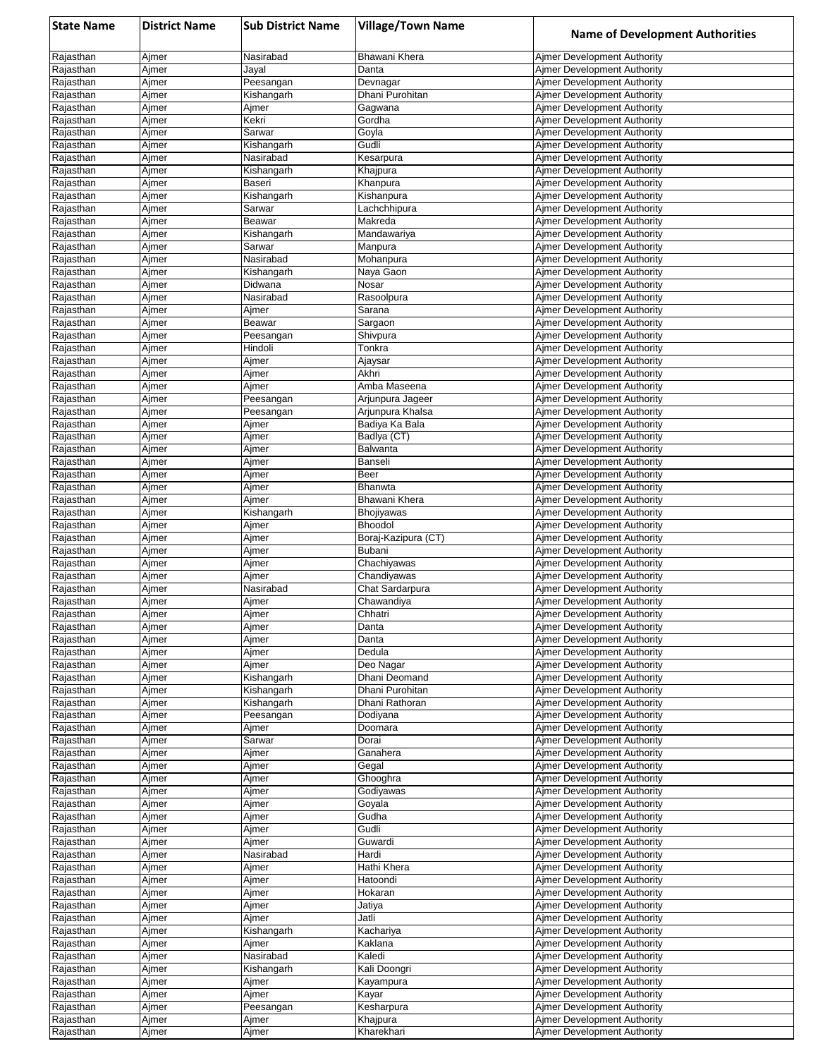| <b>State Name</b>      | <b>District Name</b> | <b>Sub District Name</b> | <b>Village/Town Name</b>              | <b>Name of Development Authorities</b>                            |
|------------------------|----------------------|--------------------------|---------------------------------------|-------------------------------------------------------------------|
| Rajasthan              | Ajmer                | Nasirabad                | Bhawani Khera                         | Ajmer Development Authority                                       |
| Rajasthan              | Ajmer                | Jayal                    | Danta                                 | Ajmer Development Authority                                       |
| Rajasthan              | Ajmer                | Peesangan                | Devnagar                              | Aimer Development Authority                                       |
| Rajasthan<br>Rajasthan | Ajmer<br>Ajmer       | Kishangarh<br>Ajmer      | Dhani Purohitan<br>Gagwana            | Aimer Development Authority<br>Ajmer Development Authority        |
| Rajasthan              | Ajmer                | Kekri                    | Gordha                                | Ajmer Development Authority                                       |
| Rajasthan              | Ajmer                | Sarwar                   | Goyla                                 | <b>Ajmer Development Authority</b>                                |
| Rajasthan              | Ajmer                | Kishangarh               | Gudli                                 | Ajmer Development Authority                                       |
| Rajasthan              | Ajmer                | Nasirabad                | Kesarpura                             | Ajmer Development Authority                                       |
| Rajasthan<br>Rajasthan | Ajmer<br>Ajmer       | Kishangarh<br>Baseri     | Khajpura<br>Khanpura                  | <b>Ajmer Development Authority</b><br>Ajmer Development Authority |
| Rajasthan              | Ajmer                | Kishangarh               | Kishanpura                            | Ajmer Development Authority                                       |
| Rajasthan              | Ajmer                | Sarwar                   | Lachchhipura                          | Ajmer Development Authority                                       |
| Rajasthan              | Ajmer                | Beawar                   | Makreda                               | Ajmer Development Authority                                       |
| Rajasthan              | Ajmer                | Kishangarh               | Mandawariya                           | Ajmer Development Authority                                       |
| Rajasthan              | Ajmer                | Sarwar                   | Manpura                               | Ajmer Development Authority                                       |
| Rajasthan<br>Rajasthan | Ajmer<br>Ajmer       | Nasirabad<br>Kishangarh  | Mohanpura<br>Naya Gaon                | Ajmer Development Authority<br>Ajmer Development Authority        |
| Rajasthan              | Ajmer                | Didwana                  | Nosar                                 | Ajmer Development Authority                                       |
| Rajasthan              | Ajmer                | Nasirabad                | Rasoolpura                            | Ajmer Development Authority                                       |
| Rajasthan              | Ajmer                | Ajmer                    | Sarana                                | Ajmer Development Authority                                       |
| Rajasthan              | Ajmer                | Beawar                   | Sargaon                               | Aimer Development Authority                                       |
| Rajasthan              | Ajmer                | Peesangan<br>Hindoli     | Shivpura<br>Tonkra                    | Ajmer Development Authority<br>Ajmer Development Authority        |
| Rajasthan<br>Rajasthan | Ajmer<br>Ajmer       | Ajmer                    | Ajaysar                               | Aimer Development Authority                                       |
| Rajasthan              | Ajmer                | Ajmer                    | Akhri                                 | Aimer Development Authority                                       |
| Rajasthan              | Ajmer                | Ajmer                    | Amba Maseena                          | Ajmer Development Authority                                       |
| Rajasthan              | Ajmer                | Peesangan                | Arjunpura Jageer                      | Ajmer Development Authority                                       |
| Rajasthan              | Ajmer                | Peesangan                | Arjunpura Khalsa                      | <b>Ajmer Development Authority</b>                                |
| Rajasthan              | Ajmer                | Ajmer                    | Badiya Ka Bala                        | Ajmer Development Authority                                       |
| Rajasthan<br>Rajasthan | Ajmer<br>Ajmer       | Ajmer<br>Ajmer           | Badlya (CT)<br>Balwanta               | Ajmer Development Authority<br>Ajmer Development Authority        |
| Rajasthan              | Ajmer                | Ajmer                    | Banseli                               | Ajmer Development Authority                                       |
| Rajasthan              | Ajmer                | Ajmer                    | Beer                                  | Ajmer Development Authority                                       |
| Rajasthan              | Ajmer                | Ajmer                    | Bhanwta                               | <b>Ajmer Development Authority</b>                                |
| Rajasthan              | Ajmer                | Ajmer                    | Bhawani Khera                         | Ajmer Development Authority                                       |
| Rajasthan              | Ajmer                | Kishangarh               | <b>Bhojiyawas</b>                     | Ajmer Development Authority                                       |
| Rajasthan<br>Rajasthan | Ajmer<br>Ajmer       | Ajmer<br>Ajmer           | <b>Bhoodol</b><br>Boraj-Kazipura (CT) | Ajmer Development Authority<br>Aimer Development Authority        |
| Rajasthan              | Ajmer                | Ajmer                    | <b>Bubani</b>                         | Ajmer Development Authority                                       |
| Rajasthan              | Ajmer                | Ajmer                    | Chachiyawas                           | Ajmer Development Authority                                       |
| Rajasthan              | Ajmer                | Ajmer                    | Chandiyawas                           | Aimer Development Authority                                       |
| Rajasthan              | Ajmer                | Nasirabad                | Chat Sardarpura                       | Ajmer Development Authority                                       |
| Rajasthan              | Ajmer                | Ajmer                    | Chawandiya                            | Ajmer Development Authority                                       |
| Rajasthan<br>Rajasthan | Ajmer<br>Ajmer       | Ajmer<br>Ajmer           | Chhatri<br>Danta                      | Ajmer Development Authority<br>Ajmer Development Authority        |
| Rajasthan              | Ajmer                | Ajmer                    | Danta                                 | Ajmer Development Authority                                       |
| Rajasthan              | Ajmer                | Ajmer                    | Dedula                                | Ajmer Development Authority                                       |
| Rajasthan              | Ajmer                | Ajmer                    | Deo Nagar                             | Ajmer Development Authority                                       |
| Rajasthan              | Ajmer                | Kishangarh               | Dhani Deomand                         | Ajmer Development Authority                                       |
| Rajasthan              | Ajmer                | Kishangarh               | Dhani Purohitan<br>Dhani Rathoran     | Ajmer Development Authority<br><b>Ajmer Development Authority</b> |
| Rajasthan<br>Rajasthan | Ajmer<br>Ajmer       | Kishangarh<br>Peesangan  | Dodiyana                              | Aimer Development Authority                                       |
| Rajasthan              | Ajmer                | Ajmer                    | Doomara                               | Ajmer Development Authority                                       |
| Rajasthan              | Ajmer                | Sarwar                   | Dorai                                 | Ajmer Development Authority                                       |
| Rajasthan              | Ajmer                | Ajmer                    | Ganahera                              | Aimer Development Authority                                       |
| Rajasthan              | Ajmer                | Ajmer                    | Gegal                                 | Aimer Development Authority                                       |
| Rajasthan              | Ajmer                | Ajmer                    | Ghooghra                              | Aimer Development Authority                                       |
| Rajasthan<br>Rajasthan | Ajmer<br>Ajmer       | Ajmer<br>Ajmer           | Godiyawas<br>Goyala                   | Aimer Development Authority<br>Aimer Development Authority        |
| Rajasthan              | Ajmer                | Ajmer                    | Gudha                                 | Ajmer Development Authority                                       |
| Rajasthan              | Ajmer                | Ajmer                    | Gudli                                 | Ajmer Development Authority                                       |
| Rajasthan              | Ajmer                | Ajmer                    | Guwardi                               | <b>Ajmer Development Authority</b>                                |
| Rajasthan              | Ajmer                | Nasirabad                | Hardi                                 | Ajmer Development Authority                                       |
| Rajasthan<br>Rajasthan | Ajmer                | Ajmer<br>Ajmer           | Hathi Khera<br>Hatoondi               | Ajmer Development Authority                                       |
| Rajasthan              | Ajmer<br>Ajmer       | Ajmer                    | Hokaran                               | Ajmer Development Authority<br><b>Ajmer Development Authority</b> |
| Rajasthan              | Ajmer                | Ajmer                    | Jatiya                                | Ajmer Development Authority                                       |
| Rajasthan              | Ajmer                | Ajmer                    | Jatli                                 | Ajmer Development Authority                                       |
| Rajasthan              | Ajmer                | Kishangarh               | Kachariya                             | <b>Ajmer Development Authority</b>                                |
| Rajasthan              | Ajmer                | Ajmer                    | Kaklana                               | Ajmer Development Authority                                       |
| Rajasthan              | Ajmer                | Nasirabad                | Kaledi                                | Ajmer Development Authority                                       |
| Rajasthan<br>Rajasthan | Ajmer<br>Ajmer       | Kishangarh<br>Ajmer      | Kali Doongri<br>Kayampura             | Ajmer Development Authority<br>Ajmer Development Authority        |
| Rajasthan              | Ajmer                | Ajmer                    | Kayar                                 | Ajmer Development Authority                                       |
| Rajasthan              | Ajmer                | Peesangan                | Kesharpura                            | Ajmer Development Authority                                       |
| Rajasthan              | Ajmer                | Ajmer                    | Khajpura                              | Ajmer Development Authority                                       |
| Rajasthan              | Ajmer                | Ajmer                    | Kharekhari                            | Ajmer Development Authority                                       |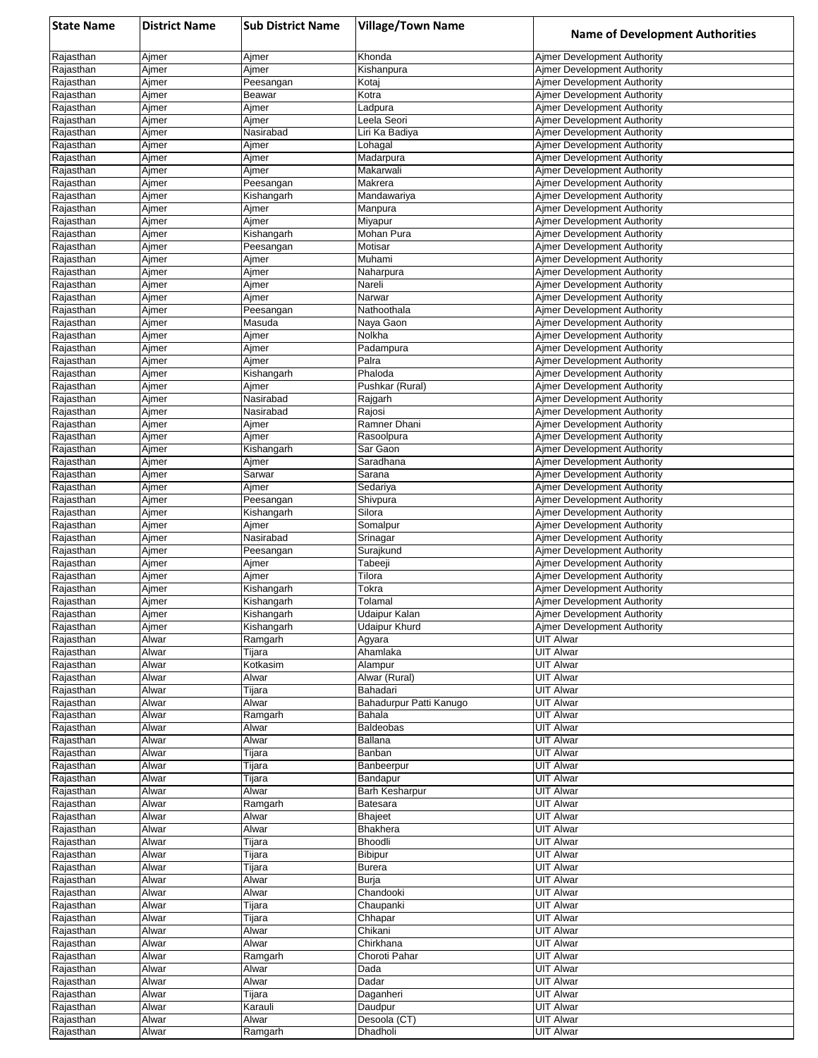| <b>State Name</b>      | <b>District Name</b> | <b>Sub District Name</b> | <b>Village/Town Name</b>            | <b>Name of Development Authorities</b>                                   |
|------------------------|----------------------|--------------------------|-------------------------------------|--------------------------------------------------------------------------|
| Rajasthan              | Ajmer                | Ajmer                    | Khonda                              | Ajmer Development Authority                                              |
| Rajasthan              | Ajmer                | Ajmer                    | Kishanpura                          | <b>Aimer Development Authority</b>                                       |
| Rajasthan              | Ajmer                | Peesangan                | Kotaj                               | <b>Aimer Development Authority</b>                                       |
| Rajasthan<br>Rajasthan | Ajmer                | Beawar                   | Kotra                               | <b>Ajmer Development Authority</b><br>Aimer Development Authority        |
| Rajasthan              | Ajmer<br>Ajmer       | Ajmer<br>Ajmer           | Ladpura<br>Leela Seori              | <b>Aimer Development Authority</b>                                       |
| Rajasthan              | Ajmer                | Nasirabad                | Liri Ka Badiya                      | <b>Aimer Development Authority</b>                                       |
| Rajasthan              | Ajmer                | Ajmer                    | Lohagal                             | <b>Aimer Development Authority</b>                                       |
| Rajasthan              | Ajmer                | Ajmer                    | Madarpura                           | <b>Aimer Development Authority</b>                                       |
| Rajasthan              | Ajmer                | Ajmer                    | Makarwali                           | <b>Ajmer Development Authority</b>                                       |
| Rajasthan              | Ajmer                | Peesangan                | Makrera                             | <b>Aimer Development Authority</b>                                       |
| Rajasthan              | Ajmer<br>Ajmer       | Kishangarh               | Mandawariya                         | <b>Ajmer Development Authority</b><br><b>Aimer Development Authority</b> |
| Rajasthan<br>Rajasthan | Ajmer                | Ajmer<br>Ajmer           | Manpura<br>Miyapur                  | <b>Aimer Development Authority</b>                                       |
| Rajasthan              | Ajmer                | Kishangarh               | Mohan Pura                          | <b>Aimer Development Authority</b>                                       |
| Rajasthan              | Ajmer                | Peesangan                | Motisar                             | <b>Aimer Development Authority</b>                                       |
| Rajasthan              | Ajmer                | Ajmer                    | Muhami                              | <b>Ajmer Development Authority</b>                                       |
| Rajasthan              | Ajmer                | Ajmer                    | Naharpura                           | <b>Aimer Development Authority</b>                                       |
| Rajasthan              | Ajmer                | Ajmer                    | Nareli                              | <b>Aimer Development Authority</b>                                       |
| Rajasthan<br>Rajasthan | Ajmer<br>Ajmer       | Ajmer<br>Peesangan       | Narwar<br>Nathoothala               | <b>Aimer Development Authority</b><br><b>Aimer Development Authority</b> |
| Rajasthan              | Ajmer                | Masuda                   | Naya Gaon                           | <b>Aimer Development Authority</b>                                       |
| Rajasthan              | Ajmer                | Ajmer                    | Nolkha                              | Ajmer Development Authority                                              |
| Rajasthan              | Ajmer                | Ajmer                    | Padampura                           | Aimer Development Authority                                              |
| Rajasthan              | Ajmer                | Ajmer                    | Palra                               | <b>Aimer Development Authority</b>                                       |
| Rajasthan              | Ajmer                | Kishangarh               | Phaloda                             | <b>Aimer Development Authority</b>                                       |
| Rajasthan              | Ajmer                | Ajmer                    | Pushkar (Rural)                     | <b>Aimer Development Authority</b>                                       |
| Rajasthan<br>Rajasthan | Ajmer<br>Ajmer       | Nasirabad<br>Nasirabad   | Rajgarh<br>Rajosi                   | <b>Aimer Development Authority</b><br><b>Ajmer Development Authority</b> |
| Rajasthan              | Ajmer                | Ajmer                    | Ramner Dhani                        | <b>Aimer Development Authority</b>                                       |
| Rajasthan              | Ajmer                | Ajmer                    | Rasoolpura                          | <b>Aimer Development Authority</b>                                       |
| Rajasthan              | Ajmer                | Kishangarh               | Sar Gaon                            | <b>Aimer Development Authority</b>                                       |
| Rajasthan              | Ajmer                | Ajmer                    | Saradhana                           | <b>Aimer Development Authority</b>                                       |
| Rajasthan              | Ajmer                | Sarwar                   | Sarana                              | <b>Aimer Development Authority</b>                                       |
| Rajasthan              | Ajmer                | Ajmer                    | Sedariya                            | <b>Ajmer Development Authority</b>                                       |
| Rajasthan<br>Rajasthan | Ajmer<br>Ajmer       | Peesangan                | Shivpura                            | <b>Aimer Development Authority</b><br><b>Aimer Development Authority</b> |
| Rajasthan              | Ajmer                | Kishangarh<br>Ajmer      | Silora<br>Somalpur                  | <b>Aimer Development Authority</b>                                       |
| Rajasthan              | Ajmer                | Nasirabad                | Srinagar                            | <b>Aimer Development Authority</b>                                       |
| Rajasthan              | Ajmer                | Peesangan                | Surajkund                           | <b>Aimer Development Authority</b>                                       |
| Rajasthan              | Ajmer                | Ajmer                    | Tabeeji                             | Aimer Development Authority                                              |
| Rajasthan              | Ajmer                | Ajmer                    | Tilora                              | <b>Aimer Development Authority</b>                                       |
| Rajasthan              | Ajmer                | Kishangarh               | Tokra                               | <b>Aimer Development Authority</b>                                       |
| Rajasthan<br>Rajasthan | Ajmer<br>Ajmer       | Kishangarh<br>Kishangarh | Tolamal<br>Udaipur Kalan            | <b>Aimer Development Authority</b><br>Ajmer Development Authority        |
| Rajasthan              | Ajmer                | Kishangarh               | <b>Udaipur Khurd</b>                | <b>Aimer Development Authority</b>                                       |
| Rajasthan              | Alwar                | Ramgarh                  | Agyara                              | <b>UIT Alwar</b>                                                         |
| Rajasthan              | Alwar                | Tijara                   | Ahamlaka                            | <b>UIT Alwar</b>                                                         |
| Rajasthan              | Alwar                | Kotkasim                 | Alampur                             | <b>UIT Alwar</b>                                                         |
| Rajasthan              | Alwar                | Alwar                    | Alwar (Rural)                       | <b>UIT Alwar</b>                                                         |
| Rajasthan<br>Rajasthan | Alwar<br>Alwar       | Tijara<br>Alwar          | Bahadari<br>Bahadurpur Patti Kanugo | <b>UIT Alwar</b><br><b>UIT Alwar</b>                                     |
| Rajasthan              | Alwar                | Ramgarh                  | Bahala                              | <b>UIT Alwar</b>                                                         |
| Rajasthan              | Alwar                | Alwar                    | Baldeobas                           | <b>UIT Alwar</b>                                                         |
| Rajasthan              | Alwar                | Alwar                    | <b>Ballana</b>                      | <b>UIT Alwar</b>                                                         |
| Rajasthan              | Alwar                | Tijara                   | Banban                              | <b>UIT Alwar</b>                                                         |
| Rajasthan              | Alwar                | Tijara                   | Banbeerpur                          | <b>UIT Alwar</b>                                                         |
| Rajasthan              | Alwar                | Tijara                   | Bandapur                            | UIT Alwar                                                                |
| Rajasthan<br>Rajasthan | Alwar<br>Alwar       | Alwar                    | Barh Kesharpur<br>Batesara          | <b>UIT Alwar</b><br><b>UIT Alwar</b>                                     |
| Rajasthan              | Alwar                | Ramgarh<br>Alwar         | Bhajeet                             | <b>UIT Alwar</b>                                                         |
| Rajasthan              | Alwar                | Alwar                    | <b>Bhakhera</b>                     | <b>UIT Alwar</b>                                                         |
| Rajasthan              | Alwar                | Tijara                   | Bhoodli                             | <b>UIT Alwar</b>                                                         |
| Rajasthan              | Alwar                | Tijara                   | <b>Bibipur</b>                      | UIT Alwar                                                                |
| Rajasthan              | Alwar                | Tijara                   | <b>Burera</b>                       | <b>UIT Alwar</b>                                                         |
| Rajasthan              | Alwar                | Alwar                    | Burja                               | UIT Alwar                                                                |
| Rajasthan<br>Rajasthan | Alwar<br>Alwar       | Alwar<br>Tijara          | Chandooki<br>Chaupanki              | <b>UIT Alwar</b><br>UIT Alwar                                            |
| Rajasthan              | Alwar                | Tijara                   | Chhapar                             | <b>UIT Alwar</b>                                                         |
| Rajasthan              | Alwar                | Alwar                    | Chikani                             | UIT Alwar                                                                |
| Rajasthan              | Alwar                | Alwar                    | Chirkhana                           | <b>UIT Alwar</b>                                                         |
| Rajasthan              | Alwar                | Ramgarh                  | Choroti Pahar                       | <b>UIT Alwar</b>                                                         |
| Rajasthan              | Alwar                | Alwar                    | Dada                                | <b>UIT Alwar</b>                                                         |
| Rajasthan              | Alwar                | Alwar                    | Dadar                               | <b>UIT Alwar</b>                                                         |
| Rajasthan<br>Rajasthan | Alwar<br>Alwar       | Tijara<br>Karauli        | Daganheri<br>Daudpur                | UIT Alwar<br><b>UIT Alwar</b>                                            |
| Rajasthan              | Alwar                | Alwar                    | Desoola (CT)                        | <b>UIT Alwar</b>                                                         |
| Rajasthan              | Alwar                | Ramgarh                  | Dhadholi                            | <b>UIT Alwar</b>                                                         |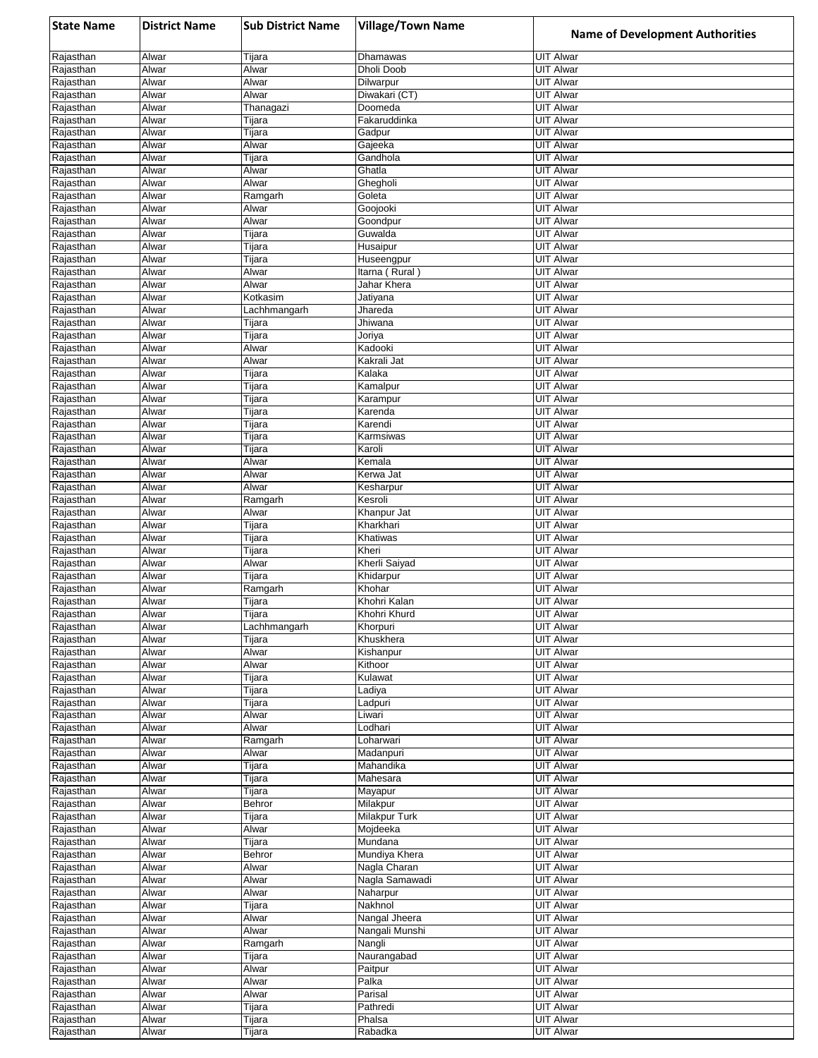| <b>State Name</b>      | <b>District Name</b> | <b>Sub District Name</b> | <b>Village/Town Name</b>    | <b>Name of Development Authorities</b> |
|------------------------|----------------------|--------------------------|-----------------------------|----------------------------------------|
| Rajasthan              | Alwar                | Tijara                   | Dhamawas                    | <b>UIT Alwar</b>                       |
| Rajasthan              | Alwar                | Alwar                    | Dholi Doob                  | <b>UIT Alwar</b>                       |
| Rajasthan              | Alwar                | Alwar                    | Dilwarpur                   | <b>UIT Alwar</b>                       |
| Rajasthan<br>Rajasthan | Alwar<br>Alwar       | Alwar                    | Diwakari (CT)<br>Doomeda    | <b>UIT Alwar</b><br>UIT Alwar          |
| Rajasthan              | Alwar                | Thanagazi<br>Tijara      | Fakaruddinka                | <b>UIT Alwar</b>                       |
| Rajasthan              | Alwar                | Tijara                   | Gadpur                      | <b>UIT Alwar</b>                       |
| Rajasthan              | <b>Alwar</b>         | Alwar                    | Gajeeka                     | <b>UIT Alwar</b>                       |
| Rajasthan              | Alwar                | Tijara                   | Gandhola                    | <b>UIT Alwar</b>                       |
| Rajasthan              | Alwar<br>Alwar       | Alwar                    | Ghatla                      | <b>UIT Alwar</b><br><b>UIT Alwar</b>   |
| Rajasthan<br>Rajasthan | Alwar                | Alwar<br>Ramgarh         | Ghegholi<br>Goleta          | <b>UIT Alwar</b>                       |
| Rajasthan              | Alwar                | Alwar                    | Goojooki                    | <b>UIT Alwar</b>                       |
| Rajasthan              | Alwar                | Alwar                    | Goondpur                    | <b>UIT Alwar</b>                       |
| Rajasthan              | Alwar                | Tijara                   | Guwalda                     | <b>UIT Alwar</b>                       |
| Rajasthan              | Alwar                | Tijara                   | Husaipur                    | <b>UIT Alwar</b>                       |
| Rajasthan<br>Rajasthan | Alwar<br>Alwar       | Tijara<br>Alwar          | Huseengpur<br>Itarna (Rural | <b>UIT Alwar</b><br><b>UIT Alwar</b>   |
| Rajasthan              | Alwar                | Alwar                    | Jahar Khera                 | <b>UIT Alwar</b>                       |
| Rajasthan              | Alwar                | Kotkasim                 | Jatiyana                    | UIT Alwar                              |
| Rajasthan              | Alwar                | Lachhmangarh             | Jhareda                     | <b>UIT Alwar</b>                       |
| Rajasthan              | Alwar                | Tijara                   | Jhiwana                     | <b>UIT Alwar</b>                       |
| Rajasthan<br>Rajasthan | Alwar<br>Alwar       | Tijara<br>Alwar          | Joriya<br>Kadooki           | <b>UIT Alwar</b><br><b>UIT Alwar</b>   |
| Rajasthan              | Alwar                | Alwar                    | Kakrali Jat                 | UIT Alwar                              |
| Rajasthan              | Alwar                | Tijara                   | Kalaka                      | <b>UIT Alwar</b>                       |
| Rajasthan              | Alwar                | Tijara                   | Kamalpur                    | <b>UIT Alwar</b>                       |
| Rajasthan              | Alwar                | Tijara                   | Karampur                    | <b>UIT Alwar</b>                       |
| Rajasthan              | Alwar                | Tijara                   | Karenda                     | UIT Alwar<br><b>UIT Alwar</b>          |
| Rajasthan<br>Rajasthan | Alwar<br>Alwar       | Tijara<br>Tijara         | Karendi<br>Karmsiwas        | <b>UIT Alwar</b>                       |
| Rajasthan              | Alwar                | Tijara                   | Karoli                      | UIT Alwar                              |
| Rajasthan              | Alwar                | Alwar                    | Kemala                      | <b>UIT Alwar</b>                       |
| Rajasthan              | Alwar                | Alwar                    | Kerwa Jat                   | <b>UIT Alwar</b>                       |
| Rajasthan              | Alwar                | Alwar                    | Kesharpur                   | UIT Alwar                              |
| Rajasthan<br>Rajasthan | Alwar<br>Alwar       | Ramgarh<br>Alwar         | Kesroli<br>Khanpur Jat      | <b>UIT Alwar</b><br>UIT Alwar          |
| Rajasthan              | Alwar                | Tijara                   | Kharkhari                   | <b>UIT Alwar</b>                       |
| Rajasthan              | Alwar                | Tijara                   | Khatiwas                    | <b>UIT Alwar</b>                       |
| Rajasthan              | Alwar                | Tijara                   | Kheri                       | UIT Alwar                              |
| Rajasthan              | Alwar                | Alwar                    | Kherli Saiyad               | <b>UIT Alwar</b>                       |
| Rajasthan<br>Rajasthan | Alwar<br>Alwar       | Tijara<br>Ramgarh        | Khidarpur<br>Khohar         | <b>UIT Alwar</b><br><b>UIT Alwar</b>   |
| Rajasthan              | Alwar                | Tijara                   | Khohri Kalan                | UIT Alwar                              |
| Rajasthan              | Alwar                | Tijara                   | Khohri Khurd                | <b>UIT Alwar</b>                       |
| Rajasthan              | Alwar                | Lachhmangarh             | Khorpuri                    | <b>UIT Alwar</b>                       |
| Rajasthan              | Alwar                | Tijara                   | Khuskhera                   | <b>UIT Alwar</b>                       |
| Rajasthan<br>Rajasthan | Alwar<br>Alwar       | Alwar<br>Alwar           | Kishanpur<br>Kithoor        | <b>UIT Alwar</b><br><b>UIT Alwar</b>   |
| Rajasthan              | Alwar                | Tijara                   | Kulawat                     | <b>UIT Alwar</b>                       |
| Rajasthan              | Alwar                | Tijara                   | Ladiya                      | UIT Alwar                              |
| Rajasthan              | Alwar                | Tijara                   | Ladpuri                     | <b>UIT Alwar</b>                       |
| Rajasthan              | Alwar                | Alwar                    | Liwari                      | <b>UIT Alwar</b>                       |
| Rajasthan              | Alwar                | Alwar                    | Lodhari                     | <b>UIT Alwar</b>                       |
| Rajasthan<br>Rajasthan | Alwar<br>Alwar       | Ramgarh<br>Alwar         | Loharwari<br>Madanpuri      | UIT Alwar<br><b>UIT Alwar</b>          |
| Rajasthan              | Alwar                | Tijara                   | Mahandika                   | <b>UIT Alwar</b>                       |
| Rajasthan              | Alwar                | Tijara                   | Mahesara                    | UIT Alwar                              |
| Rajasthan              | Alwar                | Tijara                   | Mayapur                     | <b>UIT Alwar</b>                       |
| Rajasthan              | Alwar                | Behror                   | Milakpur                    | UIT Alwar                              |
| Rajasthan<br>Rajasthan | Alwar<br>Alwar       | Tijara<br>Alwar          | Milakpur Turk<br>Mojdeeka   | <b>UIT Alwar</b><br><b>UIT Alwar</b>   |
| Rajasthan              | Alwar                | Tijara                   | Mundana                     | <b>UIT Alwar</b>                       |
| Rajasthan              | Alwar                | Behror                   | Mundiya Khera               | <b>UIT Alwar</b>                       |
| Rajasthan              | Alwar                | Alwar                    | Nagla Charan                | UIT Alwar                              |
| Rajasthan              | Alwar                | Alwar                    | Nagla Samawadi              | <b>UIT Alwar</b>                       |
| Rajasthan              | Alwar                | Alwar                    | Naharpur                    | <b>UIT Alwar</b>                       |
| Rajasthan<br>Rajasthan | Alwar<br>Alwar       | Tijara<br>Alwar          | Nakhnol<br>Nangal Jheera    | <b>UIT Alwar</b><br><b>UIT Alwar</b>   |
| Rajasthan              | Alwar                | Alwar                    | Nangali Munshi              | <b>UIT Alwar</b>                       |
| Rajasthan              | Alwar                | Ramgarh                  | Nangli                      | <b>UIT Alwar</b>                       |
| Rajasthan              | Alwar                | Tijara                   | Naurangabad                 | <b>UIT Alwar</b>                       |
| Rajasthan              | Alwar                | Alwar                    | Paitpur                     | <b>UIT Alwar</b>                       |
| Rajasthan              | Alwar                | Alwar                    | Palka                       | <b>UIT Alwar</b>                       |
| Rajasthan<br>Rajasthan | Alwar<br>Alwar       | Alwar<br>Tijara          | Parisal<br>Pathredi         | <b>UIT Alwar</b><br><b>UIT Alwar</b>   |
| Rajasthan              | Alwar                | Tijara                   | Phalsa                      | UIT Alwar                              |
| Rajasthan              | Alwar                | Tijara                   | Rabadka                     | <b>UIT Alwar</b>                       |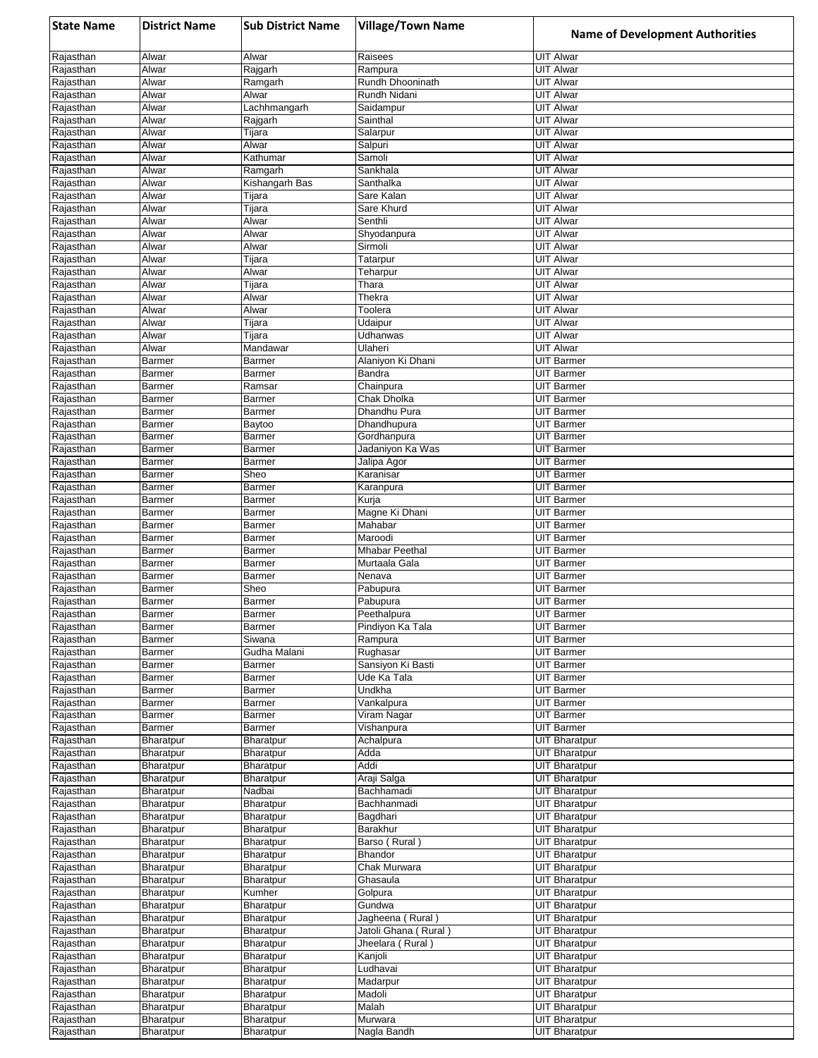| <b>State Name</b>      | <b>District Name</b>          | <b>Sub District Name</b>  | <b>Village/Town Name</b>                   | <b>Name of Development Authorities</b>       |
|------------------------|-------------------------------|---------------------------|--------------------------------------------|----------------------------------------------|
| Rajasthan              | Alwar                         | Alwar                     | Raisees                                    | <b>UIT Alwar</b>                             |
| Rajasthan              | Alwar                         | Rajgarh                   | Rampura                                    | <b>UIT Alwar</b>                             |
| Rajasthan              | Alwar                         | Ramgarh                   | Rundh Dhooninath                           | <b>UIT Alwar</b>                             |
| Rajasthan<br>Rajasthan | Alwar<br>Alwar                | Alwar<br>Lachhmangarh     | Rundh Nidani<br>Saidampur                  | <b>UIT Alwar</b><br>UIT Alwar                |
| Rajasthan              | <b>Alwar</b>                  | Rajgarh                   | Sainthal                                   | <b>UIT Alwar</b>                             |
| Rajasthan              | Alwar                         | Tijara                    | Salarpur                                   | <b>UIT Alwar</b>                             |
| Rajasthan              | Alwar                         | Alwar                     | Salpuri                                    | <b>UIT Alwar</b>                             |
| Rajasthan              | Alwar                         | Kathumar                  | Samoli                                     | <b>UIT Alwar</b>                             |
| Rajasthan<br>Rajasthan | Alwar<br>Alwar                | Ramgarh<br>Kishangarh Bas | Sankhala<br>Santhalka                      | <b>UIT Alwar</b><br><b>UIT Alwar</b>         |
| Rajasthan              | Alwar                         | Tijara                    | Sare Kalan                                 | UIT Alwar                                    |
| Rajasthan              | Alwar                         | Tijara                    | Sare Khurd                                 | UIT Alwar                                    |
| Rajasthan              | Alwar                         | Alwar                     | Senthli                                    | <b>UIT Alwar</b>                             |
| Rajasthan              | Alwar                         | Alwar                     | Shyodanpura                                | UIT Alwar                                    |
| Rajasthan              | Alwar                         | Alwar                     | Sirmoli                                    | <b>UIT Alwar</b>                             |
| Rajasthan<br>Rajasthan | Alwar<br>Alwar                | Tijara<br>Alwar           | Tatarpur<br>Teharpur                       | <b>UIT Alwar</b><br><b>UIT Alwar</b>         |
| Rajasthan              | Alwar                         | Tijara                    | Thara                                      | <b>UIT Alwar</b>                             |
| Rajasthan              | Alwar                         | Alwar                     | Thekra                                     | <b>UIT Alwar</b>                             |
| Rajasthan              | Alwar                         | Alwar                     | Toolera                                    | <b>UIT Alwar</b>                             |
| Rajasthan              | Alwar                         | Tijara                    | Udaipur                                    | <b>UIT Alwar</b>                             |
| Rajasthan              | Alwar                         | Tijara                    | Udhanwas                                   | <b>UIT Alwar</b>                             |
| Rajasthan              | Alwar                         | Mandawar                  | Ulaheri                                    | <b>UIT Alwar</b>                             |
| Rajasthan<br>Rajasthan | <b>Barmer</b><br>Barmer       | Barmer<br><b>Barmer</b>   | Alaniyon Ki Dhani<br>Bandra                | <b>UIT Barmer</b><br><b>UIT Barmer</b>       |
| Rajasthan              | Barmer                        | Ramsar                    | Chainpura                                  | <b>UIT Barmer</b>                            |
| Rajasthan              | <b>Barmer</b>                 | Barmer                    | Chak Dholka                                | <b>UIT Barmer</b>                            |
| Rajasthan              | Barmer                        | Barmer                    | Dhandhu Pura                               | <b>UIT Barmer</b>                            |
| Rajasthan              | Barmer                        | Baytoo                    | Dhandhupura                                | <b>UIT Barmer</b>                            |
| Rajasthan              | Barmer                        | Barmer                    | Gordhanpura                                | UIT Barmer                                   |
| Rajasthan              | <b>Barmer</b>                 | <b>Barmer</b>             | Jadaniyon Ka Was                           | <b>UIT Barmer</b>                            |
| Rajasthan<br>Rajasthan | Barmer<br>Barmer              | <b>Barmer</b><br>Sheo     | Jalipa Agor<br>Karanisar                   | <b>UIT Barmer</b><br><b>UIT Barmer</b>       |
| Rajasthan              | Barmer                        | Barmer                    | Karanpura                                  | <b>UIT Barmer</b>                            |
| Rajasthan              | Barmer                        | Barmer                    | Kurja                                      | <b>UIT Barmer</b>                            |
| Rajasthan              | Barmer                        | Barmer                    | Magne Ki Dhani                             | UIT Barmer                                   |
| Rajasthan              | Barmer                        | <b>Barmer</b>             | Mahabar                                    | <b>UIT Barmer</b>                            |
| Rajasthan              | Barmer                        | <b>Barmer</b>             | Maroodi                                    | <b>UIT Barmer</b>                            |
| Rajasthan<br>Rajasthan | Barmer<br>Barmer              | Barmer<br>Barmer          | Mhabar Peethal<br>Murtaala Gala            | <b>UIT Barmer</b><br><b>UIT Barmer</b>       |
| Rajasthan              | Barmer                        | Barmer                    | Nenava                                     | <b>UIT Barmer</b>                            |
| Rajasthan              | Barmer                        | Sheo                      | Pabupura                                   | <b>UIT Barmer</b>                            |
| Rajasthan              | <b>Barmer</b>                 | Barmer                    | Pabupura                                   | UIT Barmer                                   |
| Rajasthan              | Barmer                        | Barmer                    | Peethalpura                                | UIT Barmer                                   |
| Rajasthan              | Barmer                        | Barmer                    | Pindiyon Ka Tala                           | <b>UIT Barmer</b>                            |
| Rajasthan<br>Rajasthan | Barmer<br>Barmer              | Siwana<br>Gudha Malani    | Rampura<br>Rughasar                        | <b>UIT Barmer</b><br><b>UIT Barmer</b>       |
| Rajasthan              | Barmer                        | Barmer                    | Sansiyon Ki Basti                          | <b>UIT Barmer</b>                            |
| Rajasthan              | Barmer                        | Barmer                    | Ude Ka Tala                                | <b>UIT Barmer</b>                            |
| Rajasthan              | Barmer                        | Barmer                    | Undkha                                     | <b>UIT Barmer</b>                            |
| Rajasthan              | Barmer                        | <b>Barmer</b>             | Vankalpura                                 | <b>UIT Barmer</b>                            |
| Rajasthan              | Barmer                        | Barmer                    | Viram Nagar                                | UIT Barmer                                   |
| Rajasthan<br>Rajasthan | Barmer<br>Bharatpur           | Barmer<br>Bharatpur       | Vishanpura<br>Achalpura                    | <b>UIT Barmer</b><br><b>UIT Bharatpur</b>    |
| Rajasthan              | Bharatpur                     | <b>Bharatpur</b>          | Adda                                       | <b>UIT Bharatpur</b>                         |
| Rajasthan              | Bharatpur                     | Bharatpur                 | Addi                                       | <b>UIT Bharatpur</b>                         |
| Rajasthan              | <b>Bharatpur</b>              | <b>Bharatpur</b>          | Araji Salga                                | <b>UIT Bharatpur</b>                         |
| Rajasthan              | Bharatpur                     | Nadbai                    | Bachhamadi                                 | <b>UIT Bharatpur</b>                         |
| Rajasthan              | Bharatpur                     | Bharatpur                 | Bachhanmadi                                | <b>UIT Bharatpur</b>                         |
| Rajasthan<br>Rajasthan | <b>Bharatpur</b>              | Bharatpur<br>Bharatpur    | Bagdhari<br>Barakhur                       | <b>UIT Bharatpur</b><br><b>UIT Bharatpur</b> |
| Rajasthan              | <b>Bharatpur</b><br>Bharatpur | Bharatpur                 | Barso (Rural)                              | <b>UIT Bharatpur</b>                         |
| Rajasthan              | Bharatpur                     | Bharatpur                 | Bhandor                                    | <b>UIT Bharatpur</b>                         |
| Rajasthan              | Bharatpur                     | Bharatpur                 | Chak Murwara                               | <b>UIT Bharatpur</b>                         |
| Rajasthan              | Bharatpur                     | Bharatpur                 | Ghasaula                                   | <b>UIT Bharatpur</b>                         |
| Rajasthan              | Bharatpur                     | Kumher                    | Golpura                                    | <b>UIT Bharatpur</b>                         |
| Rajasthan              | Bharatpur                     | Bharatpur                 | Gundwa                                     | <b>UIT Bharatpur</b>                         |
| Rajasthan<br>Rajasthan | Bharatpur                     | Bharatpur                 | Jagheena (Rural)<br>Jatoli Ghana ( Rural ) | <b>UIT Bharatpur</b><br><b>UIT Bharatpur</b> |
| Rajasthan              | Bharatpur<br>Bharatpur        | Bharatpur<br>Bharatpur    | Jheelara (Rural)                           | <b>UIT Bharatpur</b>                         |
| Rajasthan              | Bharatpur                     | Bharatpur                 | Kanjoli                                    | <b>UIT Bharatpur</b>                         |
| Rajasthan              | Bharatpur                     | Bharatpur                 | Ludhavai                                   | <b>UIT Bharatpur</b>                         |
| Rajasthan              | Bharatpur                     | Bharatpur                 | Madarpur                                   | <b>UIT Bharatpur</b>                         |
| Rajasthan              | Bharatpur                     | Bharatpur                 | Madoli                                     | <b>UIT Bharatpur</b>                         |
| Rajasthan              | Bharatpur                     | Bharatpur                 | Malah                                      | <b>UIT Bharatpur</b>                         |
| Rajasthan<br>Rajasthan | Bharatpur<br>Bharatpur        | Bharatpur<br>Bharatpur    | Murwara<br>Nagla Bandh                     | <b>UIT Bharatpur</b><br><b>UIT Bharatpur</b> |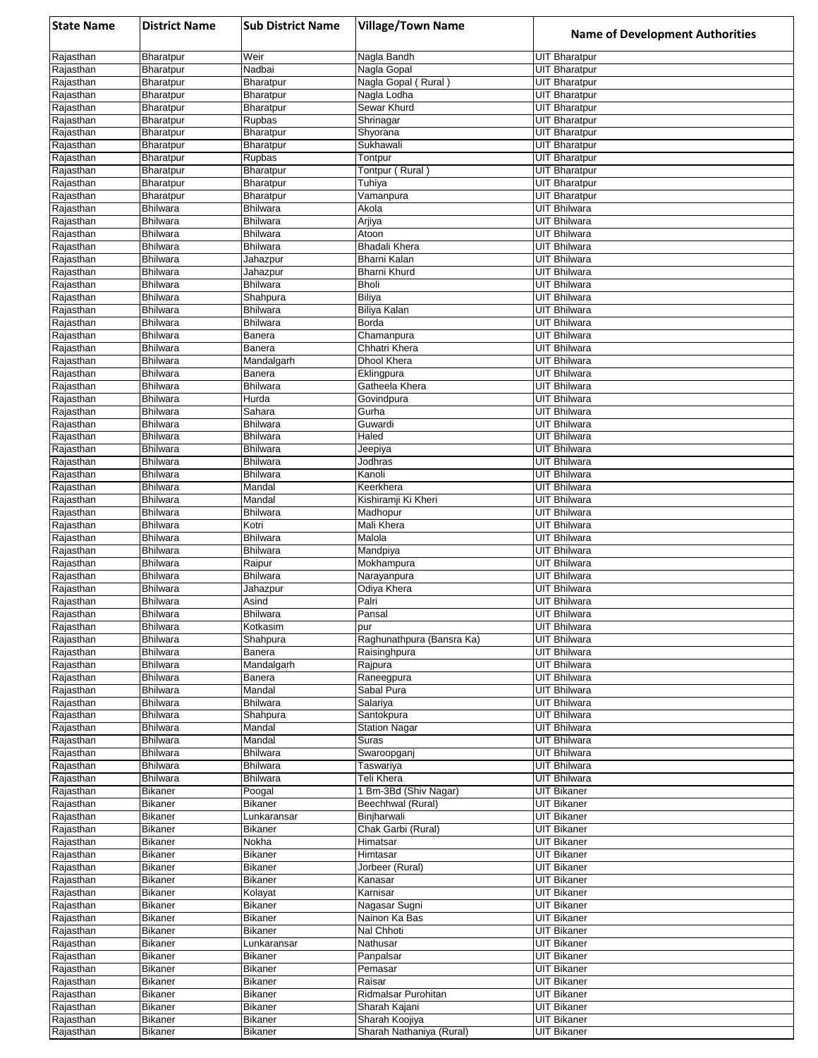| <b>State Name</b>      | <b>District Name</b>               | <b>Sub District Name</b>           | <b>Village/Town Name</b>             | <b>Name of Development Authorities</b>       |
|------------------------|------------------------------------|------------------------------------|--------------------------------------|----------------------------------------------|
| Rajasthan              | Bharatpur                          | Weir                               | Nagla Bandh                          | <b>UIT Bharatpur</b>                         |
| Rajasthan              | Bharatpur                          | Nadbai                             | Nagla Gopal                          | <b>UIT Bharatpur</b>                         |
| Rajasthan              | Bharatpur                          | Bharatpur                          | Nagla Gopal (Rural)                  | <b>UIT Bharatpur</b>                         |
| Rajasthan<br>Rajasthan | Bharatpur<br>Bharatpur             | Bharatpur<br>Bharatpur             | Nagla Lodha<br>Sewar Khurd           | UIT Bharatpur<br><b>UIT Bharatpur</b>        |
| Rajasthan              | Bharatpur                          | Rupbas                             | Shrinagar                            | <b>UIT Bharatpur</b>                         |
| Rajasthan              | Bharatpur                          | Bharatpur                          | Shyorana                             | <b>UIT Bharatpur</b>                         |
| Rajasthan              | Bharatpur                          | Bharatpur                          | Sukhawali                            | <b>UIT Bharatpur</b>                         |
| Rajasthan              | Bharatpur                          | Rupbas                             | Tontpur                              | <b>UIT Bharatpur</b>                         |
| Rajasthan<br>Rajasthan | Bharatpur<br>Bharatpur             | Bharatpur<br>Bharatpur             | Tontpur (Rural)<br>Tuhiya            | <b>UIT Bharatpur</b><br><b>UIT Bharatpur</b> |
| Rajasthan              | Bharatpur                          | Bharatpur                          | Vamanpura                            | <b>UIT Bharatpur</b>                         |
| Rajasthan              | <b>Bhilwara</b>                    | <b>Bhilwara</b>                    | Akola                                | UIT Bhilwara                                 |
| Rajasthan              | <b>Bhilwara</b>                    | <b>Bhilwara</b>                    | Arjiya                               | <b>UIT Bhilwara</b>                          |
| Rajasthan              | <b>Bhilwara</b>                    | <b>Bhilwara</b>                    | Atoon                                | UIT Bhilwara                                 |
| Rajasthan              | <b>Bhilwara</b>                    | <b>Bhilwara</b>                    | <b>Bhadali Khera</b>                 | <b>UIT Bhilwara</b>                          |
| Rajasthan<br>Rajasthan | <b>Bhilwara</b><br><b>Bhilwara</b> | Jahazpur<br>Jahazpur               | Bharni Kalan<br>Bharni Khurd         | <b>UIT Bhilwara</b><br>UIT Bhilwara          |
| Rajasthan              | <b>Bhilwara</b>                    | <b>Bhilwara</b>                    | <b>Bholi</b>                         | <b>UIT Bhilwara</b>                          |
| Rajasthan              | <b>Bhilwara</b>                    | Shahpura                           | Biliya                               | <b>UIT Bhilwara</b>                          |
| Rajasthan              | <b>Bhilwara</b>                    | <b>Bhilwara</b>                    | <b>Biliya Kalan</b>                  | <b>UIT Bhilwara</b>                          |
| Rajasthan              | <b>Bhilwara</b>                    | <b>Bhilwara</b>                    | Borda                                | UIT Bhilwara                                 |
| Rajasthan<br>Rajasthan | <b>Bhilwara</b><br><b>Bhilwara</b> | Banera<br>Banera                   | Chamanpura<br>Chhatri Khera          | UIT Bhilwara<br>UIT Bhilwara                 |
| Rajasthan              | <b>Bhilwara</b>                    | Mandalgarh                         | Dhool Khera                          | <b>UIT Bhilwara</b>                          |
| Rajasthan              | <b>Bhilwara</b>                    | Banera                             | Eklingpura                           | <b>UIT Bhilwara</b>                          |
| Rajasthan              | <b>Bhilwara</b>                    | <b>Bhilwara</b>                    | Gatheela Khera                       | <b>UIT Bhilwara</b>                          |
| Rajasthan              | <b>Bhilwara</b>                    | Hurda                              | Govindpura                           | <b>UIT Bhilwara</b>                          |
| Rajasthan              | <b>Bhilwara</b>                    | Sahara                             | Gurha                                | <b>UIT Bhilwara</b>                          |
| Rajasthan<br>Rajasthan | <b>Bhilwara</b><br>Bhilwara        | <b>Bhilwara</b><br><b>Bhilwara</b> | Guwardi<br>Haled                     | UIT Bhilwara<br><b>UIT Bhilwara</b>          |
| Rajasthan              | <b>Bhilwara</b>                    | <b>Bhilwara</b>                    | Jeepiya                              | <b>UIT Bhilwara</b>                          |
| Rajasthan              | <b>Bhilwara</b>                    | <b>Bhilwara</b>                    | Jodhras                              | <b>UIT Bhilwara</b>                          |
| Rajasthan              | <b>Bhilwara</b>                    | <b>Bhilwara</b>                    | Kanoli                               | UIT Bhilwara                                 |
| Rajasthan              | <b>Bhilwara</b>                    | Mandal                             | Keerkhera                            | UIT Bhilwara                                 |
| Rajasthan<br>Rajasthan | Bhilwara<br><b>Bhilwara</b>        | Mandal<br>Bhilwara                 | Kishiramji Ki Kheri<br>Madhopur      | UIT Bhilwara<br>UIT Bhilwara                 |
| Rajasthan              | <b>Bhilwara</b>                    | Kotri                              | Mali Khera                           | <b>UIT Bhilwara</b>                          |
| Rajasthan              | <b>Bhilwara</b>                    | <b>Bhilwara</b>                    | Malola                               | <b>UIT Bhilwara</b>                          |
| Rajasthan              | <b>Bhilwara</b>                    | <b>Bhilwara</b>                    | Mandpiya                             | <b>UIT Bhilwara</b>                          |
| Rajasthan              | <b>Bhilwara</b>                    | Raipur                             | Mokhampura                           | UIT Bhilwara                                 |
| Rajasthan<br>Rajasthan | <b>Bhilwara</b><br><b>Bhilwara</b> | <b>Bhilwara</b><br>Jahazpur        | Narayanpura<br>Odiya Khera           | <b>UIT Bhilwara</b><br>UIT Bhilwara          |
| Rajasthan              | <b>Bhilwara</b>                    | Asind                              | Palri                                | UIT Bhilwara                                 |
| Rajasthan              | <b>Bhilwara</b>                    | <b>Bhilwara</b>                    | Pansal                               | <b>UIT Bhilwara</b>                          |
| Rajasthan              | <b>Bhilwara</b>                    | Kotkasim                           | pur                                  | <b>UIT Bhilwara</b>                          |
| Rajasthan              | <b>Bhilwara</b>                    | Shahpura                           | Raghunathpura (Bansra Ka)            | <b>UIT Bhilwara</b>                          |
| Rajasthan<br>Rajasthan | <b>Bhilwara</b><br><b>Bhilwara</b> | Banera<br>Mandalgarh               | Raisinghpura<br>Rajpura              | <b>UIT Bhilwara</b><br><b>UIT Bhilwara</b>   |
| Rajasthan              | <b>Bhilwara</b>                    | Banera                             | Raneegpura                           | <b>UIT Bhilwara</b>                          |
| Rajasthan              | <b>Bhilwara</b>                    | Mandal                             | Sabal Pura                           | UIT Bhilwara                                 |
| Rajasthan              | <b>Bhilwara</b>                    | <b>Bhilwara</b>                    | Salariya                             | <b>UIT Bhilwara</b>                          |
| Rajasthan              | <b>Bhilwara</b>                    | Shahpura                           | Santokpura                           | <b>UIT Bhilwara</b>                          |
| Rajasthan              | <b>Bhilwara</b>                    | Mandal                             | <b>Station Nagar</b>                 | <b>UIT Bhilwara</b>                          |
| Rajasthan<br>Rajasthan | <b>Bhilwara</b><br><b>Bhilwara</b> | Mandal<br><b>Bhilwara</b>          | Suras<br>Swaroopganj                 | <b>UIT Bhilwara</b><br><b>UIT Bhilwara</b>   |
| Rajasthan              | <b>Bhilwara</b>                    | <b>Bhilwara</b>                    | Taswariya                            | <b>UIT Bhilwara</b>                          |
| Rajasthan              | <b>Bhilwara</b>                    | Bhilwara                           | Teli Khera                           | UIT Bhilwara                                 |
| Rajasthan              | <b>Bikaner</b>                     | Poogal                             | 1 Bm-3Bd (Shiv Nagar)                | <b>UIT Bikaner</b>                           |
| Rajasthan              | <b>Bikaner</b>                     | Bikaner                            | Beechhwal (Rural)                    | <b>UIT Bikaner</b>                           |
| Rajasthan<br>Rajasthan | Bikaner<br><b>Bikaner</b>          | Lunkaransar<br>Bikaner             | Binjharwali<br>Chak Garbi (Rural)    | <b>UIT Bikaner</b><br><b>UIT Bikaner</b>     |
| Rajasthan              | <b>Bikaner</b>                     | Nokha                              | Himatsar                             | <b>UIT Bikaner</b>                           |
| Rajasthan              | <b>Bikaner</b>                     | Bikaner                            | Himtasar                             | <b>UIT Bikaner</b>                           |
| Rajasthan              | Bikaner                            | Bikaner                            | Jorbeer (Rural)                      | <b>UIT Bikaner</b>                           |
| Rajasthan              | <b>Bikaner</b>                     | Bikaner                            | Kanasar                              | <b>UIT Bikaner</b>                           |
| Rajasthan              | <b>Bikaner</b>                     | Kolayat                            | Karnisar                             | <b>UIT Bikaner</b>                           |
| Rajasthan<br>Rajasthan | Bikaner<br><b>Bikaner</b>          | Bikaner<br>Bikaner                 | Nagasar Sugni<br>Nainon Ka Bas       | UIT Bikaner<br><b>UIT Bikaner</b>            |
| Rajasthan              | Bikaner                            | Bikaner                            | Nal Chhoti                           | <b>UIT Bikaner</b>                           |
| Rajasthan              | <b>Bikaner</b>                     | Lunkaransar                        | Nathusar                             | <b>UIT Bikaner</b>                           |
| Rajasthan              | <b>Bikaner</b>                     | Bikaner                            | Panpalsar                            | <b>UIT Bikaner</b>                           |
| Rajasthan              | <b>Bikaner</b>                     | Bikaner                            | Pemasar                              | <b>UIT Bikaner</b>                           |
| Rajasthan              | <b>Bikaner</b>                     | Bikaner                            | Raisar                               | <b>UIT Bikaner</b><br><b>UIT Bikaner</b>     |
| Rajasthan<br>Rajasthan | <b>Bikaner</b><br><b>Bikaner</b>   | Bikaner<br>Bikaner                 | Ridmalsar Purohitan<br>Sharah Kajani | <b>UIT Bikaner</b>                           |
| Rajasthan              | <b>Bikaner</b>                     | Bikaner                            | Sharah Koojiya                       | <b>UIT Bikaner</b>                           |
| Rajasthan              | Bikaner                            | Bikaner                            | Sharah Nathaniya (Rural)             | <b>UIT Bikaner</b>                           |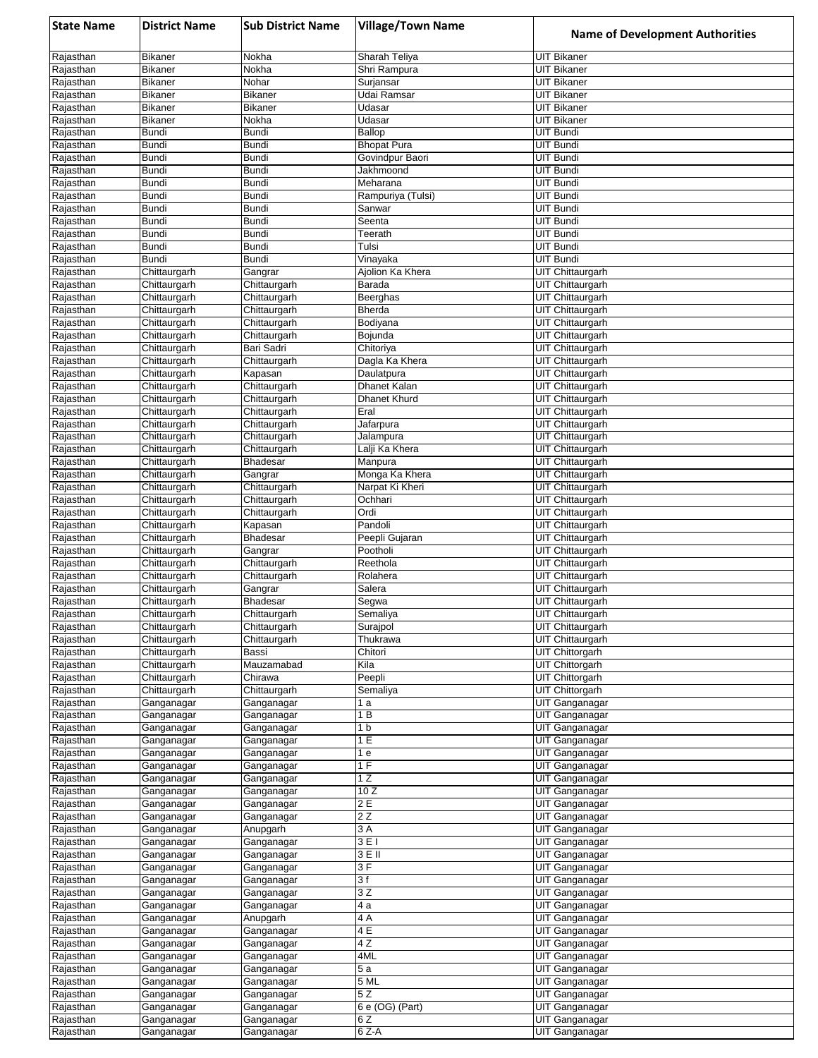| <b>State Name</b>      | <b>District Name</b>             | <b>Sub District Name</b>     | <b>Village/Town Name</b>          | <b>Name of Development Authorities</b>      |
|------------------------|----------------------------------|------------------------------|-----------------------------------|---------------------------------------------|
| Rajasthan              | Bikaner                          | Nokha                        | Sharah Teliya                     | <b>UIT Bikaner</b>                          |
| Rajasthan              | <b>Bikaner</b>                   | Nokha                        | Shri Rampura                      | <b>UIT Bikaner</b>                          |
| Rajasthan              | <b>Bikaner</b><br><b>Bikaner</b> | Nohar<br><b>Bikaner</b>      | Surjansar<br>Udai Ramsar          | UIT Bikaner<br><b>UIT Bikaner</b>           |
| Rajasthan<br>Rajasthan | <b>Bikaner</b>                   | <b>Bikaner</b>               | Udasar                            | <b>UIT Bikaner</b>                          |
| Rajasthan              | <b>Bikaner</b>                   | Nokha                        | Udasar                            | <b>UIT Bikaner</b>                          |
| Rajasthan              | <b>Bundi</b>                     | Bundi                        | Ballop                            | <b>UIT Bundi</b>                            |
| Rajasthan              | <b>Bundi</b>                     | Bundi                        | <b>Bhopat Pura</b>                | UIT Bundi                                   |
| Rajasthan              | <b>Bundi</b><br><b>Bundi</b>     | Bundi<br>Bundi               | Govindpur Baori<br>Jakhmoond      | <b>UIT Bundi</b><br><b>UIT Bundi</b>        |
| Rajasthan<br>Rajasthan | <b>Bundi</b>                     | <b>Bundi</b>                 | Meharana                          | <b>UIT Bundi</b>                            |
| Rajasthan              | <b>Bundi</b>                     | Bundi                        | Rampuriya (Tulsi)                 | <b>UIT Bundi</b>                            |
| Rajasthan              | <b>Bundi</b>                     | Bundi                        | Sanwar                            | <b>UIT Bundi</b>                            |
| Rajasthan              | <b>Bundi</b>                     | Bundi                        | Seenta                            | UIT Bundi                                   |
| Rajasthan<br>Rajasthan | Bundi<br><b>Bundi</b>            | Bundi<br>Bundi               | Teerath<br>Tulsi                  | UIT Bundi<br><b>UIT Bundi</b>               |
| Rajasthan              | <b>Bundi</b>                     | <b>Bundi</b>                 | Vinayaka                          | UIT Bundi                                   |
| Rajasthan              | Chittaurgarh                     | Gangrar                      | Ajolion Ka Khera                  | UIT Chittaurgarh                            |
| Rajasthan              | Chittaurgarh                     | Chittaurgarh                 | Barada                            | UIT Chittaurgarh                            |
| Rajasthan              | Chittaurgarh                     | Chittaurgarh                 | Beerghas                          | UIT Chittaurgarh                            |
| Rajasthan<br>Rajasthan | Chittaurgarh<br>Chittaurgarh     | Chittaurgarh<br>Chittaurgarh | <b>Bherda</b><br>Bodiyana         | UIT Chittaurgarh<br>UIT Chittaurgarh        |
| Rajasthan              | Chittaurgarh                     | Chittaurgarh                 | Bojunda                           | <b>UIT Chittaurgarh</b>                     |
| Rajasthan              | Chittaurgarh                     | Bari Sadri                   | Chitoriya                         | <b>UIT Chittaurgarh</b>                     |
| Rajasthan              | Chittaurgarh                     | Chittaurgarh                 | Dagla Ka Khera                    | <b>UIT Chittaurgarh</b>                     |
| Rajasthan              | Chittaurgarh                     | Kapasan                      | Daulatpura                        | UIT Chittaurgarh                            |
| Rajasthan              | Chittaurgarh                     | Chittaurgarh                 | Dhanet Kalan                      | UIT Chittaurgarh<br><b>UIT Chittaurgarh</b> |
| Rajasthan<br>Rajasthan | Chittaurgarh<br>Chittaurgarh     | Chittaurgarh<br>Chittaurgarh | Dhanet Khurd<br>Eral              | UIT Chittaurgarh                            |
| Rajasthan              | Chittaurgarh                     | Chittaurgarh                 | Jafarpura                         | <b>UIT Chittaurgarh</b>                     |
| Rajasthan              | Chittaurgarh                     | Chittaurgarh                 | Jalampura                         | UIT Chittaurgarh                            |
| Rajasthan              | Chittaurgarh                     | Chittaurgarh                 | Lalji Ka Khera                    | UIT Chittaurgarh                            |
| Rajasthan              | Chittaurgarh                     | <b>Bhadesar</b>              | Manpura                           | UIT Chittaurgarh                            |
| Rajasthan<br>Rajasthan | Chittaurgarh<br>Chittaurgarh     | Gangrar<br>Chittaurgarh      | Monga Ka Khera<br>Narpat Ki Kheri | UIT Chittaurgarh<br><b>UIT Chittaurgarh</b> |
| Rajasthan              | Chittaurgarh                     | Chittaurgarh                 | Ochhari                           | <b>UIT Chittaurgarh</b>                     |
| Rajasthan              | Chittaurgarh                     | Chittaurgarh                 | Ordi                              | <b>UIT Chittaurgarh</b>                     |
| Rajasthan              | Chittaurgarh                     | Kapasan                      | Pandoli                           | <b>UIT Chittaurgarh</b>                     |
| Rajasthan              | Chittaurgarh                     | <b>Bhadesar</b>              | Peepli Gujaran                    | UIT Chittaurgarh                            |
| Rajasthan<br>Rajasthan | Chittaurgarh<br>Chittaurgarh     | Gangrar<br>Chittaurgarh      | Pootholi<br>Reethola              | UIT Chittaurgarh<br><b>UIT Chittaurgarh</b> |
| Rajasthan              | Chittaurgarh                     | Chittaurgarh                 | Rolahera                          | UIT Chittaurgarh                            |
| Rajasthan              | Chittaurgarh                     | Gangrar                      | Salera                            | UIT Chittaurgarh                            |
| Rajasthan              | Chittaurgarh                     | Bhadesar                     | Segwa                             | UIT Chittaurgarh                            |
| Rajasthan              | Chittaurgarh                     | Chittaurgarh                 | Semaliya                          | <b>UIT Chittaurgarh</b>                     |
| Rajasthan<br>Rajasthan | Chittaurgarh<br>Chittaurgarh     | Chittaurgarh<br>Chittaurgarh | Surajpol<br>Thukrawa              | UIT Chittaurgarh<br><b>UIT Chittaurgarh</b> |
| Rajasthan              | Chittaurgarh                     | Bassi                        | Chitori                           | UIT Chittorgarh                             |
| Rajasthan              | Chittaurgarh                     | Mauzamabad                   | Kila                              | UIT Chittorgarh                             |
| Rajasthan              | Chittaurgarh                     | Chirawa                      | Peepli                            | <b>UIT Chittorgarh</b>                      |
| Rajasthan              | Chittaurgarh                     | Chittaurgarh                 | Semaliya                          | <b>UIT Chittorgarh</b>                      |
| Rajasthan              | Ganganagar                       | Ganganagar                   | 1 a                               | UIT Ganganagar                              |
| Rajasthan<br>Rajasthan | Ganganagar<br>Ganganagar         | Ganganagar<br>Ganganagar     | 1 B<br>1 b                        | UIT Ganganagar<br>UIT Ganganagar            |
| Rajasthan              | Ganganagar                       | Ganganagar                   | 1 E                               | UIT Ganganagar                              |
| Rajasthan              | Ganganagar                       | Ganganagar                   | 1 e                               | UIT Ganganagar                              |
| Rajasthan              | Ganganagar                       | Ganganagar                   | 1F                                | UIT Ganganagar                              |
| Rajasthan              | Ganganagar                       | Ganganagar                   | 1 Z                               | UIT Ganganagar                              |
| Rajasthan<br>Rajasthan | Ganganagar<br>Ganganagar         | Ganganagar<br>Ganganagar     | 10Z<br>2E                         | <b>UIT Ganganagar</b><br>UIT Ganganagar     |
| Rajasthan              | Ganganagar                       | Ganganagar                   | 2Z                                | UIT Ganganagar                              |
| Rajasthan              | Ganganagar                       | Anupgarh                     | 3 A                               | UIT Ganganagar                              |
| Rajasthan              | Ganganagar                       | Ganganagar                   | 3E1                               | UIT Ganganagar                              |
| Rajasthan              | Ganganagar                       | Ganganagar                   | 3EII                              | UIT Ganganagar                              |
| Rajasthan<br>Rajasthan | Ganganagar<br>Ganganagar         | Ganganagar<br>Ganganagar     | 3 F<br>3f                         | UIT Ganganagar<br>UIT Ganganagar            |
| Rajasthan              | Ganganagar                       | Ganganagar                   | 3 Z                               | UIT Ganganagar                              |
| Rajasthan              | Ganganagar                       | Ganganagar                   | 4 a                               | UIT Ganganagar                              |
| Rajasthan              | Ganganagar                       | Anupgarh                     | 4 A                               | UIT Ganganagar                              |
| Rajasthan              | Ganganagar                       | Ganganagar                   | 4 E                               | UIT Ganganagar                              |
| Rajasthan              | Ganganagar                       | Ganganagar                   | 4 Z                               | UIT Ganganagar                              |
| Rajasthan<br>Rajasthan | Ganganagar<br>Ganganagar         | Ganganagar<br>Ganganagar     | 4ML<br>5a                         | UIT Ganganagar<br>UIT Ganganagar            |
| Rajasthan              | Ganganagar                       | Ganganagar                   | 5 ML                              | UIT Ganganagar                              |
| Rajasthan              | Ganganagar                       | Ganganagar                   | 5 Z                               | UIT Ganganagar                              |
| Rajasthan              | Ganganagar                       | Ganganagar                   | 6 e (OG) (Part)                   | UIT Ganganagar                              |
| Rajasthan              | Ganganagar                       | Ganganagar                   | 6 Z                               | UIT Ganganagar                              |
| Rajasthan              | Ganganagar                       | Ganganagar                   | 6 Z-A                             | UIT Ganganagar                              |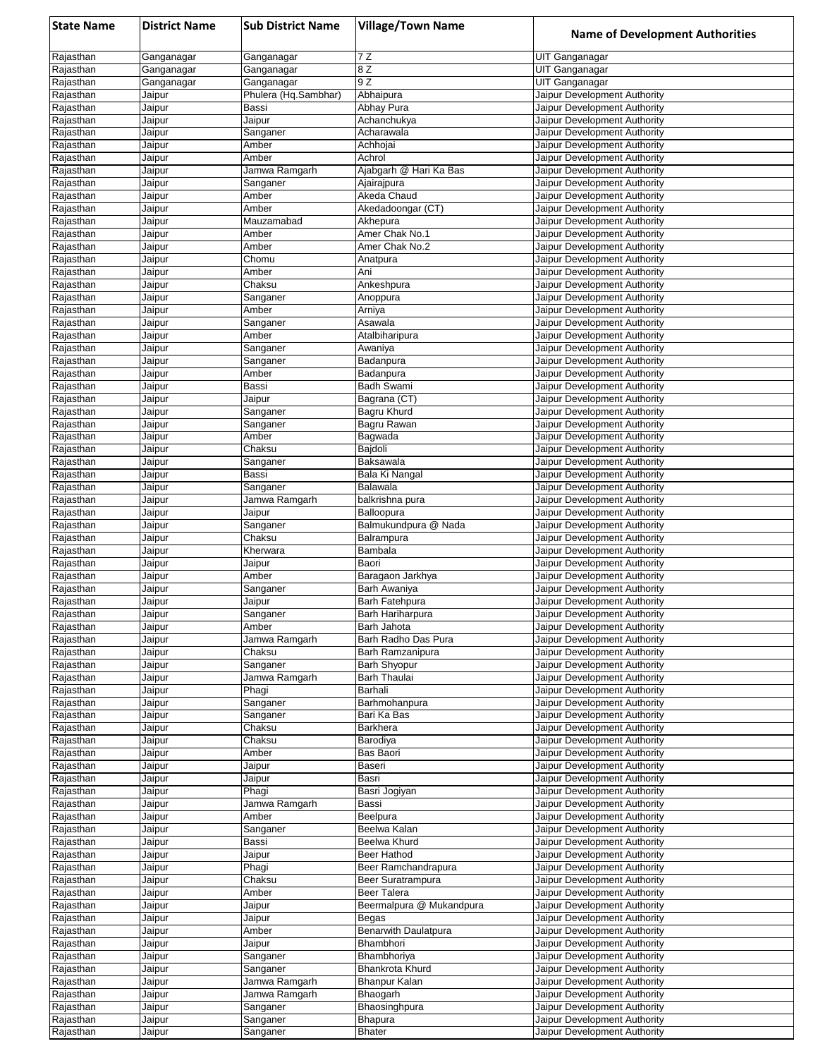| <b>State Name</b>      | <b>District Name</b> | <b>Sub District Name</b>           | <b>Village/Town Name</b>                | <b>Name of Development Authorities</b>                       |
|------------------------|----------------------|------------------------------------|-----------------------------------------|--------------------------------------------------------------|
| Rajasthan              | Ganganagar           | Ganganagar                         | 7 Z                                     | UIT Ganganagar                                               |
| Rajasthan              | Ganganagar           | Ganganagar                         | 8 Z                                     | UIT Ganganagar                                               |
| Rajasthan<br>Rajasthan | Ganganagar<br>Jaipur | Ganganagar<br>Phulera (Hq.Sambhar) | 9Z<br>Abhaipura                         | UIT Ganganagar<br>Jaipur Development Authority               |
| Rajasthan              | Jaipur               | Bassi                              | Abhay Pura                              | Jaipur Development Authority                                 |
| Rajasthan              | Jaipur               | Jaipur                             | Achanchukya                             | Jaipur Development Authority                                 |
| Rajasthan              | Jaipur               | Sanganer                           | Acharawala                              | Jaipur Development Authority                                 |
| Rajasthan              | Jaipur               | Amber                              | Achhojai                                | Jaipur Development Authority                                 |
| Rajasthan<br>Rajasthan | Jaipur<br>Jaipur     | Amber<br>Jamwa Ramgarh             | Achrol<br>Ajabgarh @ Hari Ka Bas        | Jaipur Development Authority<br>Jaipur Development Authority |
| Rajasthan              | Jaipur               | Sanganer                           | Ajairajpura                             | Jaipur Development Authority                                 |
| Rajasthan              | Jaipur               | Amber                              | Akeda Chaud                             | Jaipur Development Authority                                 |
| Rajasthan              | Jaipur               | Amber                              | Akedadoongar (CT)                       | Jaipur Development Authority                                 |
| Rajasthan              | Jaipur               | Mauzamabad                         | Akhepura                                | Jaipur Development Authority                                 |
| Rajasthan              | Jaipur               | Amber                              | Amer Chak No.1                          | Jaipur Development Authority                                 |
| Rajasthan<br>Rajasthan | Jaipur<br>Jaipur     | Amber<br>Chomu                     | Amer Chak No.2<br>Anatpura              | Jaipur Development Authority<br>Jaipur Development Authority |
| Rajasthan              | Jaipur               | Amber                              | Ani                                     | Jaipur Development Authority                                 |
| Rajasthan              | Jaipur               | Chaksu                             | Ankeshpura                              | Jaipur Development Authority                                 |
| Rajasthan              | Jaipur               | Sanganer                           | Anoppura                                | Jaipur Development Authority                                 |
| Rajasthan              | Jaipur               | Amber                              | Arniya                                  | Jaipur Development Authority                                 |
| Rajasthan              | Jaipur               | Sanganer                           | Asawala                                 | Jaipur Development Authority<br>Jaipur Development Authority |
| Rajasthan<br>Rajasthan | Jaipur<br>Jaipur     | Amber<br>Sanganer                  | Atalbiharipura<br>Awaniya               | Jaipur Development Authority                                 |
| Rajasthan              | Jaipur               | Sanganer                           | Badanpura                               | Jaipur Development Authority                                 |
| Rajasthan              | Jaipur               | Amber                              | Badanpura                               | Jaipur Development Authority                                 |
| Rajasthan              | Jaipur               | Bassi                              | Badh Swami                              | Jaipur Development Authority                                 |
| Rajasthan              | Jaipur               | Jaipur                             | Bagrana (CT)                            | Jaipur Development Authority                                 |
| Rajasthan<br>Rajasthan | Jaipur<br>Jaipur     | Sanganer<br>Sanganer               | Bagru Khurd<br>Bagru Rawan              | Jaipur Development Authority<br>Jaipur Development Authority |
| Rajasthan              | Jaipur               | Amber                              | Bagwada                                 | Jaipur Development Authority                                 |
| Rajasthan              | Jaipur               | Chaksu                             | Bajdoli                                 | Jaipur Development Authority                                 |
| Rajasthan              | Jaipur               | Sanganer                           | Baksawala                               | Jaipur Development Authority                                 |
| Rajasthan              | Jaipur               | Bassi                              | Bala Ki Nangal                          | Jaipur Development Authority                                 |
| Rajasthan<br>Rajasthan | Jaipur<br>Jaipur     | Sanganer<br>Jamwa Ramgarh          | Balawala<br>balkrishna pura             | Jaipur Development Authority<br>Jaipur Development Authority |
| Rajasthan              | Jaipur               | Jaipur                             | Balloopura                              | Jaipur Development Authority                                 |
| Rajasthan              | Jaipur               | Sanganer                           | Balmukundpura @ Nada                    | Jaipur Development Authority                                 |
| Rajasthan              | Jaipur               | Chaksu                             | Balrampura                              | Jaipur Development Authority                                 |
| Rajasthan              | Jaipur               | Kherwara                           | Bambala                                 | Jaipur Development Authority                                 |
| Rajasthan              | Jaipur               | Jaipur                             | Baori                                   | Jaipur Development Authority                                 |
| Rajasthan<br>Rajasthan | Jaipur<br>Jaipur     | Amber<br>Sanganer                  | Baragaon Jarkhya<br>Barh Awaniya        | Jaipur Development Authority<br>Jaipur Development Authority |
| Rajasthan              | Jaipur               | Jaipur                             | Barh Fatehpura                          | Jaipur Development Authority                                 |
| Rajasthan              | Jaipur               | Sanganer                           | Barh Hariharpura                        | Jaipur Development Authority                                 |
| Rajasthan              | Jaipur               | Amber                              | Barh Jahota                             | Jaipur Development Authority                                 |
| Rajasthan              | Jaipur               | Jamwa Ramgarh                      | Barh Radho Das Pura                     | Jaipur Development Authority                                 |
| Rajasthan<br>Rajasthan | Jaipur<br>Jaipur     | Chaksu<br>Sanganer                 | Barh Ramzanipura<br><b>Barh Shyopur</b> | Jaipur Development Authority<br>Jaipur Development Authority |
| Rajasthan              | Jaipur               | Jamwa Ramgarh                      | Barh Thaulai                            | Jaipur Development Authority                                 |
| Rajasthan              | Jaipur               | Phagi                              | Barhali                                 | Jaipur Development Authority                                 |
| Rajasthan              | Jaipur               | Sanganer                           | Barhmohanpura                           | Jaipur Development Authority                                 |
| Rajasthan              | Jaipur               | Sanganer                           | Bari Ka Bas                             | Jaipur Development Authority                                 |
| Rajasthan              | Jaipur               | Chaksu<br>Chaksu                   | Barkhera                                | Jaipur Development Authority<br>Jaipur Development Authority |
| Rajasthan<br>Rajasthan | Jaipur<br>Jaipur     | Amber                              | Barodiya<br>Bas Baori                   | Jaipur Development Authority                                 |
| Rajasthan              | Jaipur               | Jaipur                             | Baseri                                  | Jaipur Development Authority                                 |
| Rajasthan              | Jaipur               | Jaipur                             | Basri                                   | Jaipur Development Authority                                 |
| Rajasthan              | Jaipur               | Phagi                              | Basri Jogiyan                           | Jaipur Development Authority                                 |
| Rajasthan              | Jaipur               | Jamwa Ramgarh                      | Bassi                                   | Jaipur Development Authority                                 |
| Rajasthan<br>Rajasthan | Jaipur<br>Jaipur     | Amber<br>Sanganer                  | Beelpura<br>Beelwa Kalan                | Jaipur Development Authority<br>Jaipur Development Authority |
| Rajasthan              | Jaipur               | Bassi                              | Beelwa Khurd                            | Jaipur Development Authority                                 |
| Rajasthan              | Jaipur               | Jaipur                             | Beer Hathod                             | Jaipur Development Authority                                 |
| Rajasthan              | Jaipur               | Phagi                              | Beer Ramchandrapura                     | Jaipur Development Authority                                 |
| Rajasthan              | Jaipur               | Chaksu                             | Beer Suratrampura                       | Jaipur Development Authority                                 |
| Rajasthan              | Jaipur               | Amber                              | Beer Talera                             | Jaipur Development Authority                                 |
| Rajasthan<br>Rajasthan | Jaipur<br>Jaipur     | Jaipur<br>Jaipur                   | Beermalpura @ Mukandpura<br>Begas       | Jaipur Development Authority<br>Jaipur Development Authority |
| Rajasthan              | Jaipur               | Amber                              | Benarwith Daulatpura                    | Jaipur Development Authority                                 |
| Rajasthan              | Jaipur               | Jaipur                             | Bhambhori                               | Jaipur Development Authority                                 |
| Rajasthan              | Jaipur               | Sanganer                           | Bhambhoriya                             | Jaipur Development Authority                                 |
| Rajasthan              | Jaipur               | Sanganer                           | Bhankrota Khurd                         | Jaipur Development Authority                                 |
| Rajasthan              | Jaipur               | Jamwa Ramgarh                      | Bhanpur Kalan                           | Jaipur Development Authority<br>Jaipur Development Authority |
| Rajasthan<br>Rajasthan | Jaipur<br>Jaipur     | Jamwa Ramgarh<br>Sanganer          | Bhaogarh<br>Bhaosinghpura               | Jaipur Development Authority                                 |
| Rajasthan              | Jaipur               | Sanganer                           | Bhapura                                 | Jaipur Development Authority                                 |
| Rajasthan              | Jaipur               | Sanganer                           | Bhater                                  | Jaipur Development Authority                                 |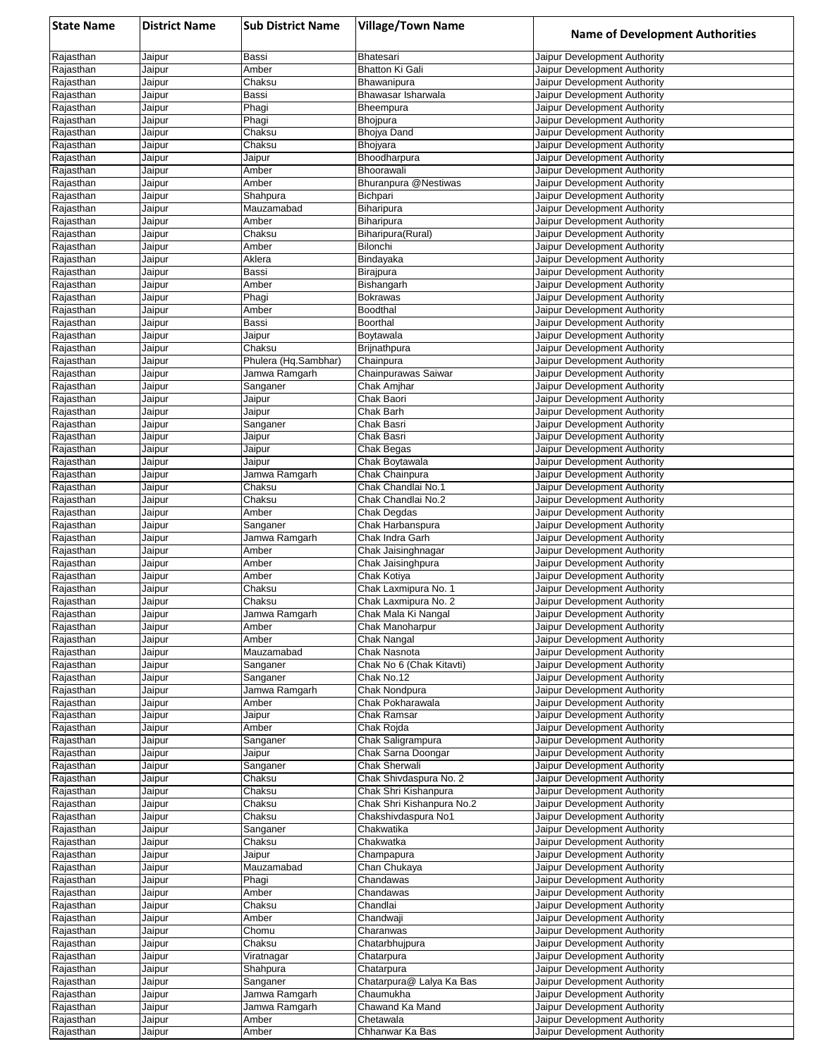| <b>State Name</b>      | <b>District Name</b> | <b>Sub District Name</b>       | <b>Village/Town Name</b>                          | <b>Name of Development Authorities</b>                       |
|------------------------|----------------------|--------------------------------|---------------------------------------------------|--------------------------------------------------------------|
| Rajasthan              | Jaipur               | Bassi                          | <b>Bhatesari</b>                                  | Jaipur Development Authority                                 |
| Rajasthan              | Jaipur               | Amber                          | <b>Bhatton Ki Gali</b>                            | Jaipur Development Authority                                 |
| Rajasthan              | Jaipur               | Chaksu                         | Bhawanipura                                       | Jaipur Development Authority                                 |
| Rajasthan<br>Rajasthan | Jaipur<br>Jaipur     | Bassi<br>Phagi                 | Bhawasar Isharwala<br>Bheempura                   | Jaipur Development Authority<br>Jaipur Development Authority |
| Rajasthan              | Jaipur               | Phagi                          | <b>Bhojpura</b>                                   | Jaipur Development Authority                                 |
| Rajasthan              | Jaipur               | Chaksu                         | <b>Bhojya Dand</b>                                | Jaipur Development Authority                                 |
| Rajasthan              | Jaipur               | Chaksu                         | Bhojyara                                          | Jaipur Development Authority                                 |
| Rajasthan              | Jaipur               | Jaipur                         | Bhoodharpura                                      | Jaipur Development Authority                                 |
| Rajasthan              | Jaipur               | Amber                          | Bhoorawali                                        | Jaipur Development Authority                                 |
| Rajasthan              | Jaipur               | Amber                          | Bhuranpura @Nestiwas                              | Jaipur Development Authority                                 |
| Rajasthan              | Jaipur<br>Jaipur     | Shahpura<br>Mauzamabad         | Bichpari                                          | Jaipur Development Authority<br>Jaipur Development Authority |
| Rajasthan<br>Rajasthan | Jaipur               | Amber                          | Biharipura<br>Biharipura                          | Jaipur Development Authority                                 |
| Rajasthan              | Jaipur               | Chaksu                         | Biharipura(Rural)                                 | Jaipur Development Authority                                 |
| Rajasthan              | Jaipur               | Amber                          | Bilonchi                                          | Jaipur Development Authority                                 |
| Rajasthan              | Jaipur               | Aklera                         | Bindayaka                                         | Jaipur Development Authority                                 |
| Rajasthan              | Jaipur               | Bassi                          | Birajpura                                         | Jaipur Development Authority                                 |
| Rajasthan              | Jaipur               | Amber                          | Bishangarh                                        | Jaipur Development Authority                                 |
| Rajasthan<br>Rajasthan | Jaipur<br>Jaipur     | Phagi<br>Amber                 | <b>Bokrawas</b><br>Boodthal                       | Jaipur Development Authority<br>Jaipur Development Authority |
| Rajasthan              | Jaipur               | Bassi                          | Boorthal                                          | Jaipur Development Authority                                 |
| Rajasthan              | Jaipur               | Jaipur                         | Boytawala                                         | Jaipur Development Authority                                 |
| Rajasthan              | Jaipur               | Chaksu                         | Brijnathpura                                      | Jaipur Development Authority                                 |
| Rajasthan              | Jaipur               | Phulera (Hq.Sambhar)           | Chainpura                                         | Jaipur Development Authority                                 |
| Rajasthan              | Jaipur               | Jamwa Ramgarh                  | Chainpurawas Saiwar                               | Jaipur Development Authority                                 |
| Rajasthan              | Jaipur               | Sanganer                       | Chak Amjhar                                       | Jaipur Development Authority                                 |
| Rajasthan<br>Rajasthan | Jaipur<br>Jaipur     | Jaipur<br>Jaipur               | Chak Baori<br>Chak Barh                           | Jaipur Development Authority<br>Jaipur Development Authority |
| Rajasthan              | Jaipur               | Sanganer                       | Chak Basri                                        | Jaipur Development Authority                                 |
| Rajasthan              | Jaipur               | Jaipur                         | Chak Basri                                        | Jaipur Development Authority                                 |
| Rajasthan              | Jaipur               | Jaipur                         | Chak Begas                                        | Jaipur Development Authority                                 |
| Rajasthan              | Jaipur               | Jaipur                         | Chak Boytawala                                    | Jaipur Development Authority                                 |
| Rajasthan              | Jaipur               | Jamwa Ramgarh                  | Chak Chainpura                                    | Jaipur Development Authority                                 |
| Rajasthan              | Jaipur               | Chaksu                         | Chak Chandlai No.1                                | Jaipur Development Authority                                 |
| Rajasthan<br>Rajasthan | Jaipur<br>Jaipur     | Chaksu<br>Amber                | Chak Chandlai No.2<br>Chak Degdas                 | Jaipur Development Authority<br>Jaipur Development Authority |
| Rajasthan              | Jaipur               | Sanganer                       | Chak Harbanspura                                  | Jaipur Development Authority                                 |
| Rajasthan              | Jaipur               | Jamwa Ramgarh                  | Chak Indra Garh                                   | Jaipur Development Authority                                 |
| Rajasthan              | Jaipur               | Amber                          | Chak Jaisinghnagar                                | Jaipur Development Authority                                 |
| Rajasthan              | Jaipur               | Amber                          | Chak Jaisinghpura                                 | Jaipur Development Authority                                 |
| Rajasthan              | Jaipur               | Amber                          | Chak Kotiya                                       | Jaipur Development Authority                                 |
| Rajasthan              | Jaipur               | Chaksu                         | Chak Laxmipura No. 1                              | Jaipur Development Authority                                 |
| Rajasthan<br>Rajasthan | Jaipur<br>Jaipur     | Chaksu<br>Jamwa Ramgarh        | Chak Laxmipura No. 2<br>Chak Mala Ki Nangal       | Jaipur Development Authority<br>Jaipur Development Authority |
| Rajasthan              | Jaipur               | Amber                          | Chak Manoharpur                                   | Jaipur Development Authority                                 |
| Rajasthan              | Jaipur               | Amber                          | Chak Nangal                                       | Jaipur Development Authority                                 |
| Rajasthan              | Jaipur               | Mauzamabad                     | Chak Nasnota                                      | Jaipur Development Authority                                 |
| Rajasthan              | Jaipur               | Sanganer                       | Chak No 6 (Chak Kitavti)                          | Jaipur Development Authority                                 |
| Rajasthan              | Jaipur               | Sanganer                       | Chak No.12                                        | Jaipur Development Authority                                 |
| Rajasthan              | Jaipur               | Jamwa Ramgarh<br>Amber         | Chak Nondpura<br>Chak Pokharawala                 | Jaipur Development Authority                                 |
| Rajasthan<br>Rajasthan | Jaipur<br>Jaipur     | Jaipur                         | Chak Ramsar                                       | Jaipur Development Authority<br>Jaipur Development Authority |
| Rajasthan              | Jaipur               | Amber                          | Chak Rojda                                        | Jaipur Development Authority                                 |
| Rajasthan              | Jaipur               | Sanganer                       | Chak Saligrampura                                 | Jaipur Development Authority                                 |
| Rajasthan              | Jaipur               | Jaipur                         | Chak Sarna Doongar                                | Jaipur Development Authority                                 |
| Rajasthan              | Jaipur               | Sanganer                       | Chak Sherwali                                     | Jaipur Development Authority                                 |
| Rajasthan              | Jaipur               | Chaksu                         | Chak Shivdaspura No. 2                            | Jaipur Development Authority                                 |
| Rajasthan<br>Rajasthan | Jaipur<br>Jaipur     | Chaksu<br>Chaksu               | Chak Shri Kishanpura<br>Chak Shri Kishanpura No.2 | Jaipur Development Authority<br>Jaipur Development Authority |
| Rajasthan              | Jaipur               | Chaksu                         | Chakshivdaspura No1                               | Jaipur Development Authority                                 |
| Rajasthan              | Jaipur               | Sanganer                       | Chakwatika                                        | Jaipur Development Authority                                 |
| Rajasthan              | Jaipur               | Chaksu                         | Chakwatka                                         | Jaipur Development Authority                                 |
| Rajasthan              | Jaipur               | Jaipur                         | Champapura                                        | Jaipur Development Authority                                 |
| Rajasthan              | Jaipur               | Mauzamabad                     | Chan Chukaya                                      | Jaipur Development Authority                                 |
| Rajasthan              | Jaipur               | Phagi                          | Chandawas                                         | Jaipur Development Authority                                 |
| Rajasthan<br>Rajasthan | Jaipur<br>Jaipur     | Amber<br>Chaksu                | Chandawas<br>Chandlai                             | Jaipur Development Authority<br>Jaipur Development Authority |
| Rajasthan              | Jaipur               | Amber                          | Chandwaji                                         | Jaipur Development Authority                                 |
| Rajasthan              | Jaipur               | Chomu                          | Charanwas                                         | Jaipur Development Authority                                 |
| Rajasthan              | Jaipur               | Chaksu                         | Chatarbhujpura                                    | Jaipur Development Authority                                 |
| Rajasthan              | Jaipur               | Viratnagar                     | Chatarpura                                        | Jaipur Development Authority                                 |
| Rajasthan              | Jaipur               | Shahpura                       | Chatarpura                                        | Jaipur Development Authority                                 |
| Rajasthan              | Jaipur               | Sanganer                       | Chatarpura@ Lalya Ka Bas                          | Jaipur Development Authority                                 |
| Rajasthan              | Jaipur               | Jamwa Ramgarh<br>Jamwa Ramgarh | Chaumukha<br>Chawand Ka Mand                      | Jaipur Development Authority                                 |
| Rajasthan<br>Rajasthan | Jaipur<br>Jaipur     | Amber                          | Chetawala                                         | Jaipur Development Authority<br>Jaipur Development Authority |
| Rajasthan              | Jaipur               | Amber                          | Chhanwar Ka Bas                                   | Jaipur Development Authority                                 |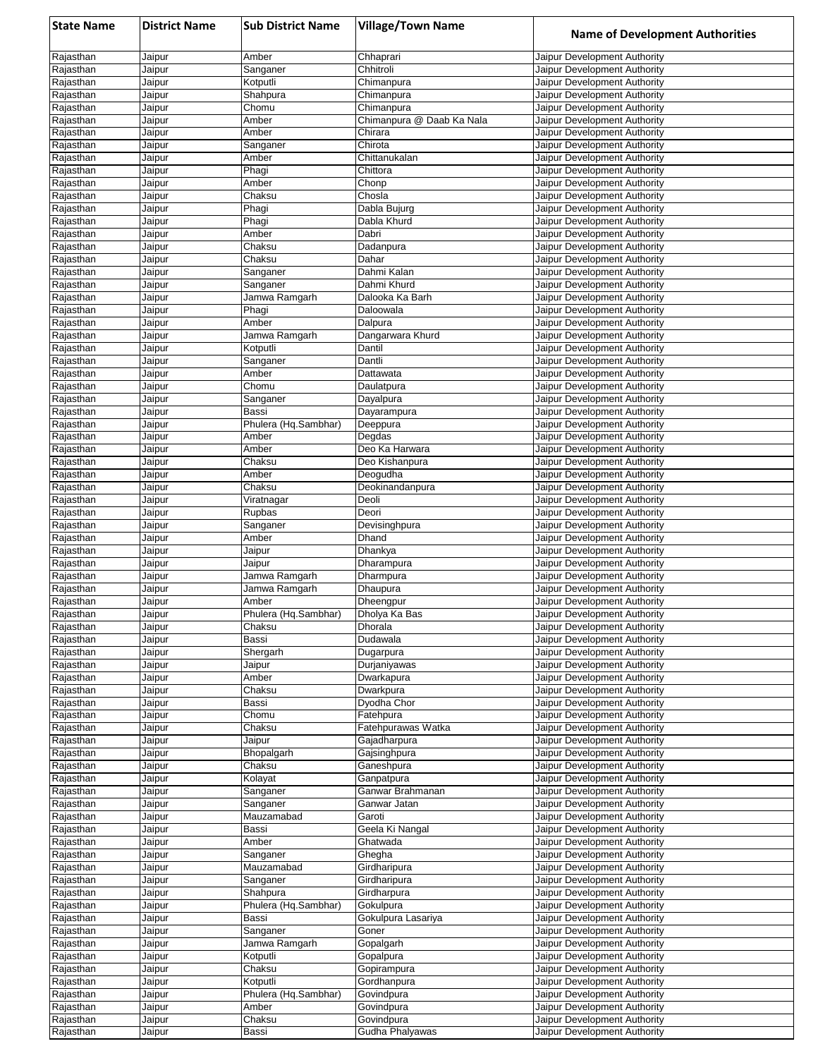| <b>State Name</b>      | <b>District Name</b> | <b>Sub District Name</b>      | <b>Village/Town Name</b>      | <b>Name of Development Authorities</b>                       |
|------------------------|----------------------|-------------------------------|-------------------------------|--------------------------------------------------------------|
| Rajasthan              | Jaipur               | Amber                         | Chhaprari                     | Jaipur Development Authority                                 |
| Rajasthan              | Jaipur               | Sanganer                      | Chhitroli                     | Jaipur Development Authority                                 |
| Rajasthan              | Jaipur               | Kotputli                      | Chimanpura                    | Jaipur Development Authority                                 |
| Rajasthan<br>Rajasthan | Jaipur<br>Jaipur     | Shahpura<br>Chomu             | Chimanpura<br>Chimanpura      | Jaipur Development Authority<br>Jaipur Development Authority |
| Rajasthan              | Jaipur               | Amber                         | Chimanpura @ Daab Ka Nala     | Jaipur Development Authority                                 |
| Rajasthan              | Jaipur               | Amber                         | Chirara                       | Jaipur Development Authority                                 |
| Rajasthan              | Jaipur               | Sanganer                      | Chirota                       | Jaipur Development Authority                                 |
| Rajasthan              | Jaipur               | Amber                         | Chittanukalan                 | Jaipur Development Authority                                 |
| Rajasthan              | Jaipur               | Phagi                         | Chittora                      | Jaipur Development Authority                                 |
| Rajasthan              | Jaipur               | Amber                         | Chonp                         | Jaipur Development Authority                                 |
| Rajasthan              | Jaipur<br>Jaipur     | Chaksu<br>Phagi               | Chosla<br>Dabla Bujurg        | Jaipur Development Authority<br>Jaipur Development Authority |
| Rajasthan<br>Rajasthan | Jaipur               | Phagi                         | Dabla Khurd                   | Jaipur Development Authority                                 |
| Rajasthan              | Jaipur               | Amber                         | Dabri                         | Jaipur Development Authority                                 |
| Rajasthan              | Jaipur               | Chaksu                        | Dadanpura                     | Jaipur Development Authority                                 |
| Rajasthan              | Jaipur               | Chaksu                        | Dahar                         | Jaipur Development Authority                                 |
| Rajasthan              | Jaipur               | Sanganer                      | Dahmi Kalan                   | Jaipur Development Authority                                 |
| Rajasthan              | Jaipur               | Sanganer                      | Dahmi Khurd                   | Jaipur Development Authority                                 |
| Rajasthan<br>Rajasthan | Jaipur               | Jamwa Ramgarh                 | Dalooka Ka Barh<br>Daloowala  | Jaipur Development Authority<br>Jaipur Development Authority |
| Rajasthan              | Jaipur<br>Jaipur     | Phagi<br>Amber                | Dalpura                       | Jaipur Development Authority                                 |
| Rajasthan              | Jaipur               | Jamwa Ramgarh                 | Dangarwara Khurd              | Jaipur Development Authority                                 |
| Rajasthan              | Jaipur               | Kotputli                      | Dantil                        | Jaipur Development Authority                                 |
| Rajasthan              | Jaipur               | Sanganer                      | Dantli                        | Jaipur Development Authority                                 |
| Rajasthan              | Jaipur               | Amber                         | Dattawata                     | Jaipur Development Authority                                 |
| Rajasthan              | Jaipur               | Chomu                         | Daulatpura                    | Jaipur Development Authority                                 |
| Rajasthan              | Jaipur               | Sanganer                      | Dayalpura                     | Jaipur Development Authority                                 |
| Rajasthan<br>Rajasthan | Jaipur<br>Jaipur     | Bassi<br>Phulera (Hq.Sambhar) | Dayarampura<br>Deeppura       | Jaipur Development Authority<br>Jaipur Development Authority |
| Rajasthan              | Jaipur               | Amber                         | Degdas                        | Jaipur Development Authority                                 |
| Rajasthan              | Jaipur               | Amber                         | Deo Ka Harwara                | Jaipur Development Authority                                 |
| Rajasthan              | Jaipur               | Chaksu                        | Deo Kishanpura                | Jaipur Development Authority                                 |
| Rajasthan              | Jaipur               | Amber                         | Deogudha                      | Jaipur Development Authority                                 |
| Rajasthan              | Jaipur               | Chaksu                        | Deokinandanpura               | Jaipur Development Authority                                 |
| Rajasthan              | Jaipur               | Viratnagar                    | Deoli                         | Jaipur Development Authority                                 |
| Rajasthan<br>Rajasthan | Jaipur<br>Jaipur     | Rupbas<br>Sanganer            | Deori<br>Devisinghpura        | Jaipur Development Authority<br>Jaipur Development Authority |
| Rajasthan              | Jaipur               | Amber                         | Dhand                         | Jaipur Development Authority                                 |
| Rajasthan              | Jaipur               | Jaipur                        | Dhankya                       | Jaipur Development Authority                                 |
| Rajasthan              | Jaipur               | Jaipur                        | Dharampura                    | Jaipur Development Authority                                 |
| Rajasthan              | Jaipur               | Jamwa Ramgarh                 | Dharmpura                     | Jaipur Development Authority                                 |
| Rajasthan              | Jaipur               | Jamwa Ramgarh                 | Dhaupura                      | Jaipur Development Authority                                 |
| Rajasthan              | Jaipur               | Amber<br>Phulera (Hq.Sambhar) | Dheengpur                     | Jaipur Development Authority                                 |
| Rajasthan<br>Rajasthan | Jaipur<br>Jaipur     | Chaksu                        | Dholya Ka Bas<br>Dhorala      | Jaipur Development Authority<br>Jaipur Development Authority |
| Rajasthan              | Jaipur               | Bassi                         | Dudawala                      | Jaipur Development Authority                                 |
| Rajasthan              | Jaipur               | Shergarh                      | Dugarpura                     | Jaipur Development Authority                                 |
| Rajasthan              | Jaipur               | Jaipur                        | Durjaniyawas                  | Jaipur Development Authority                                 |
| Rajasthan              | Jaipur               | Amber                         | Dwarkapura                    | Jaipur Development Authority                                 |
| Rajasthan              | Jaipur               | Chaksu                        | Dwarkpura                     | Jaipur Development Authority                                 |
| Rajasthan<br>Rajasthan | Jaipur               | Bassi<br>Chomu                | Dyodha Chor<br>Fatehpura      | Jaipur Development Authority<br>Jaipur Development Authority |
| Rajasthan              | Jaipur<br>Jaipur     | Chaksu                        | Fatehpurawas Watka            | Jaipur Development Authority                                 |
| Rajasthan              | Jaipur               | Jaipur                        | Gajadharpura                  | Jaipur Development Authority                                 |
| Rajasthan              | Jaipur               | Bhopalgarh                    | Gajsinghpura                  | Jaipur Development Authority                                 |
| Rajasthan              | Jaipur               | Chaksu                        | Ganeshpura                    | Jaipur Development Authority                                 |
| Rajasthan              | Jaipur               | Kolayat                       | Ganpatpura                    | Jaipur Development Authority                                 |
| Rajasthan              | Jaipur               | Sanganer                      | Ganwar Brahmanan              | Jaipur Development Authority                                 |
| Rajasthan              | Jaipur               | Sanganer<br>Mauzamabad        | Ganwar Jatan<br>Garoti        | Jaipur Development Authority<br>Jaipur Development Authority |
| Rajasthan<br>Rajasthan | Jaipur<br>Jaipur     | Bassi                         | Geela Ki Nangal               | Jaipur Development Authority                                 |
| Rajasthan              | Jaipur               | Amber                         | Ghatwada                      | Jaipur Development Authority                                 |
| Rajasthan              | Jaipur               | Sanganer                      | Ghegha                        | Jaipur Development Authority                                 |
| Rajasthan              | Jaipur               | Mauzamabad                    | Girdharipura                  | Jaipur Development Authority                                 |
| Rajasthan              | Jaipur               | Sanganer                      | Girdharipura                  | Jaipur Development Authority                                 |
| Rajasthan              | Jaipur               | Shahpura                      | Girdharpura                   | Jaipur Development Authority                                 |
| Rajasthan              | Jaipur               | Phulera (Hq.Sambhar)          | Gokulpura                     | Jaipur Development Authority                                 |
| Rajasthan<br>Rajasthan | Jaipur<br>Jaipur     | Bassi<br>Sanganer             | Gokulpura Lasariya<br>Goner   | Jaipur Development Authority<br>Jaipur Development Authority |
| Rajasthan              | Jaipur               | Jamwa Ramgarh                 | Gopalgarh                     | Jaipur Development Authority                                 |
| Rajasthan              | Jaipur               | Kotputli                      | Gopalpura                     | Jaipur Development Authority                                 |
| Rajasthan              | Jaipur               | Chaksu                        | Gopirampura                   | Jaipur Development Authority                                 |
| Rajasthan              | Jaipur               | Kotputli                      | Gordhanpura                   | Jaipur Development Authority                                 |
| Rajasthan              | Jaipur               | Phulera (Hq.Sambhar)          | Govindpura                    | Jaipur Development Authority                                 |
| Rajasthan              | Jaipur               | Amber                         | Govindpura                    | Jaipur Development Authority                                 |
| Rajasthan<br>Rajasthan | Jaipur<br>Jaipur     | Chaksu<br>Bassi               | Govindpura<br>Gudha Phalyawas | Jaipur Development Authority<br>Jaipur Development Authority |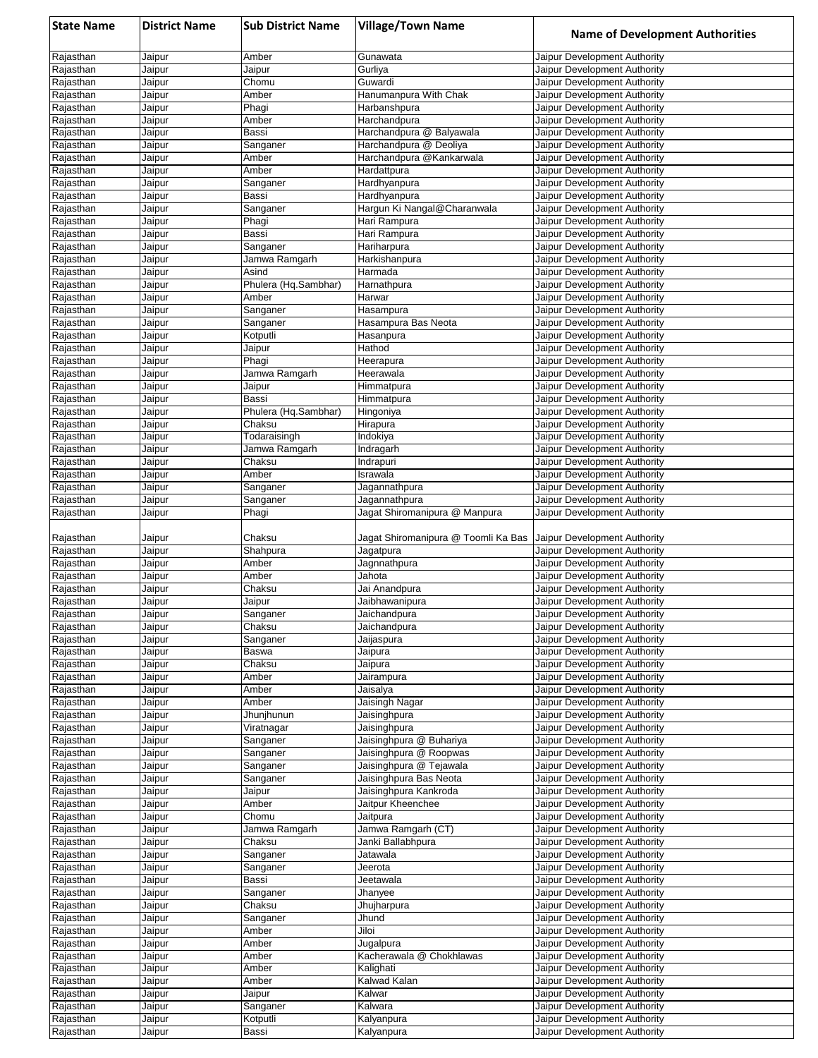| <b>State Name</b>      | <b>District Name</b> | <b>Sub District Name</b>      | <b>Village/Town Name</b>                | <b>Name of Development Authorities</b>                       |
|------------------------|----------------------|-------------------------------|-----------------------------------------|--------------------------------------------------------------|
| Rajasthan              | Jaipur               | Amber                         | Gunawata                                | Jaipur Development Authority                                 |
| Rajasthan              | Jaipur               | Jaipur                        | Gurliya                                 | Jaipur Development Authority                                 |
| Rajasthan              | Jaipur               | Chomu<br>Amber                | Guwardi<br>Hanumanpura With Chak        | Jaipur Development Authority<br>Jaipur Development Authority |
| Rajasthan<br>Rajasthan | Jaipur<br>Jaipur     | Phagi                         | Harbanshpura                            | Jaipur Development Authority                                 |
| Rajasthan              | Jaipur               | Amber                         | Harchandpura                            | Jaipur Development Authority                                 |
| Rajasthan              | Jaipur               | Bassi                         | Harchandpura @ Balyawala                | Jaipur Development Authority                                 |
| Rajasthan              | Jaipur               | Sanganer                      | Harchandpura @ Deoliya                  | Jaipur Development Authority                                 |
| Rajasthan              | Jaipur               | Amber                         | Harchandpura @Kankarwala                | Jaipur Development Authority                                 |
| Rajasthan<br>Rajasthan | Jaipur<br>Jaipur     | Amber<br>Sanganer             | Hardattpura<br>Hardhyanpura             | Jaipur Development Authority<br>Jaipur Development Authority |
| Rajasthan              | Jaipur               | Bassi                         | Hardhyanpura                            | Jaipur Development Authority                                 |
| Rajasthan              | Jaipur               | Sanganer                      | Hargun Ki Nangal@Charanwala             | Jaipur Development Authority                                 |
| Rajasthan              | Jaipur               | Phagi                         | Hari Rampura                            | Jaipur Development Authority                                 |
| Rajasthan              | Jaipur               | Bassi                         | Hari Rampura                            | Jaipur Development Authority                                 |
| Rajasthan<br>Rajasthan | Jaipur<br>Jaipur     | Sanganer<br>Jamwa Ramgarh     | Hariharpura<br>Harkishanpura            | Jaipur Development Authority<br>Jaipur Development Authority |
| Rajasthan              | Jaipur               | Asind                         | Harmada                                 | Jaipur Development Authority                                 |
| Rajasthan              | Jaipur               | Phulera (Hq.Sambhar)          | Harnathpura                             | Jaipur Development Authority                                 |
| Rajasthan              | Jaipur               | Amber                         | Harwar                                  | Jaipur Development Authority                                 |
| Rajasthan              | Jaipur               | Sanganer                      | Hasampura                               | Jaipur Development Authority                                 |
| Rajasthan<br>Rajasthan | Jaipur<br>Jaipur     | Sanganer<br>Kotputli          | Hasampura Bas Neota<br>Hasanpura        | Jaipur Development Authority<br>Jaipur Development Authority |
| Rajasthan              | Jaipur               | Jaipur                        | Hathod                                  | Jaipur Development Authority                                 |
| Rajasthan              | Jaipur               | Phagi                         | Heerapura                               | Jaipur Development Authority                                 |
| Rajasthan              | Jaipur               | Jamwa Ramgarh                 | Heerawala                               | Jaipur Development Authority                                 |
| Rajasthan              | Jaipur               | Jaipur                        | Himmatpura                              | Jaipur Development Authority                                 |
| Rajasthan<br>Rajasthan | Jaipur               | Bassi<br>Phulera (Hq.Sambhar) | Himmatpura                              | Jaipur Development Authority<br>Jaipur Development Authority |
| Rajasthan              | Jaipur<br>Jaipur     | Chaksu                        | Hingoniya<br>Hirapura                   | Jaipur Development Authority                                 |
| Rajasthan              | Jaipur               | Todaraisingh                  | Indokiya                                | Jaipur Development Authority                                 |
| Rajasthan              | Jaipur               | Jamwa Ramgarh                 | Indragarh                               | Jaipur Development Authority                                 |
| Rajasthan              | Jaipur               | Chaksu                        | Indrapuri                               | Jaipur Development Authority                                 |
| Rajasthan              | Jaipur               | Amber                         | Israwala                                | Jaipur Development Authority                                 |
| Rajasthan<br>Rajasthan | Jaipur<br>Jaipur     | Sanganer<br>Sanganer          | Jagannathpura<br>Jagannathpura          | Jaipur Development Authority<br>Jaipur Development Authority |
| Rajasthan              | Jaipur               | Phagi                         | Jagat Shiromanipura @ Manpura           | Jaipur Development Authority                                 |
|                        |                      |                               |                                         |                                                              |
| Rajasthan              | Jaipur               | Chaksu                        | Jagat Shiromanipura @ Toomli Ka Bas     | Jaipur Development Authority                                 |
| Rajasthan              | Jaipur               | Shahpura                      | Jagatpura                               | Jaipur Development Authority                                 |
| Rajasthan<br>Rajasthan | Jaipur<br>Jaipur     | Amber<br>Amber                | Jagnnathpura<br>Jahota                  | Jaipur Development Authority<br>Jaipur Development Authority |
| Rajasthan              | Jaipur               | Chaksu                        | Jai Anandpura                           | Jaipur Development Authority                                 |
| Rajasthan              | Jaipur               | Jaipur                        | Jaibhawanipura                          | Jaipur Development Authority                                 |
| Rajasthan              | Jaipur               | Sanganer                      | Jaichandpura                            | Jaipur Development Authority                                 |
| Rajasthan              | Jaipur               | Chaksu                        | Jaichandpura                            | Jaipur Development Authority                                 |
| Rajasthan<br>Rajasthan | Jaipur<br>Jaipur     | Sanganer<br>Baswa             | Jaijaspura<br>Jaipura                   | Jaipur Development Authority<br>Jaipur Development Authority |
| Rajasthan              | Jaipur               | Chaksu                        | Jaipura                                 | Jaipur Development Authority                                 |
| Rajasthan              | Jaipur               | Amber                         | Jairampura                              | Jaipur Development Authority                                 |
| Rajasthan              | Jaipur               | Amber                         | Jaisalya                                | Jaipur Development Authority                                 |
| Rajasthan              | Jaipur               | Amber                         | Jaisingh Nagar                          | Jaipur Development Authority                                 |
| Rajasthan              | Jaipur               | Jhunjhunun                    | Jaisinghpura                            | Jaipur Development Authority<br>Jaipur Development Authority |
| Rajasthan<br>Rajasthan | Jaipur<br>Jaipur     | Viratnagar<br>Sanganer        | Jaisinghpura<br>Jaisinghpura @ Buhariya | Jaipur Development Authority                                 |
| Rajasthan              | Jaipur               | Sanganer                      | Jaisinghpura @ Roopwas                  | Jaipur Development Authority                                 |
| Rajasthan              | Jaipur               | Sanganer                      | Jaisinghpura @ Tejawala                 | Jaipur Development Authority                                 |
| Rajasthan              | Jaipur               | Sanganer                      | Jaisinghpura Bas Neota                  | Jaipur Development Authority                                 |
| Rajasthan              | Jaipur               | Jaipur                        | Jaisinghpura Kankroda                   | Jaipur Development Authority                                 |
| Rajasthan<br>Rajasthan | Jaipur<br>Jaipur     | Amber<br>Chomu                | Jaitpur Kheenchee<br>Jaitpura           | Jaipur Development Authority<br>Jaipur Development Authority |
| Rajasthan              | Jaipur               | Jamwa Ramgarh                 | Jamwa Ramgarh (CT)                      | Jaipur Development Authority                                 |
| Rajasthan              | Jaipur               | Chaksu                        | Janki Ballabhpura                       | Jaipur Development Authority                                 |
| Rajasthan              | Jaipur               | Sanganer                      | Jatawala                                | Jaipur Development Authority                                 |
| Rajasthan              | Jaipur               | Sanganer                      | Jeerota                                 | Jaipur Development Authority                                 |
| Rajasthan<br>Rajasthan | Jaipur<br>Jaipur     | Bassi<br>Sanganer             | Jeetawala                               | Jaipur Development Authority<br>Jaipur Development Authority |
| Rajasthan              | Jaipur               | Chaksu                        | Jhanyee<br>Jhujharpura                  | Jaipur Development Authority                                 |
| Rajasthan              | Jaipur               | Sanganer                      | Jhund                                   | Jaipur Development Authority                                 |
| Rajasthan              | Jaipur               | Amber                         | Jiloi                                   | Jaipur Development Authority                                 |
| Rajasthan              | Jaipur               | Amber                         | Jugalpura                               | Jaipur Development Authority                                 |
| Rajasthan              | Jaipur               | Amber                         | Kacherawala @ Chokhlawas                | Jaipur Development Authority                                 |
| Rajasthan              | Jaipur               | Amber                         | Kalighati<br>Kalwad Kalan               | Jaipur Development Authority                                 |
| Rajasthan<br>Rajasthan | Jaipur<br>Jaipur     | Amber<br>Jaipur               | Kalwar                                  | Jaipur Development Authority<br>Jaipur Development Authority |
| Rajasthan              | Jaipur               | Sanganer                      | Kalwara                                 | Jaipur Development Authority                                 |
| Rajasthan              | Jaipur               | Kotputli                      | Kalyanpura                              | Jaipur Development Authority                                 |
| Rajasthan              | Jaipur               | Bassi                         | Kalyanpura                              | Jaipur Development Authority                                 |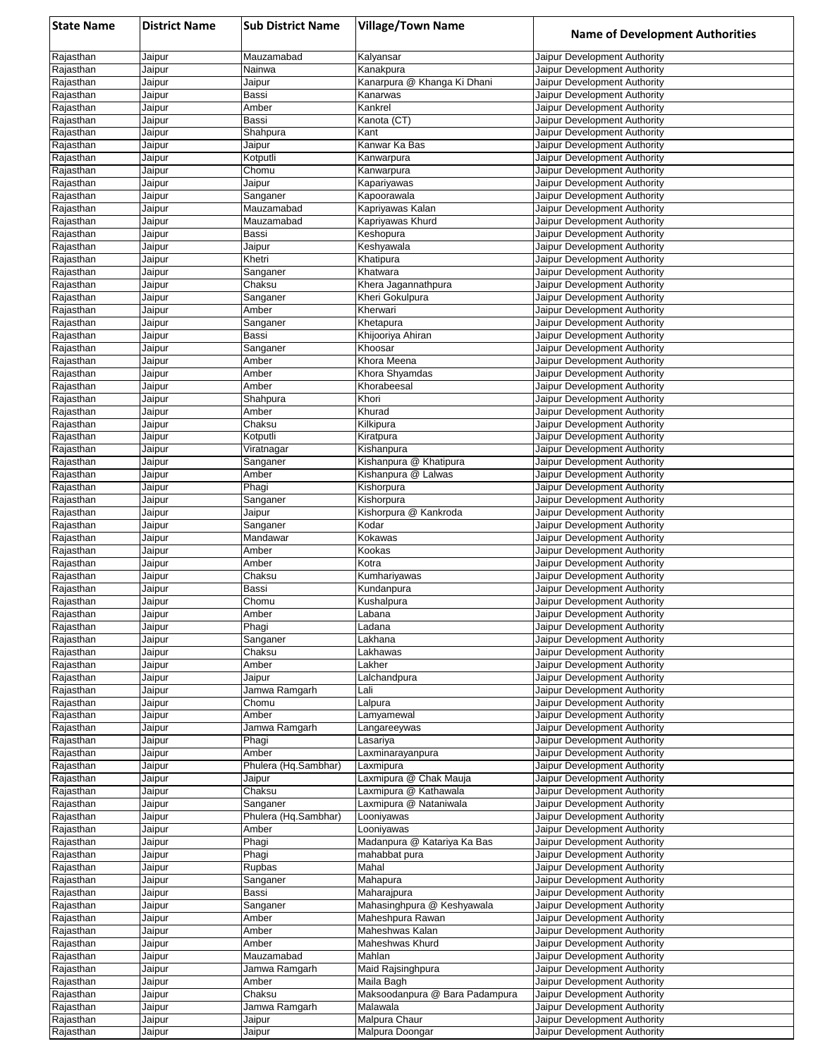| <b>State Name</b>      | <b>District Name</b> | <b>Sub District Name</b>      | <b>Village/Town Name</b>                       | <b>Name of Development Authorities</b>                       |
|------------------------|----------------------|-------------------------------|------------------------------------------------|--------------------------------------------------------------|
| Rajasthan              | Jaipur               | Mauzamabad                    | Kalyansar                                      | Jaipur Development Authority                                 |
| Rajasthan              | Jaipur               | Nainwa                        | Kanakpura                                      | Jaipur Development Authority                                 |
| Rajasthan              | Jaipur               | Jaipur                        | Kanarpura @ Khanga Ki Dhani                    | Jaipur Development Authority                                 |
| Rajasthan<br>Rajasthan | Jaipur<br>Jaipur     | Bassi<br>Amber                | Kanarwas<br>Kankrel                            | Jaipur Development Authority<br>Jaipur Development Authority |
| Rajasthan              | Jaipur               | Bassi                         | Kanota (CT)                                    | Jaipur Development Authority                                 |
| Rajasthan              | Jaipur               | Shahpura                      | Kant                                           | Jaipur Development Authority                                 |
| Rajasthan              | Jaipur               | Jaipur                        | Kanwar Ka Bas                                  | Jaipur Development Authority                                 |
| Rajasthan              | Jaipur               | Kotputli                      | Kanwarpura                                     | Jaipur Development Authority                                 |
| Rajasthan              | Jaipur               | Chomu                         | Kanwarpura                                     | Jaipur Development Authority                                 |
| Rajasthan<br>Rajasthan | Jaipur<br>Jaipur     | Jaipur<br>Sanganer            | Kapariyawas<br>Kapoorawala                     | Jaipur Development Authority<br>Jaipur Development Authority |
| Rajasthan              | Jaipur               | Mauzamabad                    | Kapriyawas Kalan                               | Jaipur Development Authority                                 |
| Rajasthan              | Jaipur               | Mauzamabad                    | Kapriyawas Khurd                               | Jaipur Development Authority                                 |
| Rajasthan              | Jaipur               | Bassi                         | Keshopura                                      | Jaipur Development Authority                                 |
| Rajasthan              | Jaipur               | Jaipur                        | Keshyawala                                     | Jaipur Development Authority                                 |
| Rajasthan              | Jaipur               | Khetri                        | Khatipura                                      | Jaipur Development Authority                                 |
| Rajasthan<br>Rajasthan | Jaipur<br>Jaipur     | Sanganer<br>Chaksu            | Khatwara                                       | Jaipur Development Authority<br>Jaipur Development Authority |
| Rajasthan              | Jaipur               | Sanganer                      | Khera Jagannathpura<br>Kheri Gokulpura         | Jaipur Development Authority                                 |
| Rajasthan              | Jaipur               | Amber                         | Kherwari                                       | Jaipur Development Authority                                 |
| Rajasthan              | Jaipur               | Sanganer                      | Khetapura                                      | Jaipur Development Authority                                 |
| Rajasthan              | Jaipur               | Bassi                         | Khijooriya Ahiran                              | Jaipur Development Authority                                 |
| Rajasthan              | Jaipur               | Sanganer                      | Khoosar                                        | Jaipur Development Authority                                 |
| Rajasthan              | Jaipur               | Amber                         | Khora Meena                                    | Jaipur Development Authority                                 |
| Rajasthan<br>Rajasthan | Jaipur<br>Jaipur     | Amber<br>Amber                | Khora Shyamdas<br>Khorabeesal                  | Jaipur Development Authority<br>Jaipur Development Authority |
| Rajasthan              | Jaipur               | Shahpura                      | Khori                                          | Jaipur Development Authority                                 |
| Rajasthan              | Jaipur               | Amber                         | Khurad                                         | Jaipur Development Authority                                 |
| Rajasthan              | Jaipur               | Chaksu                        | Kilkipura                                      | Jaipur Development Authority                                 |
| Rajasthan              | Jaipur               | Kotputli                      | Kiratpura                                      | Jaipur Development Authority                                 |
| Rajasthan              | Jaipur               | Viratnagar                    | Kishanpura                                     | Jaipur Development Authority                                 |
| Rajasthan<br>Rajasthan | Jaipur<br>Jaipur     | Sanganer<br>Amber             | Kishanpura @ Khatipura<br>Kishanpura @ Lalwas  | Jaipur Development Authority<br>Jaipur Development Authority |
| Rajasthan              | Jaipur               | Phagi                         | Kishorpura                                     | Jaipur Development Authority                                 |
| Rajasthan              | Jaipur               | Sanganer                      | Kishorpura                                     | Jaipur Development Authority                                 |
| Rajasthan              | Jaipur               | Jaipur                        | Kishorpura @ Kankroda                          | Jaipur Development Authority                                 |
| Rajasthan              | Jaipur               | Sanganer                      | Kodar                                          | Jaipur Development Authority                                 |
| Rajasthan              | Jaipur               | Mandawar                      | Kokawas                                        | Jaipur Development Authority                                 |
| Rajasthan<br>Rajasthan | Jaipur<br>Jaipur     | Amber<br>Amber                | Kookas<br>Kotra                                | Jaipur Development Authority<br>Jaipur Development Authority |
| Rajasthan              | Jaipur               | Chaksu                        | Kumhariyawas                                   | Jaipur Development Authority                                 |
| Rajasthan              | Jaipur               | Bassi                         | Kundanpura                                     | Jaipur Development Authority                                 |
| Rajasthan              | Jaipur               | Chomu                         | Kushalpura                                     | Jaipur Development Authority                                 |
| Rajasthan              | Jaipur               | Amber                         | Labana                                         | Jaipur Development Authority                                 |
| Rajasthan              | Jaipur               | Phagi                         | Ladana                                         | Jaipur Development Authority                                 |
| Rajasthan<br>Rajasthan | Jaipur<br>Jaipur     | Sanganer<br>Chaksu            | Lakhana<br>Lakhawas                            | Jaipur Development Authority<br>Jaipur Development Authority |
| Rajasthan              | Jaipur               | Amber                         | Lakher                                         | Jaipur Development Authority                                 |
| Rajasthan              | Jaipur               | Jaipur                        | Lalchandpura                                   | Jaipur Development Authority                                 |
| Rajasthan              | Jaipur               | Jamwa Ramgarh                 | Lali                                           | Jaipur Development Authority                                 |
| Rajasthan              | Jaipur               | Chomu                         | Lalpura                                        | Jaipur Development Authority                                 |
| Rajasthan              | Jaipur               | Amber                         | Lamyamewal                                     | Jaipur Development Authority                                 |
| Rajasthan<br>Rajasthan | Jaipur<br>Jaipur     | Jamwa Ramgarh<br>Phagi        | _angareeywas<br>Lasariya                       | Jaipur Development Authority<br>Jaipur Development Authority |
| Rajasthan              | Jaipur               | Amber                         | Laxminarayanpura                               | Jaipur Development Authority                                 |
| Rajasthan              | Jaipur               | Phulera (Hq.Sambhar)          | Laxmipura                                      | Jaipur Development Authority                                 |
| Rajasthan              | Jaipur               | Jaipur                        | Laxmipura @ Chak Mauja                         | Jaipur Development Authority                                 |
| Rajasthan              | Jaipur               | Chaksu                        | Laxmipura @ Kathawala                          | Jaipur Development Authority                                 |
| Rajasthan              | Jaipur               | Sanganer                      | Laxmipura @ Nataniwala                         | Jaipur Development Authority                                 |
| Rajasthan<br>Rajasthan | Jaipur<br>Jaipur     | Phulera (Hq.Sambhar)<br>Amber | Looniyawas<br>Looniyawas                       | Jaipur Development Authority<br>Jaipur Development Authority |
| Rajasthan              | Jaipur               | Phagi                         | Madanpura @ Katariya Ka Bas                    | Jaipur Development Authority                                 |
| Rajasthan              | Jaipur               | Phagi                         | mahabbat pura                                  | Jaipur Development Authority                                 |
| Rajasthan              | Jaipur               | Rupbas                        | Mahal                                          | Jaipur Development Authority                                 |
| Rajasthan              | Jaipur               | Sanganer                      | Mahapura                                       | Jaipur Development Authority                                 |
| Rajasthan              | Jaipur               | Bassi                         | Maharajpura                                    | Jaipur Development Authority                                 |
| Rajasthan<br>Rajasthan | Jaipur<br>Jaipur     | Sanganer<br>Amber             | Mahasinghpura @ Keshyawala<br>Maheshpura Rawan | Jaipur Development Authority<br>Jaipur Development Authority |
| Rajasthan              | Jaipur               | Amber                         | Maheshwas Kalan                                | Jaipur Development Authority                                 |
| Rajasthan              | Jaipur               | Amber                         | Maheshwas Khurd                                | Jaipur Development Authority                                 |
| Rajasthan              | Jaipur               | Mauzamabad                    | Mahlan                                         | Jaipur Development Authority                                 |
| Rajasthan              | Jaipur               | Jamwa Ramgarh                 | Maid Rajsinghpura                              | Jaipur Development Authority                                 |
| Rajasthan              | Jaipur               | Amber                         | Maila Bagh                                     | Jaipur Development Authority                                 |
| Rajasthan<br>Rajasthan | Jaipur<br>Jaipur     | Chaksu<br>Jamwa Ramgarh       | Maksoodanpura @ Bara Padampura<br>Malawala     | Jaipur Development Authority<br>Jaipur Development Authority |
| Rajasthan              | Jaipur               | Jaipur                        | Malpura Chaur                                  | Jaipur Development Authority                                 |
| Rajasthan              | Jaipur               | Jaipur                        | Malpura Doongar                                | Jaipur Development Authority                                 |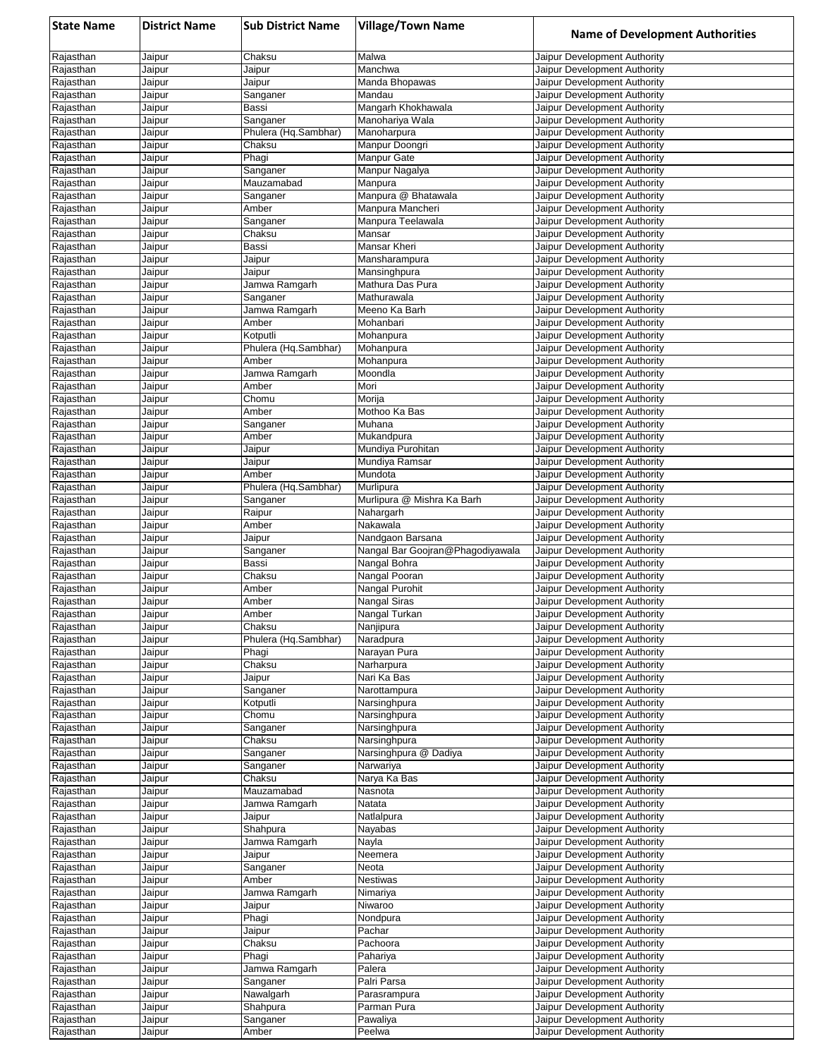| <b>State Name</b>      | <b>District Name</b> | <b>Sub District Name</b>    | <b>Village/Town Name</b>                | <b>Name of Development Authorities</b>                       |
|------------------------|----------------------|-----------------------------|-----------------------------------------|--------------------------------------------------------------|
| Rajasthan              | Jaipur               | Chaksu                      | Malwa                                   | Jaipur Development Authority                                 |
| Rajasthan              | Jaipur               | Jaipur                      | Manchwa                                 | Jaipur Development Authority                                 |
| Rajasthan              | Jaipur               | Jaipur                      | Manda Bhopawas                          | Jaipur Development Authority                                 |
| Rajasthan<br>Rajasthan | Jaipur<br>Jaipur     | Sanganer<br>Bassi           | Mandau<br>Mangarh Khokhawala            | Jaipur Development Authority<br>Jaipur Development Authority |
| Rajasthan              | Jaipur               | Sanganer                    | Manohariya Wala                         | Jaipur Development Authority                                 |
| Rajasthan              | Jaipur               | Phulera (Hq.Sambhar)        | Manoharpura                             | Jaipur Development Authority                                 |
| Rajasthan              | Jaipur               | Chaksu                      | Manpur Doongri                          | Jaipur Development Authority                                 |
| Rajasthan              | Jaipur               | Phagi                       | Manpur Gate                             | Jaipur Development Authority                                 |
| Rajasthan              | Jaipur               | Sanganer                    | Manpur Nagalya                          | Jaipur Development Authority                                 |
| Rajasthan              | Jaipur               | Mauzamabad                  | Manpura                                 | Jaipur Development Authority                                 |
| Rajasthan              | Jaipur<br>Jaipur     | Sanganer<br>Amber           | Manpura @ Bhatawala<br>Manpura Mancheri | Jaipur Development Authority<br>Jaipur Development Authority |
| Rajasthan<br>Rajasthan | Jaipur               | Sanganer                    | Manpura Teelawala                       | Jaipur Development Authority                                 |
| Rajasthan              | Jaipur               | Chaksu                      | Mansar                                  | Jaipur Development Authority                                 |
| Rajasthan              | Jaipur               | Bassi                       | Mansar Kheri                            | Jaipur Development Authority                                 |
| Rajasthan              | Jaipur               | Jaipur                      | Mansharampura                           | Jaipur Development Authority                                 |
| Rajasthan              | Jaipur               | Jaipur                      | Mansinghpura                            | Jaipur Development Authority                                 |
| Rajasthan              | Jaipur               | Jamwa Ramgarh               | Mathura Das Pura                        | Jaipur Development Authority                                 |
| Rajasthan<br>Rajasthan | Jaipur<br>Jaipur     | Sanganer<br>Jamwa Ramgarh   | Mathurawala<br>Meeno Ka Barh            | Jaipur Development Authority<br>Jaipur Development Authority |
| Rajasthan              | Jaipur               | Amber                       | Mohanbari                               | Jaipur Development Authority                                 |
| Rajasthan              | Jaipur               | Kotputli                    | Mohanpura                               | Jaipur Development Authority                                 |
| Rajasthan              | Jaipur               | Phulera (Hq.Sambhar)        | Mohanpura                               | Jaipur Development Authority                                 |
| Rajasthan              | Jaipur               | Amber                       | Mohanpura                               | Jaipur Development Authority                                 |
| Rajasthan              | Jaipur               | Jamwa Ramgarh               | Moondla                                 | Jaipur Development Authority                                 |
| Rajasthan              | Jaipur               | Amber                       | Mori                                    | Jaipur Development Authority                                 |
| Rajasthan<br>Rajasthan | Jaipur<br>Jaipur     | Chomu<br>Amber              | Morija<br>Mothoo Ka Bas                 | Jaipur Development Authority<br>Jaipur Development Authority |
| Rajasthan              | Jaipur               | Sanganer                    | Muhana                                  | Jaipur Development Authority                                 |
| Rajasthan              | Jaipur               | Amber                       | Mukandpura                              | Jaipur Development Authority                                 |
| Rajasthan              | Jaipur               | Jaipur                      | Mundiya Purohitan                       | Jaipur Development Authority                                 |
| Rajasthan              | Jaipur               | Jaipur                      | Mundiya Ramsar                          | Jaipur Development Authority                                 |
| Rajasthan              | Jaipur               | Amber                       | Mundota                                 | Jaipur Development Authority                                 |
| Rajasthan              | Jaipur               | Phulera (Hq.Sambhar)        | Murlipura                               | Jaipur Development Authority                                 |
| Rajasthan<br>Rajasthan | Jaipur<br>Jaipur     | Sanganer<br>Raipur          | Murlipura @ Mishra Ka Barh<br>Nahargarh | Jaipur Development Authority<br>Jaipur Development Authority |
| Rajasthan              | Jaipur               | Amber                       | Nakawala                                | Jaipur Development Authority                                 |
| Rajasthan              | Jaipur               | Jaipur                      | Nandgaon Barsana                        | Jaipur Development Authority                                 |
| Rajasthan              | Jaipur               | Sanganer                    | Nangal Bar Goojran@Phagodiyawala        | Jaipur Development Authority                                 |
| Rajasthan              | Jaipur               | Bassi                       | Nangal Bohra                            | Jaipur Development Authority                                 |
| Rajasthan              | Jaipur               | Chaksu                      | Nangal Pooran                           | Jaipur Development Authority                                 |
| Rajasthan              | Jaipur               | Amber<br>Amber              | Nangal Purohit<br>Nangal Siras          | Jaipur Development Authority                                 |
| Rajasthan<br>Rajasthan | Jaipur<br>Jaipur     | Amber                       | Nangal Turkan                           | Jaipur Development Authority<br>Jaipur Development Authority |
| Rajasthan              | Jaipur               | Chaksu                      | Nanjipura                               | Jaipur Development Authority                                 |
| Rajasthan              | Jaipur               | Phulera (Hq.Sambhar)        | Naradpura                               | Jaipur Development Authority                                 |
| Rajasthan              | Jaipur               | Phagi                       | Narayan Pura                            | Jaipur Development Authority                                 |
| Rajasthan              | Jaipur               | Chaksu                      | Narharpura                              | Jaipur Development Authority                                 |
| Rajasthan              | Jaipur               | Jaipur                      | Nari Ka Bas                             | Jaipur Development Authority                                 |
| Rajasthan<br>Rajasthan | Jaipur<br>Jaipur     | Sanganer<br>Kotputli        | Narottampura<br>Narsinghpura            | Jaipur Development Authority<br>Jaipur Development Authority |
| Rajasthan              | Jaipur               | Chomu                       | Narsinghpura                            | Jaipur Development Authority                                 |
| Rajasthan              | Jaipur               | Sanganer                    | Narsinghpura                            | Jaipur Development Authority                                 |
| Rajasthan              | Jaipur               | Chaksu                      | Narsinghpura                            | Jaipur Development Authority                                 |
| Rajasthan              | Jaipur               | Sanganer                    | Narsinghpura @ Dadiya                   | Jaipur Development Authority                                 |
| Rajasthan              | Jaipur               | Sanganer                    | Narwariya                               | Jaipur Development Authority                                 |
| Rajasthan              | Jaipur               | Chaksu                      | Narya Ka Bas                            | Jaipur Development Authority                                 |
| Rajasthan<br>Rajasthan | Jaipur<br>Jaipur     | Mauzamabad<br>Jamwa Ramgarh | Nasnota<br>Natata                       | Jaipur Development Authority<br>Jaipur Development Authority |
| Rajasthan              | Jaipur               | Jaipur                      | Natlalpura                              | Jaipur Development Authority                                 |
| Rajasthan              | Jaipur               | Shahpura                    | Nayabas                                 | Jaipur Development Authority                                 |
| Rajasthan              | Jaipur               | Jamwa Ramgarh               | Nayla                                   | Jaipur Development Authority                                 |
| Rajasthan              | Jaipur               | Jaipur                      | Neemera                                 | Jaipur Development Authority                                 |
| Rajasthan              | Jaipur               | Sanganer                    | Neota                                   | Jaipur Development Authority                                 |
| Rajasthan              | Jaipur               | Amber                       | Nestiwas                                | Jaipur Development Authority                                 |
| Rajasthan<br>Rajasthan | Jaipur<br>Jaipur     | Jamwa Ramgarh<br>Jaipur     | Nimariya<br>Niwaroo                     | Jaipur Development Authority<br>Jaipur Development Authority |
| Rajasthan              | Jaipur               | Phagi                       | Nondpura                                | Jaipur Development Authority                                 |
| Rajasthan              | Jaipur               | Jaipur                      | Pachar                                  | Jaipur Development Authority                                 |
| Rajasthan              | Jaipur               | Chaksu                      | Pachoora                                | Jaipur Development Authority                                 |
| Rajasthan              | Jaipur               | Phagi                       | Pahariya                                | Jaipur Development Authority                                 |
| Rajasthan              | Jaipur               | Jamwa Ramgarh               | Palera                                  | Jaipur Development Authority                                 |
| Rajasthan              | Jaipur               | Sanganer                    | Palri Parsa                             | Jaipur Development Authority                                 |
| Rajasthan<br>Rajasthan | Jaipur<br>Jaipur     | Nawalgarh<br>Shahpura       | Parasrampura<br>Parman Pura             | Jaipur Development Authority<br>Jaipur Development Authority |
| Rajasthan              | Jaipur               | Sanganer                    | Pawaliya                                | Jaipur Development Authority                                 |
| Rajasthan              | Jaipur               | Amber                       | Peelwa                                  | Jaipur Development Authority                                 |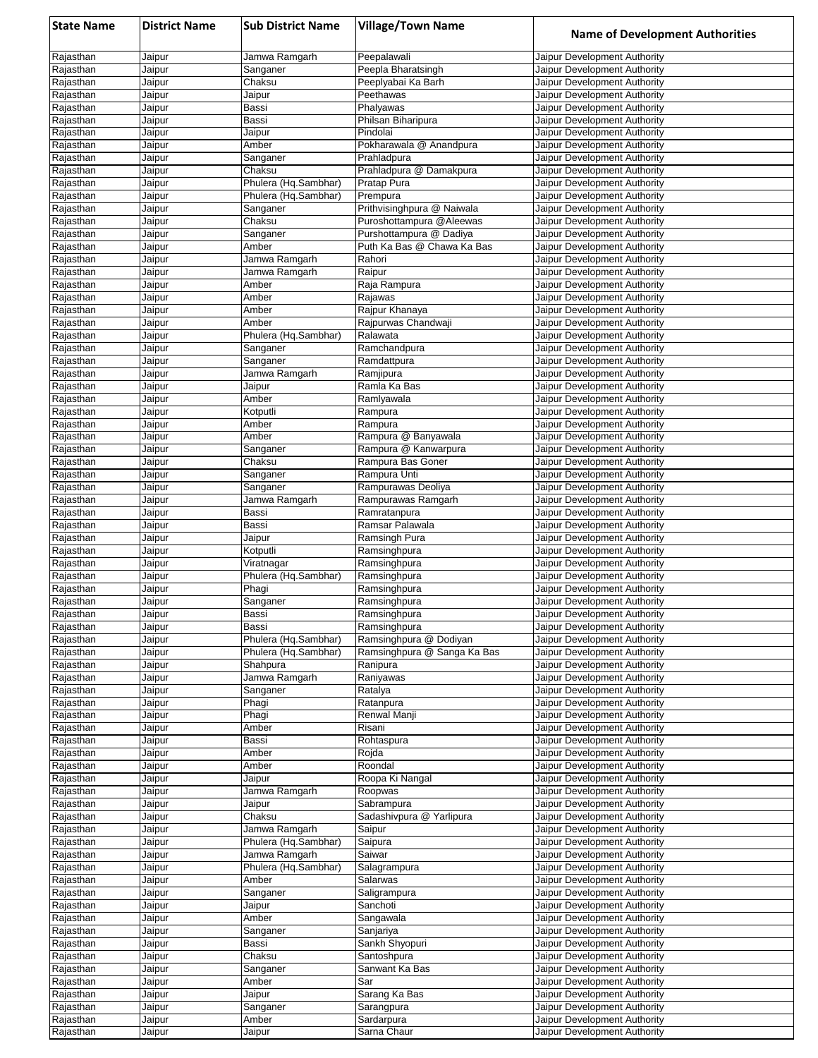| <b>State Name</b>      | <b>District Name</b> | <b>Sub District Name</b> | <b>Village/Town Name</b>               | <b>Name of Development Authorities</b>                       |
|------------------------|----------------------|--------------------------|----------------------------------------|--------------------------------------------------------------|
| Rajasthan              | Jaipur               | Jamwa Ramgarh            | Peepalawali                            | Jaipur Development Authority                                 |
| Rajasthan              | Jaipur               | Sanganer                 | Peepla Bharatsingh                     | Jaipur Development Authority                                 |
| Rajasthan              | Jaipur               | Chaksu                   | Peeplyabai Ka Barh                     | Jaipur Development Authority                                 |
| Rajasthan<br>Rajasthan | Jaipur<br>Jaipur     | Jaipur<br>Bassi          | Peethawas<br>Phalyawas                 | Jaipur Development Authority<br>Jaipur Development Authority |
| Rajasthan              | Jaipur               | Bassi                    | Philsan Biharipura                     | Jaipur Development Authority                                 |
| Rajasthan              | Jaipur               | Jaipur                   | Pindolai                               | Jaipur Development Authority                                 |
| Rajasthan              | Jaipur               | Amber                    | Pokharawala @ Anandpura                | Jaipur Development Authority                                 |
| Rajasthan              | Jaipur               | Sanganer                 | Prahladpura                            | Jaipur Development Authority                                 |
| Rajasthan              | Jaipur               | Chaksu                   | Prahladpura @ Damakpura                | Jaipur Development Authority                                 |
| Rajasthan              | Jaipur               | Phulera (Hq.Sambhar)     | Pratap Pura                            | Jaipur Development Authority                                 |
| Rajasthan              | Jaipur<br>Jaipur     | Phulera (Hq.Sambhar)     | Prempura<br>Prithvisinghpura @ Naiwala | Jaipur Development Authority<br>Jaipur Development Authority |
| Rajasthan<br>Rajasthan | Jaipur               | Sanganer<br>Chaksu       | Puroshottampura @Aleewas               | Jaipur Development Authority                                 |
| Rajasthan              | Jaipur               | Sanganer                 | Purshottampura @ Dadiya                | Jaipur Development Authority                                 |
| Rajasthan              | Jaipur               | Amber                    | Puth Ka Bas @ Chawa Ka Bas             | Jaipur Development Authority                                 |
| Rajasthan              | Jaipur               | Jamwa Ramgarh            | Rahori                                 | Jaipur Development Authority                                 |
| Rajasthan              | Jaipur               | Jamwa Ramgarh            | Raipur                                 | Jaipur Development Authority                                 |
| Rajasthan              | Jaipur               | Amber                    | Raja Rampura                           | Jaipur Development Authority                                 |
| Rajasthan<br>Rajasthan | Jaipur<br>Jaipur     | Amber<br>Amber           | Rajawas<br>Raipur Khanaya              | Jaipur Development Authority<br>Jaipur Development Authority |
| Rajasthan              | Jaipur               | Amber                    | Rajpurwas Chandwaji                    | Jaipur Development Authority                                 |
| Rajasthan              | Jaipur               | Phulera (Hg.Sambhar)     | Ralawata                               | Jaipur Development Authority                                 |
| Rajasthan              | Jaipur               | Sanganer                 | Ramchandpura                           | Jaipur Development Authority                                 |
| Rajasthan              | Jaipur               | Sanganer                 | Ramdattpura                            | Jaipur Development Authority                                 |
| Rajasthan              | Jaipur               | Jamwa Ramgarh            | Ramjipura                              | Jaipur Development Authority                                 |
| Rajasthan              | Jaipur               | Jaipur                   | Ramla Ka Bas                           | Jaipur Development Authority                                 |
| Rajasthan<br>Rajasthan | Jaipur               | Amber                    | Ramlyawala                             | Jaipur Development Authority<br>Jaipur Development Authority |
| Rajasthan              | Jaipur<br>Jaipur     | Kotputli<br>Amber        | Rampura<br>Rampura                     | Jaipur Development Authority                                 |
| Rajasthan              | Jaipur               | Amber                    | Rampura @ Banyawala                    | Jaipur Development Authority                                 |
| Rajasthan              | Jaipur               | Sanganer                 | Rampura @ Kanwarpura                   | Jaipur Development Authority                                 |
| Rajasthan              | Jaipur               | Chaksu                   | Rampura Bas Goner                      | Jaipur Development Authority                                 |
| Rajasthan              | Jaipur               | Sanganer                 | Rampura Unti                           | Jaipur Development Authority                                 |
| Rajasthan              | Jaipur               | Sanganer                 | Rampurawas Deoliya                     | Jaipur Development Authority                                 |
| Rajasthan              | Jaipur               | Jamwa Ramgarh<br>Bassi   | Rampurawas Ramgarh<br>Ramratanpura     | Jaipur Development Authority                                 |
| Rajasthan<br>Rajasthan | Jaipur<br>Jaipur     | Bassi                    | Ramsar Palawala                        | Jaipur Development Authority<br>Jaipur Development Authority |
| Rajasthan              | Jaipur               | Jaipur                   | Ramsingh Pura                          | Jaipur Development Authority                                 |
| Rajasthan              | Jaipur               | Kotputli                 | Ramsinghpura                           | Jaipur Development Authority                                 |
| Rajasthan              | Jaipur               | Viratnagar               | Ramsinghpura                           | Jaipur Development Authority                                 |
| Rajasthan              | Jaipur               | Phulera (Hq.Sambhar)     | Ramsinghpura                           | Jaipur Development Authority                                 |
| Rajasthan              | Jaipur               | Phagi                    | Ramsinghpura                           | Jaipur Development Authority                                 |
| Rajasthan<br>Rajasthan | Jaipur<br>Jaipur     | Sanganer<br>Bassi        | Ramsinghpura<br>Ramsinghpura           | Jaipur Development Authority<br>Jaipur Development Authority |
| Rajasthan              | Jaipur               | Bassi                    | Ramsinghpura                           | Jaipur Development Authority                                 |
| Rajasthan              | Jaipur               | Phulera (Hq.Sambhar)     | Ramsinghpura @ Dodiyan                 | Jaipur Development Authority                                 |
| Rajasthan              | Jaipur               | Phulera (Hq.Sambhar)     | Ramsinghpura @ Sanga Ka Bas            | Jaipur Development Authority                                 |
| Rajasthan              | Jaipur               | Shahpura                 | Ranipura                               | Jaipur Development Authority                                 |
| Rajasthan              | Jaipur               | Jamwa Ramgarh            | Raniyawas                              | Jaipur Development Authority                                 |
| Rajasthan              | Jaipur               | Sanganer                 | Ratalya                                | Jaipur Development Authority<br>Jaipur Development Authority |
| Rajasthan<br>Rajasthan | Jaipur<br>Jaipur     | Phagi<br>Phagi           | Ratanpura<br>Renwal Manji              | Jaipur Development Authority                                 |
| Rajasthan              | Jaipur               | Amber                    | Risani                                 | Jaipur Development Authority                                 |
| Rajasthan              | Jaipur               | Bassi                    | Rohtaspura                             | Jaipur Development Authority                                 |
| Rajasthan              | Jaipur               | Amber                    | Rojda                                  | Jaipur Development Authority                                 |
| Rajasthan              | Jaipur               | Amber                    | Roondal                                | Jaipur Development Authority                                 |
| Rajasthan              | Jaipur               | Jaipur                   | Roopa Ki Nangal                        | Jaipur Development Authority                                 |
| Rajasthan<br>Rajasthan | Jaipur<br>Jaipur     | Jamwa Ramgarh            | Roopwas<br>Sabrampura                  | Jaipur Development Authority<br>Jaipur Development Authority |
| Rajasthan              | Jaipur               | Jaipur<br>Chaksu         | Sadashivpura @ Yarlipura               | Jaipur Development Authority                                 |
| Rajasthan              | Jaipur               | Jamwa Ramgarh            | Saipur                                 | Jaipur Development Authority                                 |
| Rajasthan              | Jaipur               | Phulera (Hq.Sambhar)     | Saipura                                | Jaipur Development Authority                                 |
| Rajasthan              | Jaipur               | Jamwa Ramgarh            | Saiwar                                 | Jaipur Development Authority                                 |
| Rajasthan              | Jaipur               | Phulera (Hq.Sambhar)     | Salagrampura                           | Jaipur Development Authority                                 |
| Rajasthan              | Jaipur               | Amber                    | Salarwas                               | Jaipur Development Authority                                 |
| Rajasthan<br>Rajasthan | Jaipur<br>Jaipur     | Sanganer<br>Jaipur       | Saligrampura<br>Sanchoti               | Jaipur Development Authority<br>Jaipur Development Authority |
| Rajasthan              | Jaipur               | Amber                    | Sangawala                              | Jaipur Development Authority                                 |
| Rajasthan              | Jaipur               | Sanganer                 | Sanjariya                              | Jaipur Development Authority                                 |
| Rajasthan              | Jaipur               | Bassi                    | Sankh Shyopuri                         | Jaipur Development Authority                                 |
| Rajasthan              | Jaipur               | Chaksu                   | Santoshpura                            | Jaipur Development Authority                                 |
| Rajasthan              | Jaipur               | Sanganer                 | Sanwant Ka Bas                         | Jaipur Development Authority                                 |
| Rajasthan              | Jaipur               | Amber                    | Sar                                    | Jaipur Development Authority                                 |
| Rajasthan              | Jaipur               | Jaipur                   | Sarang Ka Bas                          | Jaipur Development Authority                                 |
| Rajasthan<br>Rajasthan | Jaipur<br>Jaipur     | Sanganer<br>Amber        | Sarangpura<br>Sardarpura               | Jaipur Development Authority<br>Jaipur Development Authority |
| Rajasthan              | Jaipur               | Jaipur                   | Sarna Chaur                            | Jaipur Development Authority                                 |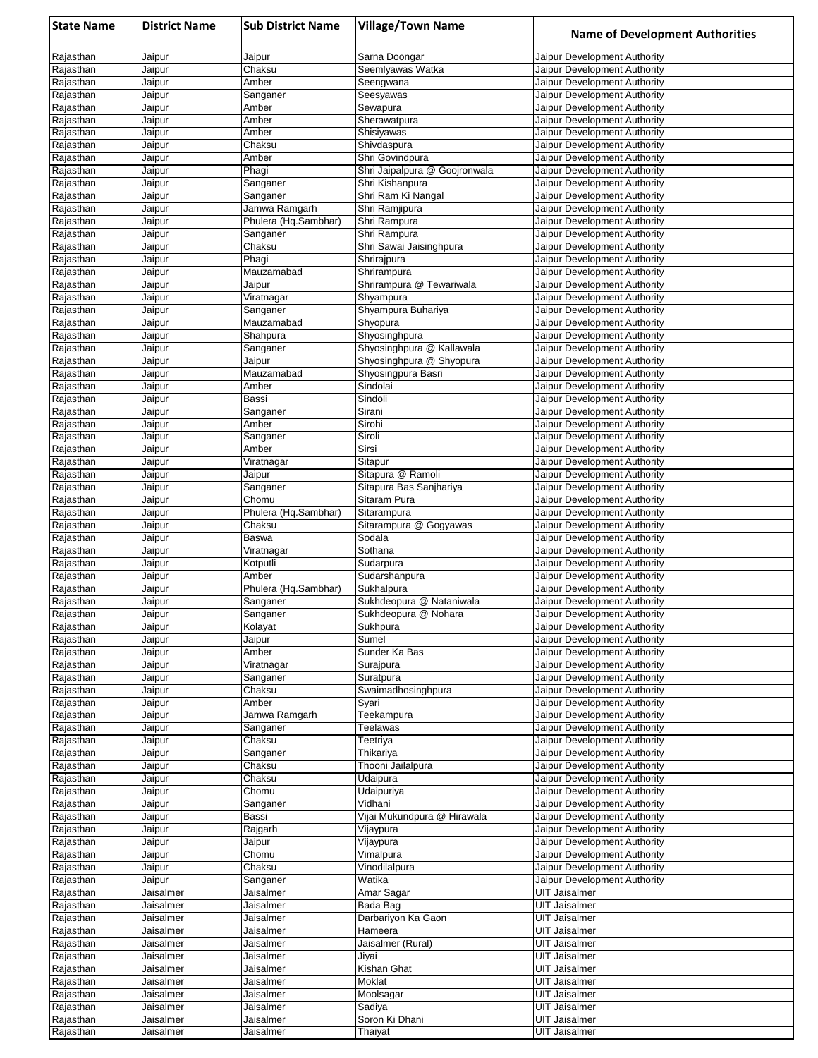| <b>State Name</b>      | <b>District Name</b>   | <b>Sub District Name</b>         | <b>Village/Town Name</b>                         | <b>Name of Development Authorities</b>                       |
|------------------------|------------------------|----------------------------------|--------------------------------------------------|--------------------------------------------------------------|
| Rajasthan              | Jaipur                 | Jaipur                           | Sarna Doongar                                    | Jaipur Development Authority                                 |
| Rajasthan              | Jaipur                 | Chaksu                           | Seemlyawas Watka                                 | Jaipur Development Authority                                 |
| Rajasthan              | Jaipur                 | Amber                            | Seengwana                                        | Jaipur Development Authority                                 |
| Rajasthan<br>Rajasthan | Jaipur<br>Jaipur       | Sanganer<br>Amber                | Seesyawas                                        | Jaipur Development Authority<br>Jaipur Development Authority |
| Rajasthan              | Jaipur                 | Amber                            | Sewapura<br>Sherawatpura                         | Jaipur Development Authority                                 |
| Rajasthan              | Jaipur                 | Amber                            | Shisiyawas                                       | Jaipur Development Authority                                 |
| Rajasthan              | Jaipur                 | Chaksu                           | Shivdaspura                                      | Jaipur Development Authority                                 |
| Rajasthan              | Jaipur                 | Amber                            | Shri Govindpura                                  | Jaipur Development Authority                                 |
| Rajasthan              | Jaipur                 | Phagi                            | Shri Jaipalpura @ Goojronwala                    | Jaipur Development Authority                                 |
| Rajasthan              | Jaipur                 | Sanganer                         | Shri Kishanpura                                  | Jaipur Development Authority                                 |
| Rajasthan              | Jaipur                 | Sanganer                         | Shri Ram Ki Nangal                               | Jaipur Development Authority                                 |
| Rajasthan              | Jaipur                 | Jamwa Ramgarh                    | Shri Ramjipura                                   | Jaipur Development Authority                                 |
| Rajasthan<br>Rajasthan | Jaipur<br>Jaipur       | Phulera (Hq.Sambhar)<br>Sanganer | Shri Rampura<br>Shri Rampura                     | Jaipur Development Authority<br>Jaipur Development Authority |
| Rajasthan              | Jaipur                 | Chaksu                           | Shri Sawai Jaisinghpura                          | Jaipur Development Authority                                 |
| Rajasthan              | Jaipur                 | Phagi                            | Shrirajpura                                      | Jaipur Development Authority                                 |
| Rajasthan              | Jaipur                 | Mauzamabad                       | Shrirampura                                      | Jaipur Development Authority                                 |
| Rajasthan              | Jaipur                 | Jaipur                           | Shrirampura @ Tewariwala                         | Jaipur Development Authority                                 |
| Rajasthan              | Jaipur                 | Viratnagar                       | Shyampura                                        | Jaipur Development Authority                                 |
| Rajasthan              | Jaipur                 | Sanganer                         | Shyampura Buhariya                               | Jaipur Development Authority                                 |
| Rajasthan              | Jaipur                 | Mauzamabad                       | Shyopura                                         | Jaipur Development Authority                                 |
| Rajasthan<br>Rajasthan | Jaipur<br>Jaipur       | Shahpura                         | Shyosinghpura<br>Shyosinghpura @ Kallawala       | Jaipur Development Authority<br>Jaipur Development Authority |
| Rajasthan              | Jaipur                 | Sanganer<br>Jaipur               | Shyosinghpura @ Shyopura                         | Jaipur Development Authority                                 |
| Rajasthan              | Jaipur                 | Mauzamabad                       | Shyosingpura Basri                               | Jaipur Development Authority                                 |
| Rajasthan              | Jaipur                 | Amber                            | Sindolai                                         | Jaipur Development Authority                                 |
| Rajasthan              | Jaipur                 | Bassi                            | Sindoli                                          | Jaipur Development Authority                                 |
| Rajasthan              | Jaipur                 | Sanganer                         | Sirani                                           | Jaipur Development Authority                                 |
| Rajasthan              | Jaipur                 | Amber                            | Sirohi                                           | Jaipur Development Authority                                 |
| Rajasthan              | Jaipur                 | Sanganer                         | Siroli                                           | Jaipur Development Authority                                 |
| Rajasthan              | Jaipur                 | Amber                            | Sirsi                                            | Jaipur Development Authority                                 |
| Rajasthan              | Jaipur                 | Viratnagar                       | Sitapur                                          | Jaipur Development Authority                                 |
| Rajasthan<br>Rajasthan | Jaipur<br>Jaipur       | Jaipur<br>Sanganer               | Sitapura @ Ramoli<br>Sitapura Bas Sanjhariya     | Jaipur Development Authority<br>Jaipur Development Authority |
| Rajasthan              | Jaipur                 | Chomu                            | Sitaram Pura                                     | Jaipur Development Authority                                 |
| Rajasthan              | Jaipur                 | Phulera (Hq.Sambhar)             | Sitarampura                                      | Jaipur Development Authority                                 |
| Rajasthan              | Jaipur                 | Chaksu                           | Sitarampura @ Gogyawas                           | Jaipur Development Authority                                 |
| Rajasthan              | Jaipur                 | <b>Baswa</b>                     | Sodala                                           | Jaipur Development Authority                                 |
| Rajasthan              | Jaipur                 | Viratnagar                       | Sothana                                          | Jaipur Development Authority                                 |
| Rajasthan              | Jaipur                 | Kotputli                         | Sudarpura                                        | Jaipur Development Authority                                 |
| Rajasthan              | Jaipur                 | Amber                            | Sudarshanpura                                    | Jaipur Development Authority                                 |
| Rajasthan              | Jaipur                 | Phulera (Hq.Sambhar)             | Sukhalpura                                       | Jaipur Development Authority                                 |
| Rajasthan<br>Rajasthan | Jaipur<br>Jaipur       | Sanganer<br>Sanganer             | Sukhdeopura @ Nataniwala<br>Sukhdeopura @ Nohara | Jaipur Development Authority<br>Jaipur Development Authority |
| Rajasthan              | Jaipur                 | Kolayat                          | Sukhpura                                         | Jaipur Development Authority                                 |
| Rajasthan              | Jaipur                 | Jaipur                           | Sumel                                            | Jaipur Development Authority                                 |
| Rajasthan              | Jaipur                 | Amber                            | Sunder Ka Bas                                    | Jaipur Development Authority                                 |
| Rajasthan              | Jaipur                 | Viratnagar                       | Surajpura                                        | Jaipur Development Authority                                 |
| Rajasthan              | Jaipur                 | Sanganer                         | Suratpura                                        | Jaipur Development Authority                                 |
| Rajasthan              | Jaipur                 | Chaksu                           | Swaimadhosinghpura                               | Jaipur Development Authority                                 |
| Rajasthan              | Jaipur                 | Amber                            | Syari                                            | Jaipur Development Authority                                 |
| Rajasthan              | Jaipur                 | Jamwa Ramgarh                    | Teekampura                                       | Jaipur Development Authority                                 |
| Rajasthan<br>Rajasthan | Jaipur<br>Jaipur       | Sanganer<br>Chaksu               | Teelawas<br>Teetriya                             | Jaipur Development Authority<br>Jaipur Development Authority |
| Rajasthan              | Jaipur                 | Sanganer                         | Thikariya                                        | Jaipur Development Authority                                 |
| Rajasthan              | Jaipur                 | Chaksu                           | Thooni Jailalpura                                | Jaipur Development Authority                                 |
| Rajasthan              | Jaipur                 | Chaksu                           | Udaipura                                         | Jaipur Development Authority                                 |
| Rajasthan              | Jaipur                 | Chomu                            | Udaipuriya                                       | Jaipur Development Authority                                 |
| Rajasthan              | Jaipur                 | Sanganer                         | Vidhani                                          | Jaipur Development Authority                                 |
| Rajasthan              | Jaipur                 | Bassi                            | Vijai Mukundpura @ Hirawala                      | Jaipur Development Authority                                 |
| Rajasthan              | Jaipur                 | Rajgarh                          | Vijaypura                                        | Jaipur Development Authority                                 |
| Rajasthan              | Jaipur                 | Jaipur                           | Vijaypura                                        | Jaipur Development Authority                                 |
| Rajasthan<br>Rajasthan | Jaipur                 | Chomu                            | Vimalpura<br>Vinodilalpura                       | Jaipur Development Authority<br>Jaipur Development Authority |
| Rajasthan              | Jaipur<br>Jaipur       | Chaksu<br>Sanganer               | Watika                                           | Jaipur Development Authority                                 |
| Rajasthan              | Jaisalmer              | Jaisalmer                        | Amar Sagar                                       | UIT Jaisalmer                                                |
| Rajasthan              | Jaisalmer              | Jaisalmer                        | Bada Bag                                         | <b>UIT Jaisalmer</b>                                         |
| Rajasthan              | Jaisalmer              | Jaisalmer                        | Darbariyon Ka Gaon                               | UIT Jaisalmer                                                |
| Rajasthan              | Jaisalmer              | Jaisalmer                        | Hameera                                          | <b>UIT Jaisalmer</b>                                         |
| Rajasthan              | Jaisalmer              | Jaisalmer                        | Jaisalmer (Rural)                                | <b>UIT Jaisalmer</b>                                         |
| Rajasthan              | Jaisalmer              | Jaisalmer                        | Jiyai                                            | UIT Jaisalmer                                                |
| Rajasthan              | Jaisalmer              | Jaisalmer                        | Kishan Ghat                                      | <b>UIT Jaisalmer</b>                                         |
| Rajasthan              | Jaisalmer              | Jaisalmer                        | Moklat                                           | <b>UIT Jaisalmer</b>                                         |
| Rajasthan<br>Rajasthan | Jaisalmer<br>Jaisalmer | Jaisalmer<br>Jaisalmer           | Moolsagar<br>Sadiya                              | <b>UIT Jaisalmer</b><br><b>UIT Jaisalmer</b>                 |
| Rajasthan              | Jaisalmer              | Jaisalmer                        | Soron Ki Dhani                                   | <b>UIT Jaisalmer</b>                                         |
| Rajasthan              | Jaisalmer              | Jaisalmer                        | Thaiyat                                          | <b>UIT Jaisalmer</b>                                         |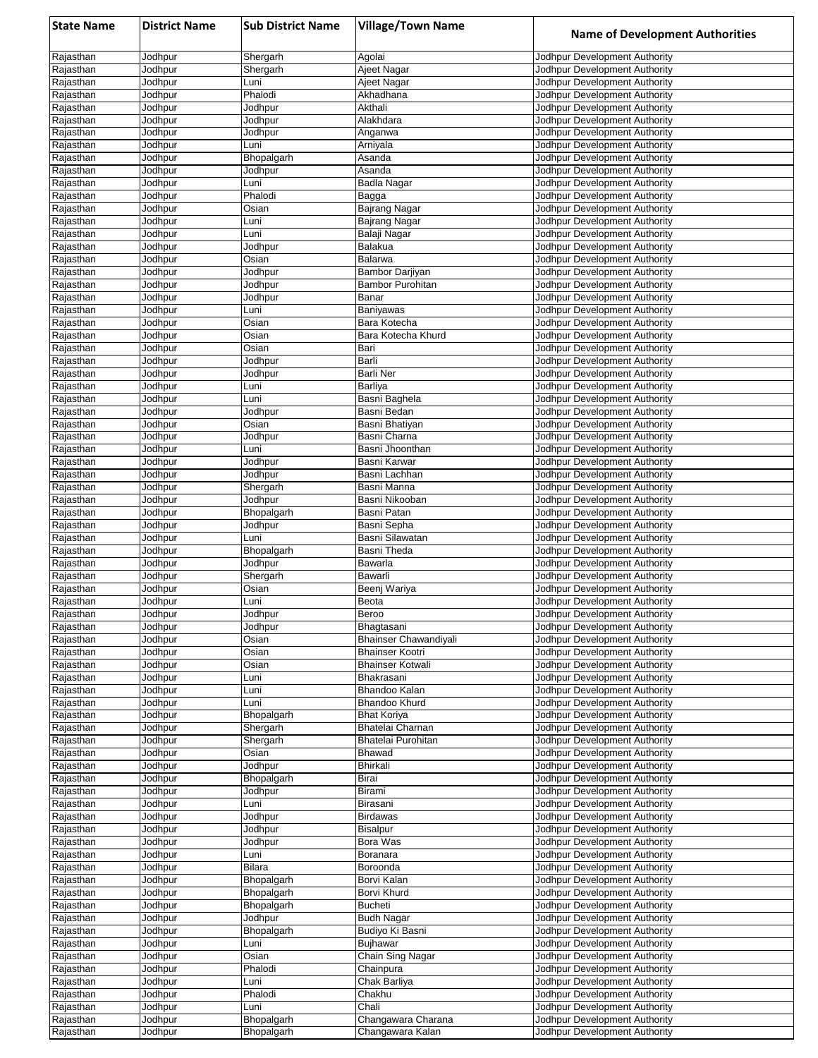| <b>State Name</b>      | <b>District Name</b> | <b>Sub District Name</b> | <b>Village/Town Name</b>         | <b>Name of Development Authorities</b>                         |
|------------------------|----------------------|--------------------------|----------------------------------|----------------------------------------------------------------|
| Rajasthan              | Jodhpur              | Shergarh                 | Agolai                           | Jodhpur Development Authority                                  |
| Rajasthan              | Jodhpur              | Shergarh                 | Ajeet Nagar                      | Jodhpur Development Authority                                  |
| Rajasthan              | Jodhpur              | Luni                     | Ajeet Nagar                      | Jodhpur Development Authority                                  |
| Rajasthan              | Jodhpur              | Phalodi                  | Akhadhana                        | Jodhpur Development Authority                                  |
| Rajasthan<br>Rajasthan | Jodhpur<br>Jodhpur   | Jodhpur<br>Jodhpur       | Akthali<br>Alakhdara             | Jodhpur Development Authority<br>Jodhpur Development Authority |
| Rajasthan              | Jodhpur              | Jodhpur                  | Anganwa                          | Jodhpur Development Authority                                  |
| Rajasthan              | Jodhpur              | Luni                     | Arniyala                         | Jodhpur Development Authority                                  |
| Rajasthan              | Jodhpur              | Bhopalgarh               | Asanda                           | Jodhpur Development Authority                                  |
| Rajasthan              | Jodhpur              | Jodhpur                  | Asanda                           | Jodhpur Development Authority                                  |
| Rajasthan              | Jodhpur              | Luni                     | Badla Nagar                      | Jodhpur Development Authority                                  |
| Rajasthan              | Jodhpur              | Phalodi                  | Bagga                            | Jodhpur Development Authority                                  |
| Rajasthan<br>Rajasthan | Jodhpur<br>Jodhpur   | Osian<br>Luni            | Bajrang Nagar<br>Bajrang Nagar   | Jodhpur Development Authority<br>Jodhpur Development Authority |
| Rajasthan              | Jodhpur              | Luni                     | Balaji Nagar                     | Jodhpur Development Authority                                  |
| Rajasthan              | Jodhpur              | Jodhpur                  | Balakua                          | Jodhpur Development Authority                                  |
| Rajasthan              | Jodhpur              | Osian                    | Balarwa                          | Jodhpur Development Authority                                  |
| Rajasthan              | Jodhpur              | Jodhpur                  | Bambor Darjiyan                  | Jodhpur Development Authority                                  |
| Rajasthan              | Jodhpur              | Jodhpur                  | Bambor Purohitan                 | Jodhpur Development Authority                                  |
| Rajasthan              | Jodhpur              | Jodhpur                  | Banar                            | Jodhpur Development Authority                                  |
| Rajasthan<br>Rajasthan | Jodhpur<br>Jodhpur   | Luni<br>Osian            | <b>Baniyawas</b><br>Bara Kotecha | Jodhpur Development Authority<br>Jodhpur Development Authority |
| Rajasthan              | Jodhpur              | Osian                    | Bara Kotecha Khurd               | Jodhpur Development Authority                                  |
| Rajasthan              | Jodhpur              | Osian                    | Bari                             | Jodhpur Development Authority                                  |
| Rajasthan              | Jodhpur              | Jodhpur                  | Barli                            | Jodhpur Development Authority                                  |
| Rajasthan              | Jodhpur              | Jodhpur                  | <b>Barli Ner</b>                 | Jodhpur Development Authority                                  |
| Rajasthan              | Jodhpur              | Luni                     | Barliya                          | Jodhpur Development Authority                                  |
| Rajasthan<br>Rajasthan | Jodhpur              | Luni                     | Basni Baghela<br>Basni Bedan     | Jodhpur Development Authority<br>Jodhpur Development Authority |
| Rajasthan              | Jodhpur<br>Jodhpur   | Jodhpur<br>Osian         | Basni Bhatiyan                   | Jodhpur Development Authority                                  |
| Rajasthan              | Jodhpur              | Jodhpur                  | Basni Charna                     | Jodhpur Development Authority                                  |
| Rajasthan              | Jodhpur              | Luni                     | Basni Jhoonthan                  | Jodhpur Development Authority                                  |
| Rajasthan              | Jodhpur              | Jodhpur                  | Basni Karwar                     | Jodhpur Development Authority                                  |
| Rajasthan              | Jodhpur              | Jodhpur                  | Basni Lachhan                    | Jodhpur Development Authority                                  |
| Rajasthan              | Jodhpur              | Shergarh                 | Basni Manna                      | Jodhpur Development Authority                                  |
| Rajasthan<br>Rajasthan | Jodhpur<br>Jodhpur   | Jodhpur<br>Bhopalgarh    | Basni Nikooban<br>Basni Patan    | Jodhpur Development Authority<br>Jodhpur Development Authority |
| Rajasthan              | Jodhpur              | Jodhpur                  | Basni Sepha                      | Jodhpur Development Authority                                  |
| Rajasthan              | Jodhpur              | Luni                     | Basni Silawatan                  | Jodhpur Development Authority                                  |
| Rajasthan              | Jodhpur              | Bhopalgarh               | Basni Theda                      | Jodhpur Development Authority                                  |
| Rajasthan              | Jodhpur              | Jodhpur                  | Bawarla                          | Jodhpur Development Authority                                  |
| Rajasthan              | Jodhpur              | Shergarh                 | Bawarli                          | Jodhpur Development Authority                                  |
| Rajasthan<br>Rajasthan | Jodhpur<br>Jodhpur   | Osian<br>Luni            | Beenj Wariya<br>Beota            | Jodhpur Development Authority<br>Jodhpur Development Authority |
| Rajasthan              | Jodhpur              | Jodhpur                  | Beroo                            | Jodhpur Development Authority                                  |
| Rajasthan              | Jodhpur              | Jodhpur                  | Bhagtasani                       | Jodhpur Development Authority                                  |
| Rajasthan              | Jodhpur              | Osian                    | <b>Bhainser Chawandiyali</b>     | Jodhpur Development Authority                                  |
| Rajasthan              | Jodhpur              | Osian                    | <b>Bhainser Kootri</b>           | Jodhpur Development Authority                                  |
| Rajasthan              | Jodhpur              | Osian                    | <b>Bhainser Kotwali</b>          | Jodhpur Development Authority                                  |
| Rajasthan              | Jodhpur              | Luni                     | Bhakrasani                       | Jodhpur Development Authority                                  |
| Rajasthan<br>Rajasthan | Jodhpur<br>Jodhpur   | Luni<br>Luni             | Bhandoo Kalan<br>Bhandoo Khurd   | Jodhpur Development Authority<br>Jodhpur Development Authority |
| Rajasthan              | Jodhpur              | Bhopalgarh               | <b>Bhat Koriya</b>               | Jodhpur Development Authority                                  |
| Rajasthan              | Jodhpur              | Shergarh                 | Bhatelai Charnan                 | Jodhpur Development Authority                                  |
| Rajasthan              | Jodhpur              | Shergarh                 | Bhatelai Purohitan               | Jodhpur Development Authority                                  |
| Rajasthan              | Jodhpur              | Osian                    | Bhawad                           | Jodhpur Development Authority                                  |
| Rajasthan              | Jodhpur              | Jodhpur                  | Bhirkali                         | Jodhpur Development Authority                                  |
| Rajasthan<br>Rajasthan | Jodhpur<br>Jodhpur   | Bhopalgarh<br>Jodhpur    | Birai<br>Birami                  | Jodhpur Development Authority<br>Jodhpur Development Authority |
| Rajasthan              | Jodhpur              | Luni                     | Birasani                         | Jodhpur Development Authority                                  |
| Rajasthan              | Jodhpur              | Jodhpur                  | <b>Birdawas</b>                  | Jodhpur Development Authority                                  |
| Rajasthan              | Jodhpur              | Jodhpur                  | <b>Bisalpur</b>                  | Jodhpur Development Authority                                  |
| Rajasthan              | Jodhpur              | Jodhpur                  | Bora Was                         | Jodhpur Development Authority                                  |
| Rajasthan              | Jodhpur              | Luni                     | Boranara                         | Jodhpur Development Authority                                  |
| Rajasthan<br>Rajasthan | Jodhpur<br>Jodhpur   | Bilara                   | Boroonda<br>Borvi Kalan          | Jodhpur Development Authority                                  |
| Rajasthan              | Jodhpur              | Bhopalgarh<br>Bhopalgarh | Borvi Khurd                      | Jodhpur Development Authority<br>Jodhpur Development Authority |
| Rajasthan              | Jodhpur              | Bhopalgarh               | <b>Bucheti</b>                   | Jodhpur Development Authority                                  |
| Rajasthan              | Jodhpur              | Jodhpur                  | <b>Budh Nagar</b>                | Jodhpur Development Authority                                  |
| Rajasthan              | Jodhpur              | Bhopalgarh               | Budiyo Ki Basni                  | Jodhpur Development Authority                                  |
| Rajasthan              | Jodhpur              | Luni                     | <b>Bujhawar</b>                  | Jodhpur Development Authority                                  |
| Rajasthan              | Jodhpur              | Osian                    | Chain Sing Nagar                 | Jodhpur Development Authority                                  |
| Rajasthan              | Jodhpur              | Phalodi                  | Chainpura                        | Jodhpur Development Authority                                  |
| Rajasthan<br>Rajasthan | Jodhpur<br>Jodhpur   | Luni<br>Phalodi          | Chak Barliya<br>Chakhu           | Jodhpur Development Authority<br>Jodhpur Development Authority |
| Rajasthan              | Jodhpur              | Luni                     | Chali                            | Jodhpur Development Authority                                  |
| Rajasthan              | Jodhpur              | Bhopalgarh               | Changawara Charana               | Jodhpur Development Authority                                  |
| Rajasthan              | Jodhpur              | Bhopalgarh               | Changawara Kalan                 | Jodhpur Development Authority                                  |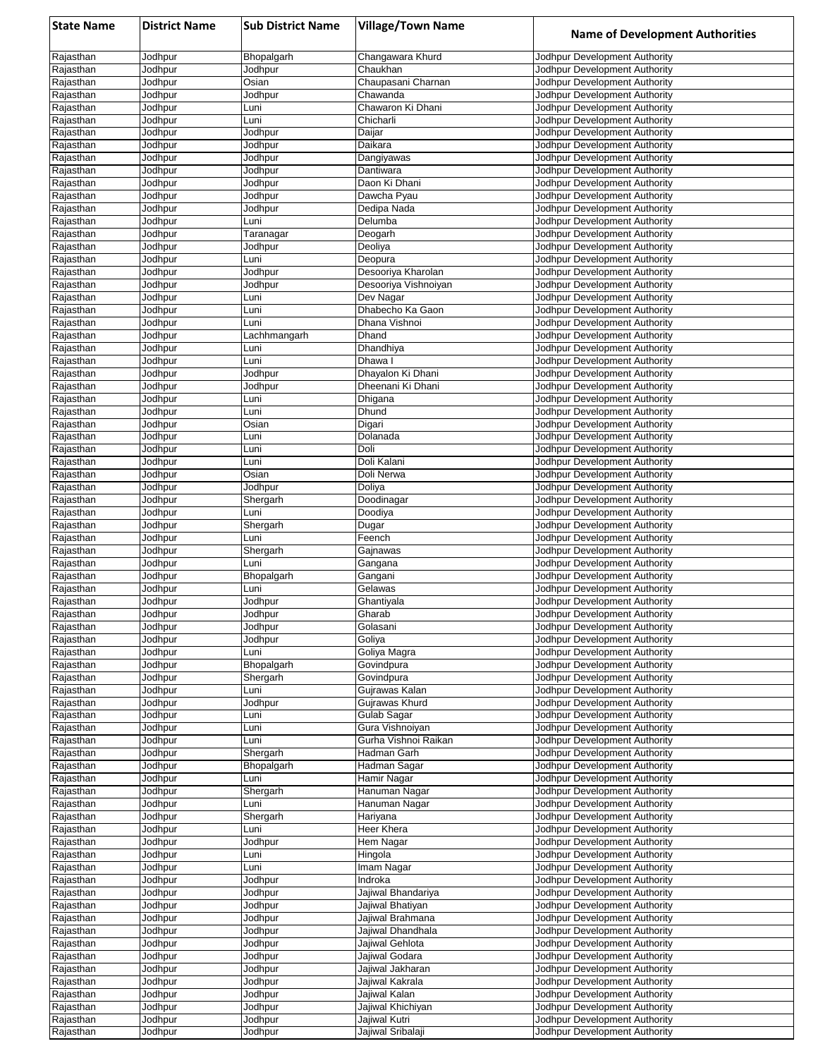| <b>State Name</b>      | <b>District Name</b> | <b>Sub District Name</b> | <b>Village/Town Name</b>         | <b>Name of Development Authorities</b>                         |
|------------------------|----------------------|--------------------------|----------------------------------|----------------------------------------------------------------|
| Rajasthan              | Jodhpur              | Bhopalgarh               | Changawara Khurd                 | Jodhpur Development Authority                                  |
| Rajasthan              | Jodhpur              | Jodhpur                  | Chaukhan                         | Jodhpur Development Authority                                  |
| Rajasthan              | Jodhpur              | Osian                    | Chaupasani Charnan               | Jodhpur Development Authority                                  |
| Rajasthan<br>Rajasthan | Jodhpur<br>Jodhpur   | Jodhpur<br>Luni          | Chawanda<br>Chawaron Ki Dhani    | Jodhpur Development Authority<br>Jodhpur Development Authority |
| Rajasthan              | Jodhpur              | Luni                     | Chicharli                        | Jodhpur Development Authority                                  |
| Rajasthan              | Jodhpur              | Jodhpur                  | Daijar                           | Jodhpur Development Authority                                  |
| Rajasthan              | Jodhpur              | Jodhpur                  | Daikara                          | Jodhpur Development Authority                                  |
| Rajasthan              | Jodhpur              | Jodhpur                  | Dangiyawas                       | Jodhpur Development Authority                                  |
| Rajasthan<br>Rajasthan | Jodhpur              | Jodhpur                  | Dantiwara<br>Daon Ki Dhani       | Jodhpur Development Authority<br>Jodhpur Development Authority |
| Rajasthan              | Jodhpur<br>Jodhpur   | Jodhpur<br>Jodhpur       | Dawcha Pyau                      | Jodhpur Development Authority                                  |
| Rajasthan              | Jodhpur              | Jodhpur                  | Dedipa Nada                      | Jodhpur Development Authority                                  |
| Rajasthan              | Jodhpur              | Luni                     | Delumba                          | Jodhpur Development Authority                                  |
| Rajasthan              | Jodhpur              | Taranagar                | Deogarh                          | Jodhpur Development Authority                                  |
| Rajasthan              | Jodhpur              | Jodhpur                  | Deoliya                          | Jodhpur Development Authority                                  |
| Rajasthan<br>Rajasthan | Jodhpur<br>Jodhpur   | Luni<br>Jodhpur          | Deopura<br>Desooriya Kharolan    | Jodhpur Development Authority<br>Jodhpur Development Authority |
| Rajasthan              | Jodhpur              | Jodhpur                  | Desooriya Vishnoiyan             | Jodhpur Development Authority                                  |
| Rajasthan              | Jodhpur              | Luni                     | Dev Nagar                        | Jodhpur Development Authority                                  |
| Rajasthan              | Jodhpur              | Luni                     | Dhabecho Ka Gaon                 | Jodhpur Development Authority                                  |
| Rajasthan              | Jodhpur              | Luni                     | Dhana Vishnoi                    | Jodhpur Development Authority                                  |
| Rajasthan              | Jodhpur              | Lachhmangarh             | Dhand<br>Dhandhiya               | Jodhpur Development Authority<br>Jodhpur Development Authority |
| Rajasthan<br>Rajasthan | Jodhpur<br>Jodhpur   | Luni<br>Luni             | Dhawa I                          | Jodhpur Development Authority                                  |
| Rajasthan              | Jodhpur              | Jodhpur                  | Dhayalon Ki Dhani                | Jodhpur Development Authority                                  |
| Rajasthan              | Jodhpur              | Jodhpur                  | Dheenani Ki Dhani                | Jodhpur Development Authority                                  |
| Rajasthan              | Jodhpur              | Luni                     | Dhigana                          | Jodhpur Development Authority                                  |
| Rajasthan              | Jodhpur              | Luni                     | Dhund                            | Jodhpur Development Authority                                  |
| Rajasthan              | Jodhpur              | Osian                    | Digari                           | Jodhpur Development Authority                                  |
| Rajasthan<br>Rajasthan | Jodhpur<br>Jodhpur   | Luni<br>Luni             | Dolanada<br>Doli                 | Jodhpur Development Authority<br>Jodhpur Development Authority |
| Rajasthan              | Jodhpur              | Luni                     | Doli Kalani                      | Jodhpur Development Authority                                  |
| Rajasthan              | Jodhpur              | Osian                    | Doli Nerwa                       | Jodhpur Development Authority                                  |
| Rajasthan              | Jodhpur              | Jodhpur                  | Doliya                           | Jodhpur Development Authority                                  |
| Rajasthan              | Jodhpur              | Shergarh                 | Doodinagar                       | Jodhpur Development Authority                                  |
| Rajasthan              | Jodhpur              | Luni                     | Doodiya                          | Jodhpur Development Authority                                  |
| Rajasthan<br>Rajasthan | Jodhpur<br>Jodhpur   | Shergarh<br>Luni         | Dugar<br>Feench                  | Jodhpur Development Authority<br>Jodhpur Development Authority |
| Rajasthan              | Jodhpur              | Shergarh                 | Gajnawas                         | Jodhpur Development Authority                                  |
| Rajasthan              | Jodhpur              | Luni                     | Gangana                          | Jodhpur Development Authority                                  |
| Rajasthan              | Jodhpur              | Bhopalgarh               | Gangani                          | Jodhpur Development Authority                                  |
| Rajasthan              | Jodhpur              | Luni                     | Gelawas                          | Jodhpur Development Authority                                  |
| Rajasthan              | Jodhpur              | Jodhpur                  | Ghantiyala                       | Jodhpur Development Authority                                  |
| Rajasthan<br>Rajasthan | Jodhpur<br>Jodhpur   | Jodhpur<br>Jodhpur       | Gharab<br>Golasani               | Jodhpur Development Authority<br>Jodhpur Development Authority |
| Rajasthan              | Jodhpur              | Jodhpur                  | Goliya                           | Jodhpur Development Authority                                  |
| Rajasthan              | Jodhpur              | Luni                     | Goliya Magra                     | Jodhpur Development Authority                                  |
| Rajasthan              | Jodhpur              | Bhopalgarh               | Govindpura                       | Jodhpur Development Authority                                  |
| Rajasthan              | Jodhpur              | Shergarh                 | Govindpura                       | Jodhpur Development Authority                                  |
| Rajasthan              | Jodhpur              | Luni                     | Gujrawas Kalan<br>Gujrawas Khurd | Jodhpur Development Authority                                  |
| Rajasthan<br>Rajasthan | Jodhpur<br>Jodhpur   | Jodhpur<br>Luni          | Gulab Sagar                      | Jodhpur Development Authority<br>Jodhpur Development Authority |
| Rajasthan              | Jodhpur              | Luni                     | Gura Vishnoiyan                  | Jodhpur Development Authority                                  |
| Rajasthan              | Jodhpur              | Luni                     | Gurha Vishnoi Raikan             | Jodhpur Development Authority                                  |
| Rajasthan              | Jodhpur              | Shergarh                 | Hadman Garh                      | Jodhpur Development Authority                                  |
| Rajasthan              | Jodhpur              | Bhopalgarh               | Hadman Sagar                     | Jodhpur Development Authority                                  |
| Rajasthan              | Jodhpur              | Luni                     | Hamir Nagar                      | Jodhpur Development Authority                                  |
| Rajasthan<br>Rajasthan | Jodhpur<br>Jodhpur   | Shergarh<br>Luni         | Hanuman Nagar<br>Hanuman Nagar   | Jodhpur Development Authority<br>Jodhpur Development Authority |
| Rajasthan              | Jodhpur              | Shergarh                 | Hariyana                         | Jodhpur Development Authority                                  |
| Rajasthan              | Jodhpur              | Luni                     | Heer Khera                       | Jodhpur Development Authority                                  |
| Rajasthan              | Jodhpur              | Jodhpur                  | Hem Nagar                        | Jodhpur Development Authority                                  |
| Rajasthan              | Jodhpur              | Luni                     | Hingola                          | Jodhpur Development Authority                                  |
| Rajasthan              | Jodhpur              | Luni                     | Imam Nagar                       | Jodhpur Development Authority                                  |
| Rajasthan<br>Rajasthan | Jodhpur<br>Jodhpur   | Jodhpur<br>Jodhpur       | Indroka<br>Jajiwal Bhandariya    | Jodhpur Development Authority<br>Jodhpur Development Authority |
| Rajasthan              | Jodhpur              | Jodhpur                  | Jajiwal Bhatiyan                 | Jodhpur Development Authority                                  |
| Rajasthan              | Jodhpur              | Jodhpur                  | Jajiwal Brahmana                 | Jodhpur Development Authority                                  |
| Rajasthan              | Jodhpur              | Jodhpur                  | Jajiwal Dhandhala                | Jodhpur Development Authority                                  |
| Rajasthan              | Jodhpur              | Jodhpur                  | Jajiwal Gehlota                  | Jodhpur Development Authority                                  |
| Rajasthan              | Jodhpur              | Jodhpur                  | Jajiwal Godara                   | Jodhpur Development Authority                                  |
| Rajasthan              | Jodhpur              | Jodhpur                  | Jajiwal Jakharan                 | Jodhpur Development Authority                                  |
| Rajasthan              | Jodhpur              | Jodhpur<br>Jodhpur       | Jajiwal Kakrala<br>Jajiwal Kalan | Jodhpur Development Authority<br>Jodhpur Development Authority |
| Rajasthan<br>Rajasthan | Jodhpur<br>Jodhpur   | Jodhpur                  | Jajiwal Khichiyan                | Jodhpur Development Authority                                  |
| Rajasthan              | Jodhpur              | Jodhpur                  | Jajiwal Kutri                    | Jodhpur Development Authority                                  |
| Rajasthan              | Jodhpur              | Jodhpur                  | Jajiwal Sribalaji                | Jodhpur Development Authority                                  |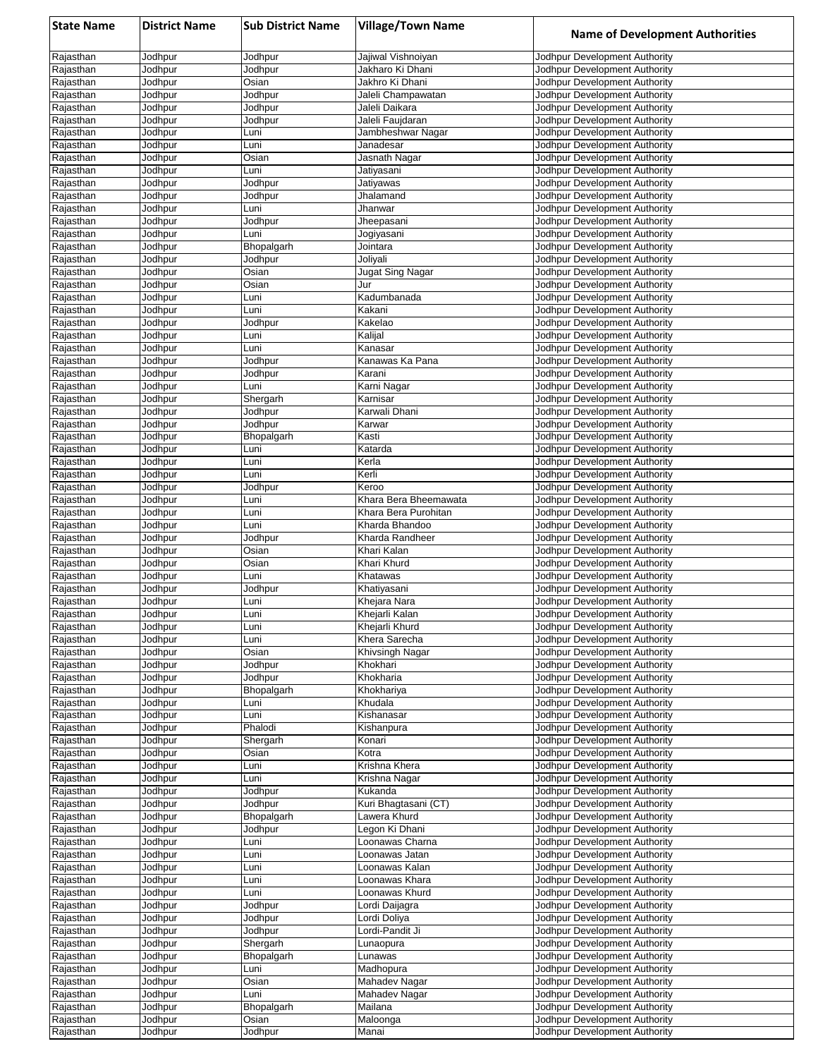| <b>State Name</b>      | <b>District Name</b> | <b>Sub District Name</b> | <b>Village/Town Name</b>               | <b>Name of Development Authorities</b>                         |
|------------------------|----------------------|--------------------------|----------------------------------------|----------------------------------------------------------------|
| Rajasthan              | Jodhpur              | Jodhpur                  | Jajiwal Vishnoiyan                     | Jodhpur Development Authority                                  |
| Rajasthan              | Jodhpur              | Jodhpur                  | Jakharo Ki Dhani                       | Jodhpur Development Authority                                  |
| Rajasthan              | Jodhpur              | Osian                    | Jakhro Ki Dhani                        | Jodhpur Development Authority                                  |
| Rajasthan              | Jodhpur              | Jodhpur                  | Jaleli Champawatan                     | Jodhpur Development Authority                                  |
| Rajasthan<br>Rajasthan | Jodhpur<br>Jodhpur   | Jodhpur<br>Jodhpur       | Jaleli Daikara<br>Jaleli Faujdaran     | Jodhpur Development Authority<br>Jodhpur Development Authority |
| Rajasthan              | Jodhpur              | Luni                     | Jambheshwar Nagar                      | Jodhpur Development Authority                                  |
| Rajasthan              | Jodhpur              | Luni                     | Janadesar                              | Jodhpur Development Authority                                  |
| Rajasthan              | Jodhpur              | Osian                    | Jasnath Nagar                          | Jodhpur Development Authority                                  |
| Rajasthan              | Jodhpur              | Luni                     | Jatiyasani                             | Jodhpur Development Authority                                  |
| Rajasthan              | Jodhpur              | Jodhpur                  | Jatiyawas                              | Jodhpur Development Authority                                  |
| Rajasthan              | Jodhpur              | Jodhpur                  | Jhalamand                              | Jodhpur Development Authority                                  |
| Rajasthan<br>Rajasthan | Jodhpur<br>Jodhpur   | Luni<br>Jodhpur          | Jhanwar<br>Jheepasani                  | Jodhpur Development Authority<br>Jodhpur Development Authority |
| Rajasthan              | Jodhpur              | Luni                     | Jogiyasani                             | Jodhpur Development Authority                                  |
| Rajasthan              | Jodhpur              | Bhopalgarh               | Jointara                               | Jodhpur Development Authority                                  |
| Rajasthan              | Jodhpur              | Jodhpur                  | Joliyali                               | Jodhpur Development Authority                                  |
| Rajasthan              | Jodhpur              | Osian                    | Jugat Sing Nagar                       | Jodhpur Development Authority                                  |
| Rajasthan              | Jodhpur              | Osian                    | Jur                                    | Jodhpur Development Authority                                  |
| Rajasthan              | Jodhpur              | Luni                     | Kadumbanada<br>Kakani                  | Jodhpur Development Authority                                  |
| Rajasthan<br>Rajasthan | Jodhpur<br>Jodhpur   | Luni<br>Jodhpur          | Kakelao                                | Jodhpur Development Authority<br>Jodhpur Development Authority |
| Rajasthan              | Jodhpur              | Luni                     | Kalijal                                | Jodhpur Development Authority                                  |
| Rajasthan              | Jodhpur              | Luni                     | Kanasar                                | Jodhpur Development Authority                                  |
| Rajasthan              | Jodhpur              | Jodhpur                  | Kanawas Ka Pana                        | Jodhpur Development Authority                                  |
| Rajasthan              | Jodhpur              | Jodhpur                  | Karani                                 | Jodhpur Development Authority                                  |
| Rajasthan              | Jodhpur              | Luni                     | Karni Nagar                            | Jodhpur Development Authority                                  |
| Rajasthan              | Jodhpur              | Shergarh                 | Karnisar                               | Jodhpur Development Authority                                  |
| Rajasthan<br>Rajasthan | Jodhpur<br>Jodhpur   | Jodhpur<br>Jodhpur       | Karwali Dhani<br>Karwar                | Jodhpur Development Authority<br>Jodhpur Development Authority |
| Rajasthan              | Jodhpur              | Bhopalgarh               | Kasti                                  | Jodhpur Development Authority                                  |
| Rajasthan              | Jodhpur              | Luni                     | Katarda                                | Jodhpur Development Authority                                  |
| Rajasthan              | Jodhpur              | Luni                     | Kerla                                  | Jodhpur Development Authority                                  |
| Rajasthan              | Jodhpur              | Luni                     | Kerli                                  | Jodhpur Development Authority                                  |
| Rajasthan              | Jodhpur              | Jodhpur                  | Keroo                                  | Jodhpur Development Authority                                  |
| Rajasthan              | Jodhpur              | Luni                     | Khara Bera Bheemawata                  | Jodhpur Development Authority                                  |
| Rajasthan<br>Rajasthan | Jodhpur<br>Jodhpur   | Luni<br>Luni             | Khara Bera Purohitan<br>Kharda Bhandoo | Jodhpur Development Authority<br>Jodhpur Development Authority |
| Rajasthan              | Jodhpur              | Jodhpur                  | Kharda Randheer                        | Jodhpur Development Authority                                  |
| Rajasthan              | Jodhpur              | Osian                    | Khari Kalan                            | Jodhpur Development Authority                                  |
| Rajasthan              | Jodhpur              | Osian                    | Khari Khurd                            | Jodhpur Development Authority                                  |
| Rajasthan              | Jodhpur              | Luni                     | Khatawas                               | Jodhpur Development Authority                                  |
| Rajasthan              | Jodhpur              | Jodhpur                  | Khatiyasani                            | Jodhpur Development Authority                                  |
| Rajasthan<br>Rajasthan | Jodhpur<br>Jodhpur   | Luni<br>Luni             | Khejara Nara<br>Khejarli Kalan         | Jodhpur Development Authority<br>Jodhpur Development Authority |
| Rajasthan              | Jodhpur              | Luni                     | Khejarli Khurd                         | Jodhpur Development Authority                                  |
| Rajasthan              | Jodhpur              | Luni                     | Khera Sarecha                          | Jodhpur Development Authority                                  |
| Rajasthan              | Jodhpur              | Osian                    | Khivsingh Nagar                        | Jodhpur Development Authority                                  |
| Rajasthan              | Jodhpur              | Jodhpur                  | Khokhari                               | Jodhpur Development Authority                                  |
| Rajasthan              | Jodhpur              | Jodhpur                  | Khokharia                              | Jodhpur Development Authority                                  |
| Rajasthan<br>Rajasthan | Jodhpur<br>Jodhpur   | Bhopalgarh<br>Luni       | Khokhariya<br>Khudala                  | Jodhpur Development Authority                                  |
| Rajasthan              | Jodhpur              | Luni                     | Kishanasar                             | Jodhpur Development Authority<br>Jodhpur Development Authority |
| Rajasthan              | Jodhpur              | Phalodi                  | Kishanpura                             | Jodhpur Development Authority                                  |
| Rajasthan              | Jodhpur              | Shergarh                 | Konari                                 | Jodhpur Development Authority                                  |
| Rajasthan              | Jodhpur              | Osian                    | Kotra                                  | Jodhpur Development Authority                                  |
| Rajasthan              | Jodhpur              | Luni                     | Krishna Khera                          | Jodhpur Development Authority                                  |
| Rajasthan              | Jodhpur              | Luni                     | Krishna Nagar                          | Jodhpur Development Authority                                  |
| Rajasthan<br>Rajasthan | Jodhpur<br>Jodhpur   | Jodhpur<br>Jodhpur       | Kukanda<br>Kuri Bhagtasani (CT)        | Jodhpur Development Authority<br>Jodhpur Development Authority |
| Rajasthan              | Jodhpur              | Bhopalgarh               | Lawera Khurd                           | Jodhpur Development Authority                                  |
| Rajasthan              | Jodhpur              | Jodhpur                  | Legon Ki Dhani                         | Jodhpur Development Authority                                  |
| Rajasthan              | Jodhpur              | Luni                     | Loonawas Charna                        | Jodhpur Development Authority                                  |
| Rajasthan              | Jodhpur              | Luni                     | Loonawas Jatan                         | Jodhpur Development Authority                                  |
| Rajasthan              | Jodhpur              | Luni                     | Loonawas Kalan                         | Jodhpur Development Authority                                  |
| Rajasthan              | Jodhpur              | Luni                     | Loonawas Khara                         | Jodhpur Development Authority                                  |
| Rajasthan<br>Rajasthan | Jodhpur<br>Jodhpur   | Luni<br>Jodhpur          | Loonawas Khurd<br>Lordi Daijagra       | Jodhpur Development Authority<br>Jodhpur Development Authority |
| Rajasthan              | Jodhpur              | Jodhpur                  | Lordi Doliya                           | Jodhpur Development Authority                                  |
| Rajasthan              | Jodhpur              | Jodhpur                  | Lordi-Pandit Ji                        | Jodhpur Development Authority                                  |
| Rajasthan              | Jodhpur              | Shergarh                 | Lunaopura                              | Jodhpur Development Authority                                  |
| Rajasthan              | Jodhpur              | Bhopalgarh               | Lunawas                                | Jodhpur Development Authority                                  |
| Rajasthan              | Jodhpur              | Luni                     | Madhopura                              | Jodhpur Development Authority                                  |
| Rajasthan              | Jodhpur              | Osian                    | Mahadev Nagar                          | Jodhpur Development Authority                                  |
| Rajasthan<br>Rajasthan | Jodhpur<br>Jodhpur   | Luni<br>Bhopalgarh       | Mahadev Nagar<br>Mailana               | Jodhpur Development Authority<br>Jodhpur Development Authority |
| Rajasthan              | Jodhpur              | Osian                    | Maloonga                               | Jodhpur Development Authority                                  |
| Rajasthan              | Jodhpur              | Jodhpur                  | Manai                                  | Jodhpur Development Authority                                  |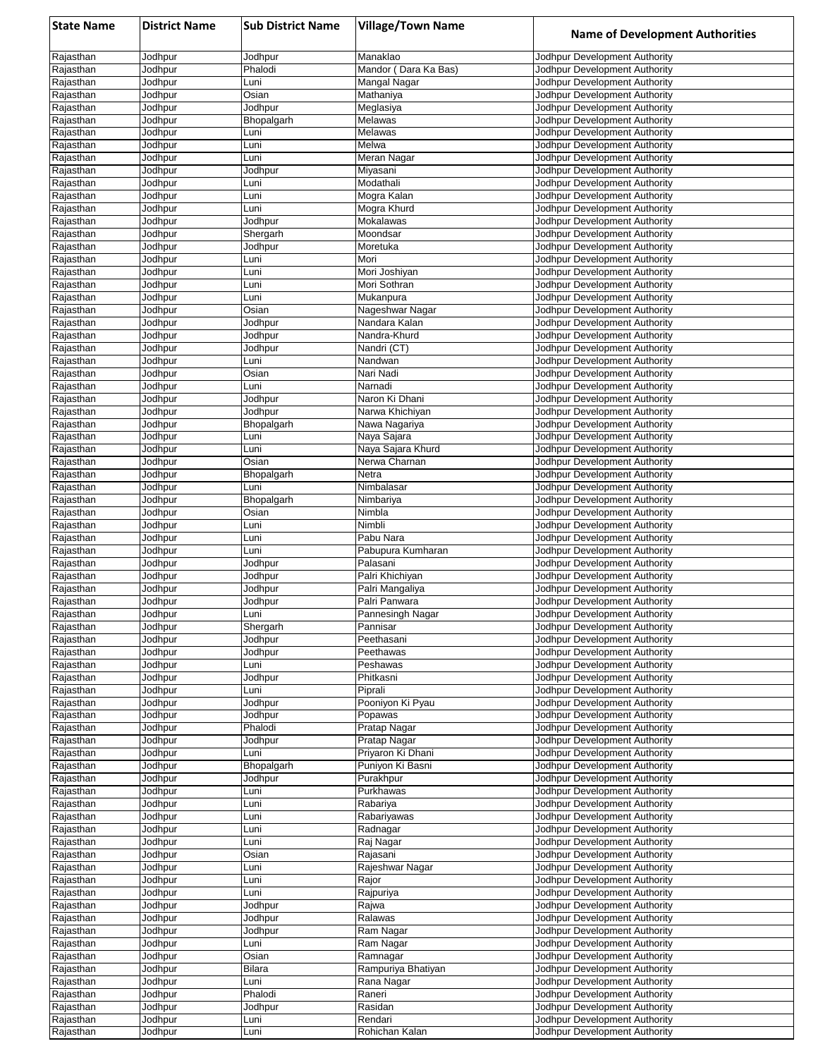| <b>State Name</b>      | <b>District Name</b> | <b>Sub District Name</b> | <b>Village/Town Name</b>          | <b>Name of Development Authorities</b>                         |
|------------------------|----------------------|--------------------------|-----------------------------------|----------------------------------------------------------------|
| Rajasthan              | Jodhpur              | Jodhpur                  | Manaklao                          | Jodhpur Development Authority                                  |
| Rajasthan              | Jodhpur              | Phalodi                  | Mandor (Dara Ka Bas)              | Jodhpur Development Authority                                  |
| Rajasthan              | Jodhpur              | Luni                     | Mangal Nagar                      | Jodhpur Development Authority                                  |
| Rajasthan              | Jodhpur              | Osian                    | Mathaniya                         | Jodhpur Development Authority                                  |
| Rajasthan<br>Rajasthan | Jodhpur<br>Jodhpur   | Jodhpur<br>Bhopalgarh    | Meglasiya<br>Melawas              | Jodhpur Development Authority<br>Jodhpur Development Authority |
| Rajasthan              | Jodhpur              | Luni                     | Melawas                           | Jodhpur Development Authority                                  |
| Rajasthan              | Jodhpur              | Luni                     | Melwa                             | Jodhpur Development Authority                                  |
| Rajasthan              | Jodhpur              | Luni                     | Meran Nagar                       | Jodhpur Development Authority                                  |
| Rajasthan              | Jodhpur              | Jodhpur                  | Miyasani                          | Jodhpur Development Authority                                  |
| Rajasthan              | Jodhpur              | Luni                     | Modathali                         | Jodhpur Development Authority                                  |
| Rajasthan              | Jodhpur              | Luni                     | Mogra Kalan                       | Jodhpur Development Authority                                  |
| Rajasthan<br>Rajasthan | Jodhpur<br>Jodhpur   | Luni<br>Jodhpur          | Mogra Khurd<br>Mokalawas          | Jodhpur Development Authority<br>Jodhpur Development Authority |
| Rajasthan              | Jodhpur              | Shergarh                 | Moondsar                          | Jodhpur Development Authority                                  |
| Rajasthan              | Jodhpur              | Jodhpur                  | Moretuka                          | Jodhpur Development Authority                                  |
| Rajasthan              | Jodhpur              | Luni                     | Mori                              | Jodhpur Development Authority                                  |
| Rajasthan              | Jodhpur              | Luni                     | Mori Joshiyan                     | Jodhpur Development Authority                                  |
| Rajasthan              | Jodhpur              | Luni                     | Mori Sothran                      | Jodhpur Development Authority                                  |
| Rajasthan              | Jodhpur              | Luni                     | Mukanpura                         | Jodhpur Development Authority                                  |
| Rajasthan<br>Rajasthan | Jodhpur<br>Jodhpur   | Osian<br>Jodhpur         | Nageshwar Nagar<br>Nandara Kalan  | Jodhpur Development Authority<br>Jodhpur Development Authority |
| Rajasthan              | Jodhpur              | Jodhpur                  | Nandra-Khurd                      | Jodhpur Development Authority                                  |
| Rajasthan              | Jodhpur              | Jodhpur                  | Nandri (CT)                       | Jodhpur Development Authority                                  |
| Rajasthan              | Jodhpur              | Luni                     | Nandwan                           | Jodhpur Development Authority                                  |
| Rajasthan              | Jodhpur              | Osian                    | Nari Nadi                         | Jodhpur Development Authority                                  |
| Rajasthan              | Jodhpur              | Luni                     | Narnadi                           | Jodhpur Development Authority                                  |
| Rajasthan              | Jodhpur              | Jodhpur                  | Naron Ki Dhani                    | Jodhpur Development Authority                                  |
| Rajasthan<br>Rajasthan | Jodhpur<br>Jodhpur   | Jodhpur<br>Bhopalgarh    | Narwa Khichiyan<br>Nawa Nagariya  | Jodhpur Development Authority<br>Jodhpur Development Authority |
| Rajasthan              | Jodhpur              | Luni                     | Naya Sajara                       | Jodhpur Development Authority                                  |
| Rajasthan              | Jodhpur              | Luni                     | Naya Sajara Khurd                 | Jodhpur Development Authority                                  |
| Rajasthan              | Jodhpur              | Osian                    | Nerwa Charnan                     | Jodhpur Development Authority                                  |
| Rajasthan              | Jodhpur              | Bhopalgarh               | Netra                             | Jodhpur Development Authority                                  |
| Rajasthan              | Jodhpur              | Luni                     | Nimbalasar                        | Jodhpur Development Authority                                  |
| Rajasthan              | Jodhpur              | Bhopalgarh               | Nimbariya                         | Jodhpur Development Authority                                  |
| Rajasthan<br>Rajasthan | Jodhpur<br>Jodhpur   | Osian<br>Luni            | Nimbla<br>Nimbli                  | Jodhpur Development Authority<br>Jodhpur Development Authority |
| Rajasthan              | Jodhpur              | Luni                     | Pabu Nara                         | Jodhpur Development Authority                                  |
| Rajasthan              | Jodhpur              | Luni                     | Pabupura Kumharan                 | Jodhpur Development Authority                                  |
| Rajasthan              | Jodhpur              | Jodhpur                  | Palasani                          | Jodhpur Development Authority                                  |
| Rajasthan              | Jodhpur              | Jodhpur                  | Palri Khichiyan                   | Jodhpur Development Authority                                  |
| Rajasthan              | Jodhpur              | Jodhpur                  | Palri Mangaliya                   | Jodhpur Development Authority                                  |
| Rajasthan<br>Rajasthan | Jodhpur<br>Jodhpur   | Jodhpur<br>Luni          | Palri Panwara<br>Pannesingh Nagar | Jodhpur Development Authority<br>Jodhpur Development Authority |
| Rajasthan              | Jodhpur              | Shergarh                 | Pannisar                          | Jodhpur Development Authority                                  |
| Rajasthan              | Jodhpur              | Jodhpur                  | Peethasani                        | Jodhpur Development Authority                                  |
| Rajasthan              | Jodhpur              | Jodhpur                  | Peethawas                         | Jodhpur Development Authority                                  |
| Rajasthan              | Jodhpur              | Luni                     | Peshawas                          | Jodhpur Development Authority                                  |
| Rajasthan              | Jodhpur              | Jodhpur                  | Phitkasni                         | Jodhpur Development Authority                                  |
| Rajasthan              | Jodhpur              | Luni                     | Piprali                           | Jodhpur Development Authority                                  |
| Rajasthan<br>Rajasthan | Jodhpur<br>Jodhpur   | Jodhpur<br>Jodhpur       | Pooniyon Ki Pyau<br>Popawas       | Jodhpur Development Authority<br>Jodhpur Development Authority |
| Rajasthan              | Jodhpur              | Phalodi                  | Pratap Nagar                      | Jodhpur Development Authority                                  |
| Rajasthan              | Jodhpur              | Jodhpur                  | Pratap Nagar                      | Jodhpur Development Authority                                  |
| Rajasthan              | Jodhpur              | Luni                     | Priyaron Ki Dhani                 | Jodhpur Development Authority                                  |
| Rajasthan              | Jodhpur              | Bhopalgarh               | Puniyon Ki Basni                  | Jodhpur Development Authority                                  |
| Rajasthan              | Jodhpur              | Jodhpur                  | Purakhpur                         | Jodhpur Development Authority                                  |
| Rajasthan              | Jodhpur              | Luni                     | Purkhawas                         | Jodhpur Development Authority                                  |
| Rajasthan<br>Rajasthan | Jodhpur<br>Jodhpur   | Luni<br>Luni             | Rabariya<br>Rabariyawas           | Jodhpur Development Authority<br>Jodhpur Development Authority |
| Rajasthan              | Jodhpur              | Luni                     | Radnagar                          | Jodhpur Development Authority                                  |
| Rajasthan              | Jodhpur              | Luni                     | Raj Nagar                         | Jodhpur Development Authority                                  |
| Rajasthan              | Jodhpur              | Osian                    | Rajasani                          | Jodhpur Development Authority                                  |
| Rajasthan              | Jodhpur              | Luni                     | Rajeshwar Nagar                   | Jodhpur Development Authority                                  |
| Rajasthan              | Jodhpur              | Luni                     | Rajor                             | Jodhpur Development Authority                                  |
| Rajasthan<br>Rajasthan | Jodhpur<br>Jodhpur   | Luni<br>Jodhpur          | Rajpuriya<br>Rajwa                | Jodhpur Development Authority<br>Jodhpur Development Authority |
| Rajasthan              | Jodhpur              | Jodhpur                  | Ralawas                           | Jodhpur Development Authority                                  |
| Rajasthan              | Jodhpur              | Jodhpur                  | Ram Nagar                         | Jodhpur Development Authority                                  |
| Rajasthan              | Jodhpur              | Luni                     | Ram Nagar                         | Jodhpur Development Authority                                  |
| Rajasthan              | Jodhpur              | Osian                    | Ramnagar                          | Jodhpur Development Authority                                  |
| Rajasthan              | Jodhpur              | Bilara                   | Rampuriya Bhatiyan                | Jodhpur Development Authority                                  |
| Rajasthan              | Jodhpur              | Luni                     | Rana Nagar                        | Jodhpur Development Authority                                  |
| Rajasthan<br>Rajasthan | Jodhpur<br>Jodhpur   | Phalodi<br>Jodhpur       | Raneri<br>Rasidan                 | Jodhpur Development Authority<br>Jodhpur Development Authority |
| Rajasthan              | Jodhpur              | Luni                     | Rendari                           | Jodhpur Development Authority                                  |
| Rajasthan              | Jodhpur              | Luni                     | Rohichan Kalan                    | Jodhpur Development Authority                                  |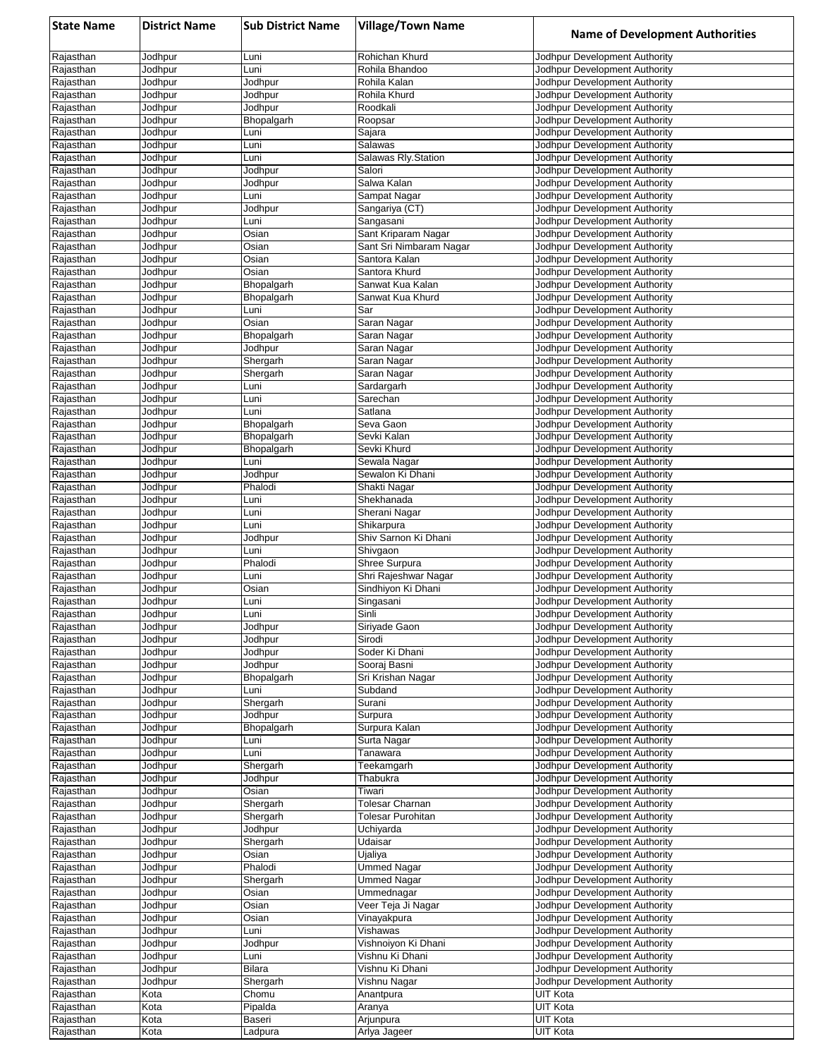| <b>State Name</b>      | <b>District Name</b> | <b>Sub District Name</b> | <b>Village/Town Name</b>           | <b>Name of Development Authorities</b>                         |
|------------------------|----------------------|--------------------------|------------------------------------|----------------------------------------------------------------|
| Rajasthan              | Jodhpur              | Luni                     | Rohichan Khurd                     | Jodhpur Development Authority                                  |
| Rajasthan              | Jodhpur              | Luni                     | Rohila Bhandoo                     | Jodhpur Development Authority                                  |
| Rajasthan              | Jodhpur              | Jodhpur                  | Rohila Kalan                       | Jodhpur Development Authority                                  |
| Rajasthan              | Jodhpur              | Jodhpur                  | Rohila Khurd                       | Jodhpur Development Authority                                  |
| Rajasthan              | Jodhpur              | Jodhpur                  | Roodkali                           | Jodhpur Development Authority                                  |
| Rajasthan              | Jodhpur              | Bhopalgarh               | Roopsar                            | Jodhpur Development Authority                                  |
| Rajasthan              | Jodhpur              | Luni<br>Luni             | Sajara<br>Salawas                  | Jodhpur Development Authority<br>Jodhpur Development Authority |
| Rajasthan<br>Rajasthan | Jodhpur<br>Jodhpur   | Luni                     | Salawas Rly.Station                | Jodhpur Development Authority                                  |
| Rajasthan              | Jodhpur              | Jodhpur                  | Salori                             | Jodhpur Development Authority                                  |
| Rajasthan              | Jodhpur              | Jodhpur                  | Salwa Kalan                        | Jodhpur Development Authority                                  |
| Rajasthan              | Jodhpur              | Luni                     | Sampat Nagar                       | Jodhpur Development Authority                                  |
| Rajasthan              | Jodhpur              | Jodhpur                  | Sangariya (CT)                     | Jodhpur Development Authority                                  |
| Rajasthan              | Jodhpur              | Luni                     | Sangasani                          | Jodhpur Development Authority                                  |
| Rajasthan              | Jodhpur              | Osian                    | Sant Kriparam Nagar                | Jodhpur Development Authority                                  |
| Rajasthan              | Jodhpur              | Osian                    | Sant Sri Nimbaram Nagar            | Jodhpur Development Authority                                  |
| Rajasthan<br>Rajasthan | Jodhpur              | Osian                    | Santora Kalan<br>Santora Khurd     | Jodhpur Development Authority<br>Jodhpur Development Authority |
| Rajasthan              | Jodhpur<br>Jodhpur   | Osian<br>Bhopalgarh      | Sanwat Kua Kalan                   | Jodhpur Development Authority                                  |
| Rajasthan              | Jodhpur              | Bhopalgarh               | Sanwat Kua Khurd                   | Jodhpur Development Authority                                  |
| Rajasthan              | Jodhpur              | Luni                     | Sar                                | Jodhpur Development Authority                                  |
| Rajasthan              | Jodhpur              | Osian                    | Saran Nagar                        | Jodhpur Development Authority                                  |
| Rajasthan              | Jodhpur              | Bhopalgarh               | Saran Nagar                        | Jodhpur Development Authority                                  |
| Rajasthan              | Jodhpur              | Jodhpur                  | Saran Nagar                        | Jodhpur Development Authority                                  |
| Rajasthan              | Jodhpur              | Shergarh                 | Saran Nagar                        | Jodhpur Development Authority                                  |
| Rajasthan              | Jodhpur              | Shergarh                 | Saran Nagar                        | Jodhpur Development Authority                                  |
| Rajasthan              | Jodhpur              | Luni                     | Sardargarh                         | Jodhpur Development Authority                                  |
| Rajasthan<br>Rajasthan | Jodhpur<br>Jodhpur   | Luni<br>Luni             | Sarechan<br>Satlana                | Jodhpur Development Authority<br>Jodhpur Development Authority |
| Rajasthan              | Jodhpur              | Bhopalgarh               | Seva Gaon                          | Jodhpur Development Authority                                  |
| Rajasthan              | Jodhpur              | Bhopalgarh               | Sevki Kalan                        | Jodhpur Development Authority                                  |
| Rajasthan              | Jodhpur              | Bhopalgarh               | Sevki Khurd                        | Jodhpur Development Authority                                  |
| Rajasthan              | Jodhpur              | Luni                     | Sewala Nagar                       | Jodhpur Development Authority                                  |
| Rajasthan              | Jodhpur              | Jodhpur                  | Sewalon Ki Dhani                   | Jodhpur Development Authority                                  |
| Rajasthan              | Jodhpur              | Phalodi                  | Shakti Nagar                       | Jodhpur Development Authority                                  |
| Rajasthan              | Jodhpur              | Luni                     | Shekhanada                         | Jodhpur Development Authority                                  |
| Rajasthan              | Jodhpur              | Luni                     | Sherani Nagar                      | Jodhpur Development Authority                                  |
| Rajasthan<br>Rajasthan | Jodhpur              | Luni                     | Shikarpura<br>Shiv Sarnon Ki Dhani | Jodhpur Development Authority<br>Jodhpur Development Authority |
| Rajasthan              | Jodhpur<br>Jodhpur   | Jodhpur<br>Luni          | Shivgaon                           | Jodhpur Development Authority                                  |
| Rajasthan              | Jodhpur              | Phalodi                  | Shree Surpura                      | Jodhpur Development Authority                                  |
| Rajasthan              | Jodhpur              | Luni                     | Shri Rajeshwar Nagar               | Jodhpur Development Authority                                  |
| Rajasthan              | Jodhpur              | Osian                    | Sindhiyon Ki Dhani                 | Jodhpur Development Authority                                  |
| Rajasthan              | Jodhpur              | Luni                     | Singasani                          | Jodhpur Development Authority                                  |
| Rajasthan              | Jodhpur              | Luni                     | Sinli                              | Jodhpur Development Authority                                  |
| Rajasthan              | Jodhpur              | Jodhpur                  | Siriyade Gaon                      | Jodhpur Development Authority                                  |
| Rajasthan              | Jodhpur              | Jodhpur                  | Sirodi                             | Jodhpur Development Authority                                  |
| Rajasthan<br>Rajasthan | Jodhpur<br>Jodhpur   | Jodhpur<br>Jodhpur       | Soder Ki Dhani<br>Sooraj Basni     | Jodhpur Development Authority<br>Jodhpur Development Authority |
| Rajasthan              | Jodhpur              | Bhopalgarh               | Sri Krishan Nagar                  | Jodhpur Development Authority                                  |
| Rajasthan              | Jodhpur              | Luni                     | Subdand                            | Jodhpur Development Authority                                  |
| Rajasthan              | Jodhpur              | Shergarh                 | Surani                             | Jodhpur Development Authority                                  |
| Rajasthan              | Jodhpur              | Jodhpur                  | Surpura                            | Jodhpur Development Authority                                  |
| Rajasthan              | Jodhpur              | Bhopalgarh               | Surpura Kalan                      | Jodhpur Development Authority                                  |
| Rajasthan              | Jodhpur              | Luni                     | Surta Nagar                        | Jodhpur Development Authority                                  |
| Rajasthan              | Jodhpur              | Luni                     | Tanawara                           | Jodhpur Development Authority                                  |
| Rajasthan              | Jodhpur              | Shergarh                 | Teekamgarh                         | Jodhpur Development Authority                                  |
| Rajasthan              | Jodhpur<br>Jodhpur   | Jodhpur<br>Osian         | Thabukra<br>Tiwari                 | Jodhpur Development Authority<br>Jodhpur Development Authority |
| Rajasthan<br>Rajasthan | Jodhpur              | Shergarh                 | Tolesar Charnan                    | Jodhpur Development Authority                                  |
| Rajasthan              | Jodhpur              | Shergarh                 | <b>Tolesar Purohitan</b>           | Jodhpur Development Authority                                  |
| Rajasthan              | Jodhpur              | Jodhpur                  | Uchiyarda                          | Jodhpur Development Authority                                  |
| Rajasthan              | Jodhpur              | Shergarh                 | Udaisar                            | Jodhpur Development Authority                                  |
| Rajasthan              | Jodhpur              | Osian                    | Ujaliya                            | Jodhpur Development Authority                                  |
| Rajasthan              | Jodhpur              | Phalodi                  | <b>Ummed Nagar</b>                 | Jodhpur Development Authority                                  |
| Rajasthan              | Jodhpur              | Shergarh                 | Ummed Nagar                        | Jodhpur Development Authority                                  |
| Rajasthan              | Jodhpur              | Osian                    | Ummednagar                         | Jodhpur Development Authority                                  |
| Rajasthan              | Jodhpur              | Osian                    | Veer Teja Ji Nagar                 | Jodhpur Development Authority                                  |
| Rajasthan              | Jodhpur              | Osian                    | Vinayakpura                        | Jodhpur Development Authority                                  |
| Rajasthan<br>Rajasthan | Jodhpur<br>Jodhpur   | Luni<br>Jodhpur          | Vishawas<br>Vishnoiyon Ki Dhani    | Jodhpur Development Authority<br>Jodhpur Development Authority |
| Rajasthan              | Jodhpur              | Luni                     | Vishnu Ki Dhani                    | Jodhpur Development Authority                                  |
| Rajasthan              | Jodhpur              | Bilara                   | Vishnu Ki Dhani                    | Jodhpur Development Authority                                  |
| Rajasthan              | Jodhpur              | Shergarh                 | Vishnu Nagar                       | Jodhpur Development Authority                                  |
| Rajasthan              | Kota                 | Chomu                    | Anantpura                          | UIT Kota                                                       |
| Rajasthan              | Kota                 | Pipalda                  | Aranya                             | <b>UIT Kota</b>                                                |
| Rajasthan              | Kota                 | Baseri                   | Arjunpura                          | UIT Kota                                                       |
| Rajasthan              | Kota                 | Ladpura                  | Arlya Jageer                       | UIT Kota                                                       |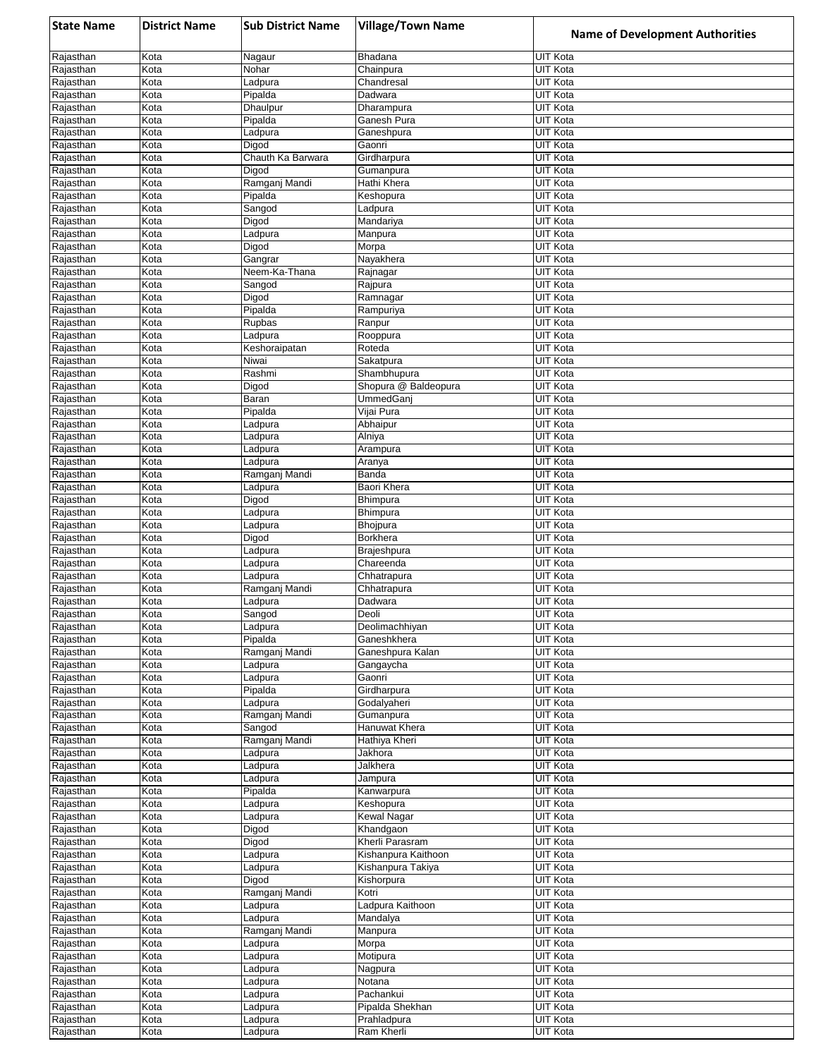| <b>State Name</b>      | <b>District Name</b> | <b>Sub District Name</b> | <b>Village/Town Name</b>        | <b>Name of Development Authorities</b> |
|------------------------|----------------------|--------------------------|---------------------------------|----------------------------------------|
| Rajasthan              | Kota                 | Nagaur                   | Bhadana                         | UIT Kota                               |
| Rajasthan              | Kota                 | Nohar                    | Chainpura                       | <b>UIT Kota</b>                        |
| Rajasthan              | Kota                 | Ladpura                  | Chandresal<br>Dadwara           | UIT Kota                               |
| Rajasthan<br>Rajasthan | Kota<br>Kota         | Pipalda<br>Dhaulpur      | Dharampura                      | UIT Kota<br>UIT Kota                   |
| Rajasthan              | Kota                 | Pipalda                  | Ganesh Pura                     | <b>UIT Kota</b>                        |
| Rajasthan              | Kota                 | Ladpura                  | Ganeshpura                      | UIT Kota                               |
| Rajasthan              | Kota                 | Digod                    | Gaonri                          | <b>UIT Kota</b>                        |
| Rajasthan              | Kota                 | Chauth Ka Barwara        | Girdharpura                     | <b>UIT Kota</b>                        |
| Rajasthan<br>Rajasthan | Kota<br>Kota         | Digod<br>Ramganj Mandi   | Gumanpura<br>Hathi Khera        | UIT Kota<br>UIT Kota                   |
| Rajasthan              | Kota                 | Pipalda                  | Keshopura                       | <b>UIT Kota</b>                        |
| Rajasthan              | Kota                 | Sangod                   | Ladpura                         | <b>UIT Kota</b>                        |
| Rajasthan              | Kota                 | Digod                    | Mandariya                       | <b>UIT Kota</b>                        |
| Rajasthan              | Kota                 | Ladpura                  | Manpura                         | <b>UIT Kota</b>                        |
| Rajasthan              | Kota                 | Digod                    | Morpa                           | <b>UIT Kota</b>                        |
| Rajasthan<br>Rajasthan | Kota<br>Kota         | Gangrar<br>Neem-Ka-Thana | Nayakhera<br>Rajnagar           | <b>UIT Kota</b><br><b>UIT Kota</b>     |
| Rajasthan              | Kota                 | Sangod                   | Rajpura                         | <b>UIT Kota</b>                        |
| Rajasthan              | Kota                 | Digod                    | Ramnagar                        | <b>UIT Kota</b>                        |
| Rajasthan              | Kota                 | Pipalda                  | Rampuriya                       | <b>UIT Kota</b>                        |
| Rajasthan              | Kota                 | Rupbas                   | Ranpur                          | <b>UIT Kota</b>                        |
| Rajasthan<br>Rajasthan | Kota<br>Kota         | Ladpura<br>Keshoraipatan | Rooppura<br>Roteda              | UIT Kota<br>UIT Kota                   |
| Rajasthan              | Kota                 | Niwai                    | Sakatpura                       | <b>UIT Kota</b>                        |
| Rajasthan              | Kota                 | Rashmi                   | Shambhupura                     | <b>UIT Kota</b>                        |
| Rajasthan              | Kota                 | Digod                    | Shopura @ Baldeopura            | <b>UIT Kota</b>                        |
| Rajasthan              | Kota                 | Baran                    | <b>UmmedGani</b>                | <b>UIT Kota</b>                        |
| Rajasthan              | Kota                 | Pipalda                  | Vijai Pura                      | UIT Kota                               |
| Rajasthan              | Kota                 | Ladpura                  | Abhaipur                        | <b>UIT Kota</b>                        |
| Rajasthan<br>Rajasthan | Kota<br>Kota         | Ladpura                  | Alniya                          | UIT Kota<br><b>UIT Kota</b>            |
| Rajasthan              | Kota                 | Ladpura<br>Ladpura       | Arampura<br>Aranya              | <b>UIT Kota</b>                        |
| Rajasthan              | Kota                 | Ramganj Mandi            | Banda                           | <b>UIT Kota</b>                        |
| Rajasthan              | Kota                 | Ladpura                  | Baori Khera                     | UIT Kota                               |
| Rajasthan              | Kota                 | Digod                    | Bhimpura                        | UIT Kota                               |
| Rajasthan              | Kota                 | Ladpura                  | <b>Bhimpura</b>                 | <b>UIT Kota</b>                        |
| Rajasthan              | Kota                 | Ladpura                  | Bhojpura                        | <b>UIT Kota</b>                        |
| Rajasthan<br>Rajasthan | Kota<br>Kota         | Digod<br>Ladpura         | Borkhera<br>Brajeshpura         | <b>UIT Kota</b><br><b>UIT Kota</b>     |
| Rajasthan              | Kota                 | Ladpura                  | Chareenda                       | UIT Kota                               |
| Rajasthan              | Kota                 | Ladpura                  | Chhatrapura                     | <b>UIT Kota</b>                        |
| Rajasthan              | Kota                 | Ramganj Mandi            | Chhatrapura                     | <b>UIT Kota</b>                        |
| Rajasthan              | Kota                 | Ladpura                  | Dadwara                         | UIT Kota                               |
| Rajasthan              | Kota                 | Sangod                   | Deoli                           | <b>UIT Kota</b>                        |
| Rajasthan              | Kota<br>Kota         | Ladpura                  | Deolimachhiyan                  | UIT Kota<br><b>UIT Kota</b>            |
| Rajasthan<br>Rajasthan | Kota                 | Pipalda<br>Ramganj Mandi | Ganeshkhera<br>Ganeshpura Kalan | <b>UIT Kota</b>                        |
| Rajasthan              | Kota                 | Ladpura                  | Gangaycha                       | <b>UIT Kota</b>                        |
| Rajasthan              | Kota                 | Ladpura                  | Gaonri                          | <b>UIT Kota</b>                        |
| Rajasthan              | Kota                 | Pipalda                  | Girdharpura                     | <b>UIT Kota</b>                        |
| Rajasthan              | Kota                 | Ladpura                  | Godalyaheri                     | <b>UIT Kota</b>                        |
| Rajasthan              | Kota                 | Ramganj Mandi            | Gumanpura                       | <b>UIT Kota</b>                        |
| Rajasthan<br>Rajasthan | Kota<br>Kota         | Sangod<br>Ramganj Mandi  | Hanuwat Khera<br>Hathiya Kheri  | UIT Kota<br>UIT Kota                   |
| Rajasthan              | Kota                 | Ladpura                  | Jakhora                         | <b>UIT Kota</b>                        |
| Rajasthan              | Kota                 | Ladpura                  | Jalkhera                        | <b>UIT Kota</b>                        |
| Rajasthan              | Kota                 | Ladpura                  | Jampura                         | <b>UIT Kota</b>                        |
| Rajasthan              | Kota                 | Pipalda                  | Kanwarpura                      | UIT Kota                               |
| Rajasthan              | Kota                 | Ladpura                  | Keshopura                       | UIT Kota                               |
| Rajasthan              | Kota                 | Ladpura                  | Kewal Nagar                     | <b>UIT Kota</b><br><b>UIT Kota</b>     |
| Rajasthan<br>Rajasthan | Kota<br>Kota         | Digod<br>Digod           | Khandgaon<br>Kherli Parasram    | <b>UIT Kota</b>                        |
| Rajasthan              | Kota                 | Ladpura                  | Kishanpura Kaithoon             | <b>UIT Kota</b>                        |
| Rajasthan              | Kota                 | Ladpura                  | Kishanpura Takiya               | UIT Kota                               |
| Rajasthan              | Kota                 | Digod                    | Kishorpura                      | <b>UIT Kota</b>                        |
| Rajasthan              | Kota                 | Ramganj Mandi            | Kotri                           | <b>UIT Kota</b>                        |
| Rajasthan              | Kota                 | Ladpura                  | Ladpura Kaithoon                | <b>UIT Kota</b>                        |
| Rajasthan              | Kota                 | Ladpura                  | Mandalya                        | <b>UIT Kota</b>                        |
| Rajasthan<br>Rajasthan | Kota<br>Kota         | Ramganj Mandi<br>Ladpura | Manpura<br>Morpa                | <b>UIT Kota</b><br><b>UIT Kota</b>     |
| Rajasthan              | Kota                 | Ladpura                  | Motipura                        | UIT Kota                               |
| Rajasthan              | Kota                 | Ladpura                  | Nagpura                         | <b>UIT Kota</b>                        |
| Rajasthan              | Kota                 | Ladpura                  | Notana                          | <b>UIT Kota</b>                        |
| Rajasthan              | Kota                 | Ladpura                  | Pachankui                       | <b>UIT Kota</b>                        |
| Rajasthan              | Kota                 | Ladpura                  | Pipalda Shekhan                 | <b>UIT Kota</b>                        |
| Rajasthan              | Kota<br>Kota         | Ladpura<br>Ladpura       | Prahladpura                     | <b>UIT Kota</b><br><b>UIT Kota</b>     |
| Rajasthan              |                      |                          | Ram Kherli                      |                                        |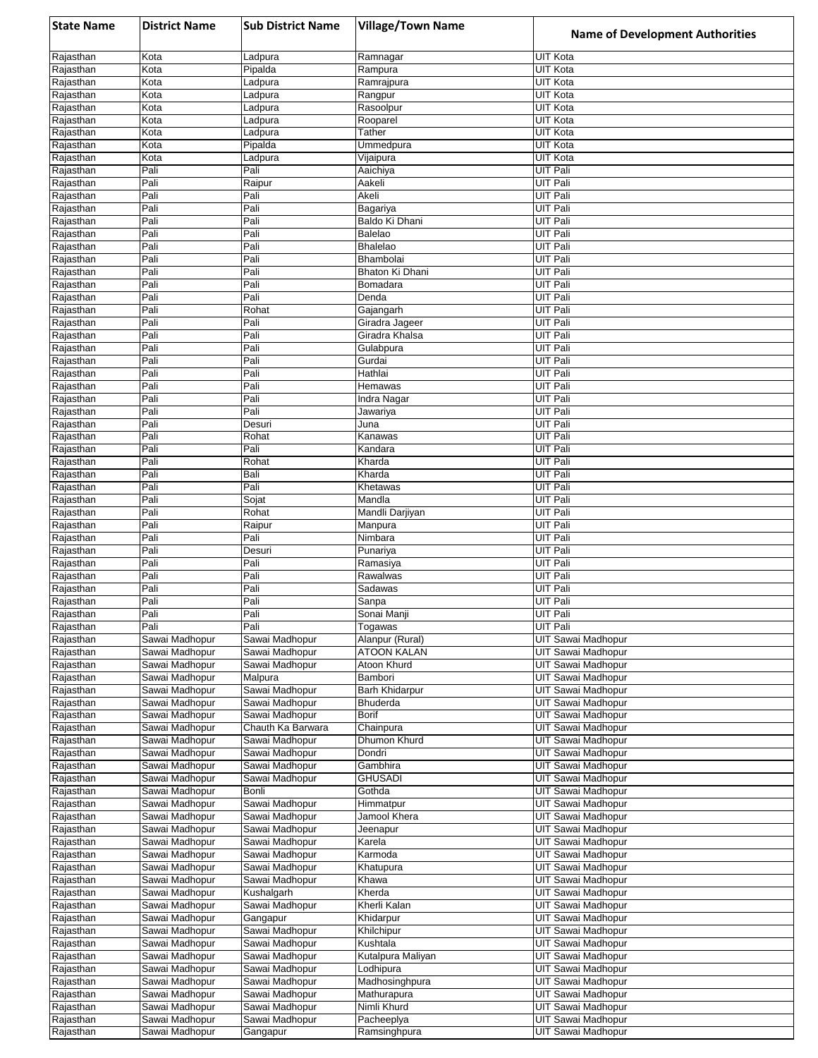| <b>State Name</b>      | <b>District Name</b>             | <b>Sub District Name</b>   | <b>Village/Town Name</b>    | <b>Name of Development Authorities</b>   |
|------------------------|----------------------------------|----------------------------|-----------------------------|------------------------------------------|
| Rajasthan              | Kota                             | Ladpura                    | Ramnagar                    | <b>UIT Kota</b>                          |
| Rajasthan              | Kota                             | Pipalda                    | Rampura                     | <b>UIT Kota</b>                          |
| Rajasthan              | Kota                             | Ladpura                    | Ramrajpura                  | UIT Kota                                 |
| Rajasthan              | Kota                             | Ladpura                    | Rangpur                     | UIT Kota                                 |
| Rajasthan              | Kota                             | Ladpura                    | Rasoolpur                   | <b>UIT Kota</b>                          |
| Rajasthan<br>Rajasthan | Kota<br>Kota                     | Ladpura<br>Ladpura         | Rooparel<br>Tather          | <b>UIT Kota</b><br><b>UIT Kota</b>       |
| Rajasthan              | Kota                             | Pipalda                    | Ummedpura                   | <b>UIT Kota</b>                          |
| Rajasthan              | Kota                             | Ladpura                    | Vijaipura                   | <b>UIT Kota</b>                          |
| Rajasthan              | Pali                             | Pali                       | Aaichiya                    | UIT Pali                                 |
| Rajasthan              | Pali                             | Raipur                     | Aakeli                      | UIT Pali                                 |
| Rajasthan              | Pali                             | Pali                       | Akeli                       | <b>UIT Pali</b>                          |
| Rajasthan              | Pali                             | Pali                       | Bagariya                    | <b>UIT Pali</b>                          |
| Rajasthan              | Pali<br>Pali                     | Pali<br>Pali               | Baldo Ki Dhani<br>Balelao   | <b>UIT Pali</b><br><b>UIT Pali</b>       |
| Rajasthan<br>Rajasthan | Pali                             | Pali                       | <b>Bhalelao</b>             | UIT Pali                                 |
| Rajasthan              | Pali                             | Pali                       | Bhambolai                   | UIT Pali                                 |
| Rajasthan              | Pali                             | Pali                       | Bhaton Ki Dhani             | UIT Pali                                 |
| Rajasthan              | Pali                             | Pali                       | Bomadara                    | <b>UIT Pali</b>                          |
| Rajasthan              | Pali                             | Pali                       | Denda                       | <b>UIT Pali</b>                          |
| Rajasthan              | Pali                             | Rohat                      | Gajangarh                   | UIT Pali                                 |
| Rajasthan              | Pali                             | Pali                       | Giradra Jageer              | UIT Pali                                 |
| Rajasthan<br>Rajasthan | Pali<br>Pali                     | Pali<br>Pali               | Giradra Khalsa<br>Gulabpura | UIT Pali<br><b>UIT Pali</b>              |
| Rajasthan              | Pali                             | Pali                       | Gurdai                      | <b>UIT Pali</b>                          |
| Rajasthan              | Pali                             | Pali                       | Hathlai                     | <b>UIT Pali</b>                          |
| Rajasthan              | Pali                             | Pali                       | Hemawas                     | <b>UIT Pali</b>                          |
| Rajasthan              | Pali                             | Pali                       | Indra Nagar                 | <b>UIT Pali</b>                          |
| Rajasthan              | Pali                             | Pali                       | Jawariya                    | <b>UIT Pali</b>                          |
| Rajasthan              | Pali                             | Desuri                     | Juna                        | <b>UIT Pali</b>                          |
| Rajasthan              | Pali                             | Rohat                      | Kanawas                     | <b>UIT Pali</b>                          |
| Rajasthan              | Pali<br>Pali                     | Pali                       | Kandara                     | <b>UIT Pali</b><br><b>UIT Pali</b>       |
| Rajasthan<br>Rajasthan | Pali                             | Rohat<br>Bali              | Kharda<br>Kharda            | <b>UIT Pali</b>                          |
| Rajasthan              | Pali                             | Pali                       | Khetawas                    | UIT Pali                                 |
| Rajasthan              | Pali                             | Sojat                      | Mandla                      | <b>UIT Pali</b>                          |
| Rajasthan              | Pali                             | Rohat                      | Mandli Darjiyan             | <b>UIT Pali</b>                          |
| Rajasthan              | Pali                             | Raipur                     | Manpura                     | <b>UIT Pali</b>                          |
| Rajasthan              | Pali                             | Pali                       | Nimbara                     | <b>UIT Pali</b>                          |
| Rajasthan              | Pali                             | Desuri                     | Punariya                    | UIT Pali                                 |
| Rajasthan              | Pali<br>Pali                     | Pali                       | Ramasiya                    | <b>UIT Pali</b><br><b>UIT Pali</b>       |
| Rajasthan<br>Rajasthan | Pali                             | Pali<br>Pali               | Rawalwas<br>Sadawas         | <b>UIT Pali</b>                          |
| Rajasthan              | Pali                             | Pali                       | Sanpa                       | UIT Pali                                 |
| Rajasthan              | Pali                             | Pali                       | Sonai Manji                 | UIT Pali                                 |
| Rajasthan              | Pali                             | Pali                       | Togawas                     | UIT Pali                                 |
| Rajasthan              | Sawai Madhopur                   | Sawai Madhopur             | Alanpur (Rural)             | UIT Sawai Madhopur                       |
| Rajasthan              | Sawai Madhopur                   | Sawai Madhopur             | ATOON KALAN                 | <b>UIT Sawai Madhopur</b>                |
| Rajasthan              | Sawai Madhopur                   | Sawai Madhopur             | Atoon Khurd                 | UIT Sawai Madhopur                       |
| Rajasthan<br>Rajasthan | Sawai Madhopur<br>Sawai Madhopur | Malpura<br>Sawai Madhopur  | Bambori<br>Barh Khidarpur   | UIT Sawai Madhopur<br>UIT Sawai Madhopur |
| Rajasthan              | Sawai Madhopur                   | Sawai Madhopur             | Bhuderda                    | UIT Sawai Madhopur                       |
| Rajasthan              | Sawai Madhopur                   | Sawai Madhopur             | Borif                       | <b>UIT Sawai Madhopur</b>                |
| Rajasthan              | Sawai Madhopur                   | Chauth Ka Barwara          | Chainpura                   | UIT Sawai Madhopur                       |
| Rajasthan              | Sawai Madhopur                   | Sawai Madhopur             | Dhumon Khurd                | <b>UIT Sawai Madhopur</b>                |
| Rajasthan              | Sawai Madhopur                   | Sawai Madhopur             | Dondri                      | UIT Sawai Madhopur                       |
| Rajasthan              | Sawai Madhopur                   | Sawai Madhopur             | Gambhira                    | UIT Sawai Madhopur                       |
| Rajasthan              | Sawai Madhopur<br>Sawai Madhopur | Sawai Madhopur<br>Bonli    | <b>GHUSADI</b><br>Gothda    | UIT Sawai Madhopur<br>UIT Sawai Madhopur |
| Rajasthan<br>Rajasthan | Sawai Madhopur                   | Sawai Madhopur             | Himmatpur                   | UIT Sawai Madhopur                       |
| Rajasthan              | Sawai Madhopur                   | Sawai Madhopur             | Jamool Khera                | UIT Sawai Madhopur                       |
| Rajasthan              | Sawai Madhopur                   | Sawai Madhopur             | Jeenapur                    | UIT Sawai Madhopur                       |
| Rajasthan              | Sawai Madhopur                   | Sawai Madhopur             | Karela                      | UIT Sawai Madhopur                       |
| Rajasthan              | Sawai Madhopur                   | Sawai Madhopur             | Karmoda                     | UIT Sawai Madhopur                       |
| Rajasthan              | Sawai Madhopur                   | Sawai Madhopur             | Khatupura                   | UIT Sawai Madhopur                       |
| Rajasthan              | Sawai Madhopur                   | Sawai Madhopur             | Khawa                       | UIT Sawai Madhopur                       |
| Rajasthan              | Sawai Madhopur                   | Kushalgarh                 | Kherda                      | UIT Sawai Madhopur                       |
| Rajasthan<br>Rajasthan | Sawai Madhopur<br>Sawai Madhopur | Sawai Madhopur<br>Gangapur | Kherli Kalan<br>Khidarpur   | UIT Sawai Madhopur<br>UIT Sawai Madhopur |
| Rajasthan              | Sawai Madhopur                   | Sawai Madhopur             | Khilchipur                  | UIT Sawai Madhopur                       |
| Rajasthan              | Sawai Madhopur                   | Sawai Madhopur             | Kushtala                    | UIT Sawai Madhopur                       |
| Rajasthan              | Sawai Madhopur                   | Sawai Madhopur             | Kutalpura Maliyan           | UIT Sawai Madhopur                       |
| Rajasthan              | Sawai Madhopur                   | Sawai Madhopur             | Lodhipura                   | UIT Sawai Madhopur                       |
| Rajasthan              | Sawai Madhopur                   | Sawai Madhopur             | Madhosinghpura              | UIT Sawai Madhopur                       |
| Rajasthan              | Sawai Madhopur                   | Sawai Madhopur             | Mathurapura                 | UIT Sawai Madhopur                       |
| Rajasthan              | Sawai Madhopur                   | Sawai Madhopur             | Nimli Khurd                 | UIT Sawai Madhopur                       |
| Rajasthan<br>Rajasthan | Sawai Madhopur<br>Sawai Madhopur | Sawai Madhopur<br>Gangapur | Pacheeplya                  | UIT Sawai Madhopur<br>UIT Sawai Madhopur |
|                        |                                  |                            | Ramsinghpura                |                                          |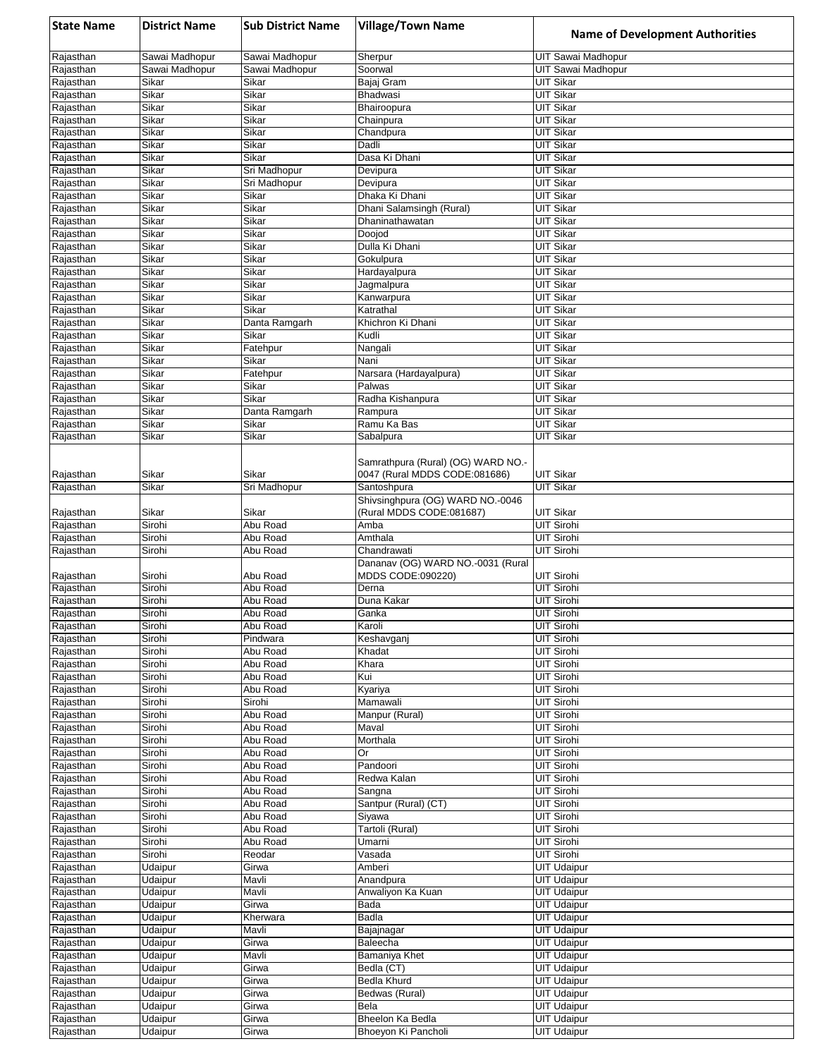| <b>State Name</b>      | <b>District Name</b> | <b>Sub District Name</b> | <b>Village/Town Name</b>                                            | <b>Name of Development Authorities</b>   |
|------------------------|----------------------|--------------------------|---------------------------------------------------------------------|------------------------------------------|
| Rajasthan              | Sawai Madhopur       | Sawai Madhopur           | Sherpur                                                             | UIT Sawai Madhopur                       |
| Rajasthan              | Sawai Madhopur       | Sawai Madhopur           | Soorwal                                                             | <b>UIT Sawai Madhopur</b>                |
| Rajasthan              | Sikar                | Sikar                    | Bajaj Gram                                                          | <b>UIT Sikar</b>                         |
| Rajasthan<br>Rajasthan | Sikar<br>Sikar       | Sikar<br>Sikar           | <b>Bhadwasi</b><br>Bhairoopura                                      | <b>UIT Sikar</b><br><b>UIT Sikar</b>     |
| Rajasthan              | Sikar                | Sikar                    | Chainpura                                                           | <b>UIT Sikar</b>                         |
| Rajasthan              | Sikar                | Sikar                    | Chandpura                                                           | <b>UIT Sikar</b>                         |
| Rajasthan              | Sikar                | Sikar                    | Dadli                                                               | <b>UIT Sikar</b>                         |
| Rajasthan              | Sikar                | Sikar                    | Dasa Ki Dhani                                                       | <b>UIT Sikar</b>                         |
| Rajasthan              | Sikar                | Sri Madhopur             | Devipura                                                            | <b>UIT Sikar</b>                         |
| Rajasthan              | Sikar                | Sri Madhopur             | Devipura                                                            | <b>UIT Sikar</b>                         |
| Rajasthan<br>Rajasthan | Sikar<br>Sikar       | Sikar<br>Sikar           | Dhaka Ki Dhani<br>Dhani Salamsingh (Rural)                          | <b>UIT Sikar</b><br><b>UIT Sikar</b>     |
| Rajasthan              | Sikar                | Sikar                    | Dhaninathawatan                                                     | <b>UIT Sikar</b>                         |
| Rajasthan              | Sikar                | Sikar                    | Doojod                                                              | <b>UIT Sikar</b>                         |
| Rajasthan              | Sikar                | Sikar                    | Dulla Ki Dhani                                                      | <b>UIT Sikar</b>                         |
| Rajasthan              | Sikar                | Sikar                    | Gokulpura                                                           | <b>UIT Sikar</b>                         |
| Rajasthan              | Sikar                | Sikar                    | Hardayalpura                                                        | <b>UIT Sikar</b>                         |
| Rajasthan              | Sikar                | Sikar                    | Jagmalpura                                                          | <b>UIT Sikar</b>                         |
| Rajasthan<br>Rajasthan | Sikar<br>Sikar       | Sikar<br>Sikar           | Kanwarpura<br>Katrathal                                             | <b>UIT Sikar</b><br><b>UIT Sikar</b>     |
| Rajasthan              | Sikar                | Danta Ramgarh            | Khichron Ki Dhani                                                   | <b>UIT Sikar</b>                         |
| Rajasthan              | Sikar                | Sikar                    | Kudli                                                               | <b>UIT Sikar</b>                         |
| Rajasthan              | Sikar                | Fatehpur                 | Nangali                                                             | <b>UIT Sikar</b>                         |
| Rajasthan              | Sikar                | Sikar                    | Nani                                                                | <b>UIT Sikar</b>                         |
| Rajasthan              | Sikar                | Fatehpur                 | Narsara (Hardayalpura)                                              | <b>UIT Sikar</b>                         |
| Rajasthan              | Sikar                | Sikar                    | Palwas                                                              | <b>UIT Sikar</b>                         |
| Rajasthan<br>Rajasthan | Sikar<br>Sikar       | Sikar<br>Danta Ramgarh   | Radha Kishanpura<br>Rampura                                         | <b>UIT Sikar</b><br><b>UIT Sikar</b>     |
| Rajasthan              | Sikar                | Sikar                    | Ramu Ka Bas                                                         | <b>UIT Sikar</b>                         |
| Rajasthan              | Sikar                | Sikar                    | Sabalpura                                                           | <b>UIT Sikar</b>                         |
| Rajasthan              | Sikar                | Sikar                    | Samrathpura (Rural) (OG) WARD NO.-<br>0047 (Rural MDDS CODE:081686) | <b>UIT Sikar</b>                         |
| Rajasthan              | Sikar                | Sri Madhopur             | Santoshpura                                                         | <b>UIT Sikar</b>                         |
|                        |                      |                          | Shivsinghpura (OG) WARD NO.-0046                                    |                                          |
| Rajasthan              | Sikar                | Sikar                    | (Rural MDDS CODE:081687)                                            | UIT Sikar                                |
| Rajasthan              | Sirohi               | Abu Road                 | Amba                                                                | <b>UIT Sirohi</b>                        |
| Rajasthan              | Sirohi               | Abu Road                 | Amthala                                                             | <b>UIT Sirohi</b>                        |
| Rajasthan              | Sirohi               | Abu Road                 | Chandrawati                                                         | <b>UIT Sirohi</b>                        |
| Rajasthan              | Sirohi               | Abu Road                 | Dananav (OG) WARD NO.-0031 (Rural<br>MDDS CODE:090220)              | <b>UIT Sirohi</b>                        |
| Rajasthan              | Sirohi               | Abu Road                 | Derna                                                               | <b>UIT Sirohi</b>                        |
| Rajasthan              | Sirohi               | Abu Road                 | Duna Kakar                                                          | <b>UIT Sirohi</b>                        |
| Rajasthan              | Sirohi               | Abu Road                 | Ganka                                                               | <b>UIT Sirohi</b>                        |
| Rajasthan              | Sirohi               | Abu Road                 | Karoli                                                              | UIT Sirohi                               |
| Rajasthan              | Sirohi               | Pindwara                 | Keshavganj                                                          | <b>UIT Sirohi</b>                        |
| Rajasthan              | Sirohi               | Abu Road<br>Abu Road     | Khadat                                                              | <b>UIT Sirohi</b><br><b>UIT Sirohi</b>   |
| Rajasthan<br>Rajasthan | Sirohi<br>Sirohi     | Abu Road                 | Khara<br>Kui                                                        | UIT Sirohi                               |
| Rajasthan              | Sirohi               | Abu Road                 | Kyariya                                                             | <b>UIT Sirohi</b>                        |
| Rajasthan              | Sirohi               | Sirohi                   | Mamawali                                                            | UIT Sirohi                               |
| Rajasthan              | Sirohi               | Abu Road                 | Manpur (Rural)                                                      | UIT Sirohi                               |
| Rajasthan              | Sirohi               | Abu Road                 | Maval                                                               | <b>UIT Sirohi</b>                        |
| Rajasthan              | Sirohi               | Abu Road                 | Morthala                                                            | <b>UIT Sirohi</b>                        |
| Rajasthan<br>Rajasthan | Sirohi<br>Sirohi     | Abu Road<br>Abu Road     | Or<br>Pandoori                                                      | <b>UIT Sirohi</b><br><b>UIT Sirohi</b>   |
| Rajasthan              | Sirohi               | Abu Road                 | Redwa Kalan                                                         | UIT Sirohi                               |
| Rajasthan              | Sirohi               | Abu Road                 | Sangna                                                              | <b>UIT Sirohi</b>                        |
| Rajasthan              | Sirohi               | Abu Road                 | Santpur (Rural) (CT)                                                | UIT Sirohi                               |
| Rajasthan              | Sirohi               | Abu Road                 | Siyawa                                                              | <b>UIT Sirohi</b>                        |
| Rajasthan              | Sirohi               | Abu Road                 | Tartoli (Rural)                                                     | <b>UIT Sirohi</b>                        |
| Rajasthan              | Sirohi               | Abu Road                 | Umarni                                                              | UIT Sirohi                               |
| Rajasthan              | Sirohi               | Reodar                   | Vasada                                                              | UIT Sirohi                               |
| Rajasthan<br>Rajasthan | Udaipur<br>Udaipur   | Girwa<br>Mavli           | Amberi                                                              | <b>UIT Udaipur</b><br><b>UIT Udaipur</b> |
| Rajasthan              | Udaipur              | Mavli                    | Anandpura<br>Anwaliyon Ka Kuan                                      | <b>UIT Udaipur</b>                       |
| Rajasthan              | Udaipur              | Girwa                    | Bada                                                                | <b>UIT Udaipur</b>                       |
| Rajasthan              | Udaipur              | Kherwara                 | Badla                                                               | <b>UIT Udaipur</b>                       |
| Rajasthan              | Udaipur              | Mavli                    | Bajajnagar                                                          | <b>UIT Udaipur</b>                       |
| Rajasthan              | Udaipur              | Girwa                    | Baleecha                                                            | <b>UIT Udaipur</b>                       |
| Rajasthan              | Udaipur              | Mavli                    | Bamaniya Khet                                                       | <b>UIT Udaipur</b>                       |
| Rajasthan<br>Rajasthan | Udaipur<br>Udaipur   | Girwa                    | Bedla (CT)<br>Bedla Khurd                                           | <b>UIT Udaipur</b><br><b>UIT Udaipur</b> |
| Rajasthan              | Udaipur              | Girwa<br>Girwa           | Bedwas (Rural)                                                      | <b>UIT Udaipur</b>                       |
| Rajasthan              | Udaipur              | Girwa                    | Bela                                                                | <b>UIT Udaipur</b>                       |
| Rajasthan              | Udaipur              | Girwa                    | Bheelon Ka Bedla                                                    | <b>UIT Udaipur</b>                       |
| Rajasthan              | Udaipur              | Girwa                    | Bhoeyon Ki Pancholi                                                 | <b>UIT Udaipur</b>                       |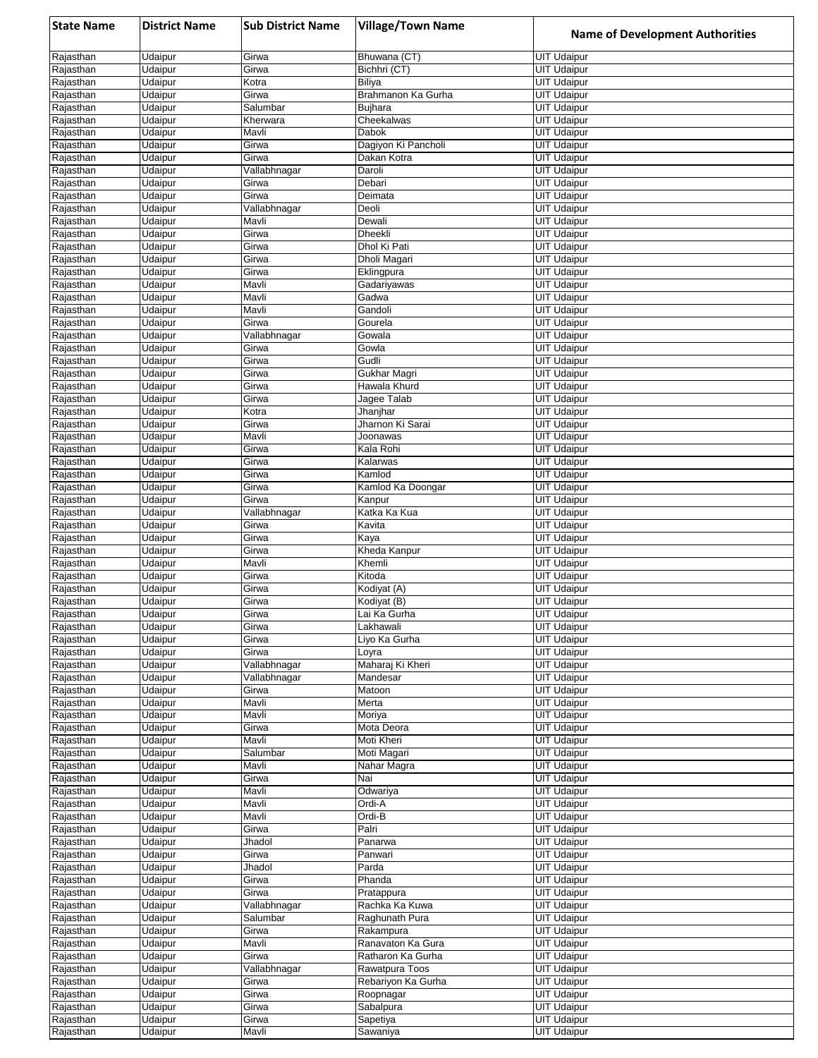| <b>State Name</b>      | <b>District Name</b> | <b>Sub District Name</b> | <b>Village/Town Name</b>         | <b>Name of Development Authorities</b>   |
|------------------------|----------------------|--------------------------|----------------------------------|------------------------------------------|
| Rajasthan              | Udaipur              | Girwa                    | Bhuwana (CT)                     | <b>UIT Udaipur</b>                       |
| Rajasthan              | Udaipur              | Girwa                    | Bichhri (CT)                     | <b>UIT Udaipur</b>                       |
| Rajasthan              | Udaipur              | Kotra                    | Biliya                           | <b>UIT Udaipur</b>                       |
| Rajasthan<br>Rajasthan | Udaipur<br>Udaipur   | Girwa<br>Salumbar        | Brahmanon Ka Gurha<br>Bujhara    | <b>UIT Udaipur</b><br><b>UIT Udaipur</b> |
| Rajasthan              | Udaipur              | Kherwara                 | Cheekalwas                       | <b>UIT Udaipur</b>                       |
| Rajasthan              | Udaipur              | Mavli                    | Dabok                            | <b>UIT Udaipur</b>                       |
| Rajasthan              | Udaipur              | Girwa                    | Dagiyon Ki Pancholi              | <b>UIT Udaipur</b>                       |
| Rajasthan              | Udaipur              | Girwa                    | Dakan Kotra                      | <b>UIT Udaipur</b>                       |
| Rajasthan              | Udaipur              | Vallabhnagar             | Daroli                           | <b>UIT Udaipur</b>                       |
| Rajasthan<br>Rajasthan | Udaipur<br>Udaipur   | Girwa<br>Girwa           | Debari<br>Deimata                | <b>UIT Udaipur</b><br><b>UIT Udaipur</b> |
| Rajasthan              | Udaipur              | Vallabhnagar             | Deoli                            | <b>UIT Udaipur</b>                       |
| Rajasthan              | Udaipur              | Mavli                    | Dewali                           | <b>UIT Udaipur</b>                       |
| Rajasthan              | Udaipur              | Girwa                    | Dheekli                          | <b>UIT Udaipur</b>                       |
| Rajasthan              | Udaipur              | Girwa                    | Dhol Ki Pati                     | <b>UIT Udaipur</b>                       |
| Rajasthan              | Udaipur              | Girwa                    | Dholi Magari                     | <b>UIT Udaipur</b>                       |
| Rajasthan<br>Rajasthan | Udaipur<br>Udaipur   | Girwa<br>Mavli           | Eklingpura<br>Gadariyawas        | <b>UIT Udaipur</b><br><b>UIT Udaipur</b> |
| Rajasthan              | Udaipur              | Mavli                    | Gadwa                            | <b>UIT Udaipur</b>                       |
| Rajasthan              | Udaipur              | Mavli                    | Gandoli                          | <b>UIT Udaipur</b>                       |
| Rajasthan              | Udaipur              | Girwa                    | Gourela                          | <b>UIT Udaipur</b>                       |
| Rajasthan              | Udaipur              | Vallabhnagar             | Gowala                           | <b>UIT Udaipur</b>                       |
| Rajasthan              | Udaipur              | Girwa                    | Gowla                            | <b>UIT Udaipur</b>                       |
| Rajasthan<br>Rajasthan | Udaipur<br>Udaipur   | Girwa<br>Girwa           | Gudli<br>Gukhar Magri            | <b>UIT Udaipur</b><br><b>UIT Udaipur</b> |
| Rajasthan              | Udaipur              | Girwa                    | Hawala Khurd                     | <b>UIT Udaipur</b>                       |
| Rajasthan              | Udaipur              | Girwa                    | Jagee Talab                      | <b>UIT Udaipur</b>                       |
| Rajasthan              | Udaipur              | Kotra                    | Jhanjhar                         | <b>UIT Udaipur</b>                       |
| Rajasthan              | Udaipur              | Girwa                    | Jharnon Ki Sarai                 | <b>UIT Udaipur</b>                       |
| Rajasthan              | Udaipur              | Mavli                    | Joonawas                         | <b>UIT Udaipur</b>                       |
| Rajasthan              | Udaipur              | Girwa                    | Kala Rohi                        | <b>UIT Udaipur</b>                       |
| Rajasthan<br>Rajasthan | Udaipur<br>Udaipur   | Girwa<br>Girwa           | Kalarwas<br>Kamlod               | <b>UIT Udaipur</b><br><b>UIT Udaipur</b> |
| Rajasthan              | Udaipur              | Girwa                    | Kamlod Ka Doongar                | <b>UIT Udaipur</b>                       |
| Rajasthan              | Udaipur              | Girwa                    | Kanpur                           | <b>UIT Udaipur</b>                       |
| Rajasthan              | Udaipur              | Vallabhnagar             | Katka Ka Kua                     | <b>UIT Udaipur</b>                       |
| Rajasthan              | Udaipur              | Girwa                    | Kavita                           | <b>UIT Udaipur</b>                       |
| Rajasthan              | Udaipur              | Girwa                    | Kaya                             | <b>UIT Udaipur</b>                       |
| Rajasthan<br>Rajasthan | Udaipur<br>Udaipur   | Girwa<br>Mavli           | Kheda Kanpur<br>Khemli           | <b>UIT Udaipur</b><br><b>UIT Udaipur</b> |
| Rajasthan              | Udaipur              | Girwa                    | Kitoda                           | <b>UIT Udaipur</b>                       |
| Rajasthan              | Udaipur              | Girwa                    | Kodiyat (A)                      | <b>UIT Udaipur</b>                       |
| Rajasthan              | Udaipur              | Girwa                    | Kodiyat (B)                      | <b>UIT Udaipur</b>                       |
| Rajasthan              | Udaipur              | Girwa                    | Lai Ka Gurha                     | <b>UIT Udaipur</b>                       |
| Rajasthan              | Udaipur              | Girwa                    | Lakhawali                        | <b>UIT Udaipur</b>                       |
| Rajasthan<br>Rajasthan | Udaipur<br>Udaipur   | Girwa<br>Girwa           | Liyo Ka Gurha<br>Loyra           | <b>UIT Udaipur</b><br><b>UIT Udaipur</b> |
| Rajasthan              | Udaipur              | Vallabhnagar             | Maharaj Ki Kheri                 | <b>UIT Udaipur</b>                       |
| Rajasthan              | Udaipur              | Vallabhnagar             | Mandesar                         | <b>UIT Udaipur</b>                       |
| Rajasthan              | Udaipur              | Girwa                    | Matoon                           | <b>UIT Udaipur</b>                       |
| Rajasthan              | Udaipur              | Mavli                    | Merta                            | <b>UIT Udaipur</b>                       |
| Rajasthan              | Udaipur              | Mavli                    | Moriya                           | <b>UIT Udaipur</b>                       |
| Rajasthan<br>Rajasthan | Udaipur<br>Udaipur   | Girwa<br>Mavli           | Mota Deora<br>Moti Kheri         | <b>UIT Udaipur</b><br><b>UIT Udaipur</b> |
| Rajasthan              | Udaipur              | Salumbar                 | Moti Magari                      | <b>UIT Udaipur</b>                       |
| Rajasthan              | Udaipur              | Mavli                    | Nahar Magra                      | <b>UIT Udaipur</b>                       |
| Rajasthan              | Udaipur              | Girwa                    | Nai                              | <b>UIT Udaipur</b>                       |
| Rajasthan              | Udaipur              | Mavli                    | Odwariya                         | <b>UIT Udaipur</b>                       |
| Rajasthan<br>Rajasthan | Udaipur              | Mavli<br>Mavli           | Ordi-A<br>Ordi-B                 | <b>UIT Udaipur</b>                       |
| Rajasthan              | Udaipur<br>Udaipur   | Girwa                    | Palri                            | <b>UIT Udaipur</b><br><b>UIT Udaipur</b> |
| Rajasthan              | Udaipur              | Jhadol                   | Panarwa                          | <b>UIT Udaipur</b>                       |
| Rajasthan              | Udaipur              | Girwa                    | Panwari                          | <b>UIT Udaipur</b>                       |
| Rajasthan              | Udaipur              | Jhadol                   | Parda                            | <b>UIT Udaipur</b>                       |
| Rajasthan              | Udaipur              | Girwa                    | Phanda                           | <b>UIT Udaipur</b>                       |
| Rajasthan              | Udaipur              | Girwa                    | Pratappura                       | <b>UIT Udaipur</b>                       |
| Rajasthan<br>Rajasthan | Udaipur<br>Udaipur   | Vallabhnagar<br>Salumbar | Rachka Ka Kuwa<br>Raghunath Pura | <b>UIT Udaipur</b><br><b>UIT Udaipur</b> |
| Rajasthan              | Udaipur              | Girwa                    | Rakampura                        | <b>UIT Udaipur</b>                       |
| Rajasthan              | Udaipur              | Mavli                    | Ranavaton Ka Gura                | <b>UIT Udaipur</b>                       |
| Rajasthan              | Udaipur              | Girwa                    | Ratharon Ka Gurha                | <b>UIT Udaipur</b>                       |
| Rajasthan              | Udaipur              | Vallabhnagar             | Rawatpura Toos                   | <b>UIT Udaipur</b>                       |
| Rajasthan              | Udaipur              | Girwa                    | Rebariyon Ka Gurha               | <b>UIT Udaipur</b>                       |
| Rajasthan<br>Rajasthan | Udaipur<br>Udaipur   | Girwa<br>Girwa           | Roopnagar<br>Sabalpura           | <b>UIT Udaipur</b><br><b>UIT Udaipur</b> |
| Rajasthan              | Udaipur              | Girwa                    | Sapetiya                         | <b>UIT Udaipur</b>                       |
| Rajasthan              | Udaipur              | Mavli                    | Sawaniya                         | <b>UIT Udaipur</b>                       |